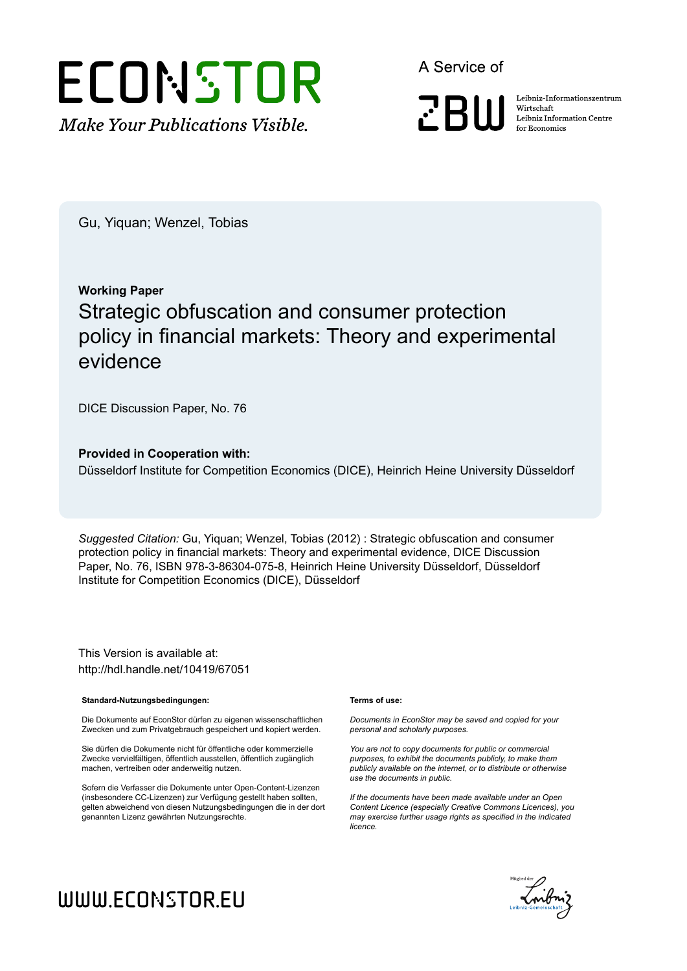

A Service of

**ZBW** 

Leibniz Informationszentrum Wirtschaft Leibniz Information Centre for Economics

Gu, Yiquan; Wenzel, Tobias

## **Working Paper** Strategic obfuscation and consumer protection policy in financial markets: Theory and experimental evidence

DICE Discussion Paper, No. 76

#### **Provided in Cooperation with:**

Düsseldorf Institute for Competition Economics (DICE), Heinrich Heine University Düsseldorf

*Suggested Citation:* Gu, Yiquan; Wenzel, Tobias (2012) : Strategic obfuscation and consumer protection policy in financial markets: Theory and experimental evidence, DICE Discussion Paper, No. 76, ISBN 978-3-86304-075-8, Heinrich Heine University Düsseldorf, Düsseldorf Institute for Competition Economics (DICE), Düsseldorf

This Version is available at: http://hdl.handle.net/10419/67051

#### **Standard-Nutzungsbedingungen:**

Die Dokumente auf EconStor dürfen zu eigenen wissenschaftlichen Zwecken und zum Privatgebrauch gespeichert und kopiert werden.

Sie dürfen die Dokumente nicht für öffentliche oder kommerzielle Zwecke vervielfältigen, öffentlich ausstellen, öffentlich zugänglich machen, vertreiben oder anderweitig nutzen.

Sofern die Verfasser die Dokumente unter Open-Content-Lizenzen (insbesondere CC-Lizenzen) zur Verfügung gestellt haben sollten, gelten abweichend von diesen Nutzungsbedingungen die in der dort genannten Lizenz gewährten Nutzungsrechte.

#### **Terms of use:**

*Documents in EconStor may be saved and copied for your personal and scholarly purposes.*

*You are not to copy documents for public or commercial purposes, to exhibit the documents publicly, to make them publicly available on the internet, or to distribute or otherwise use the documents in public.*

*If the documents have been made available under an Open Content Licence (especially Creative Commons Licences), you may exercise further usage rights as specified in the indicated licence.*



# WWW.ECONSTOR.EU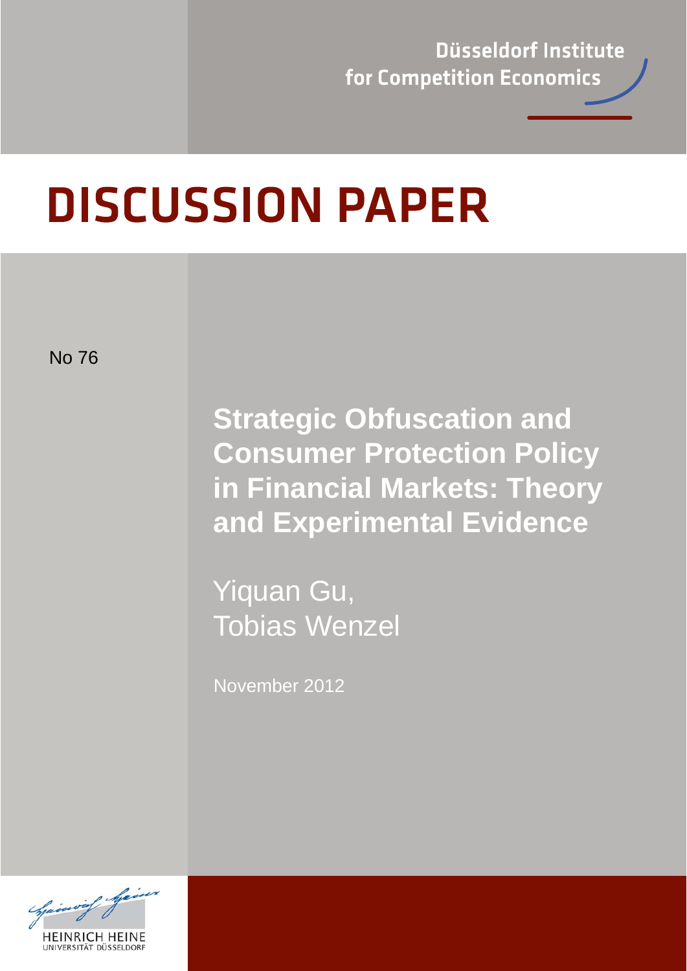Düsseldorf Institute for Competition Economics

# **DISCUSSION PAPER**

No 76

**Strategic Obfuscation and Consumer Protection Policy in Financial Markets: Theory and Experimental Evidence** 

 Yiquan Gu, Tobias Wenzel

November 2012

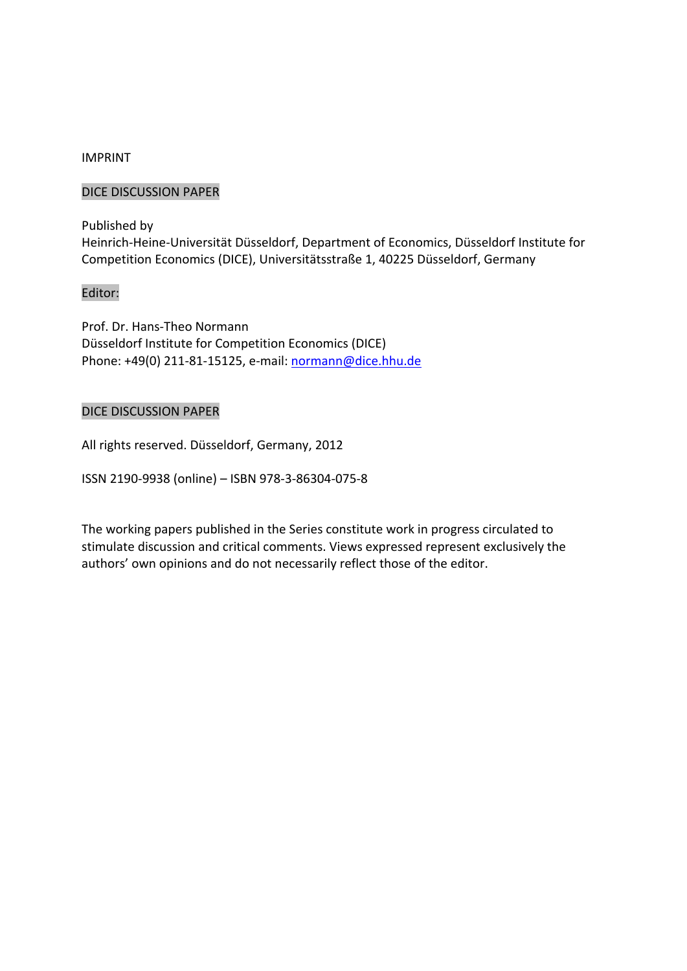#### IMPRINT

#### DICE DISCUSSION PAPER

Published by Heinrich‐Heine‐Universität Düsseldorf, Department of Economics, Düsseldorf Institute for Competition Economics (DICE), Universitätsstraße 1, 40225 Düsseldorf, Germany

#### Editor:

Prof. Dr. Hans‐Theo Normann Düsseldorf Institute for Competition Economics (DICE) Phone: +49(0) 211‐81‐15125, e‐mail: normann@dice.hhu.de

#### DICE DISCUSSION PAPER

All rights reserved. Düsseldorf, Germany, 2012

ISSN 2190‐9938 (online) – ISBN 978‐3‐86304‐075‐8

The working papers published in the Series constitute work in progress circulated to stimulate discussion and critical comments. Views expressed represent exclusively the authors' own opinions and do not necessarily reflect those of the editor.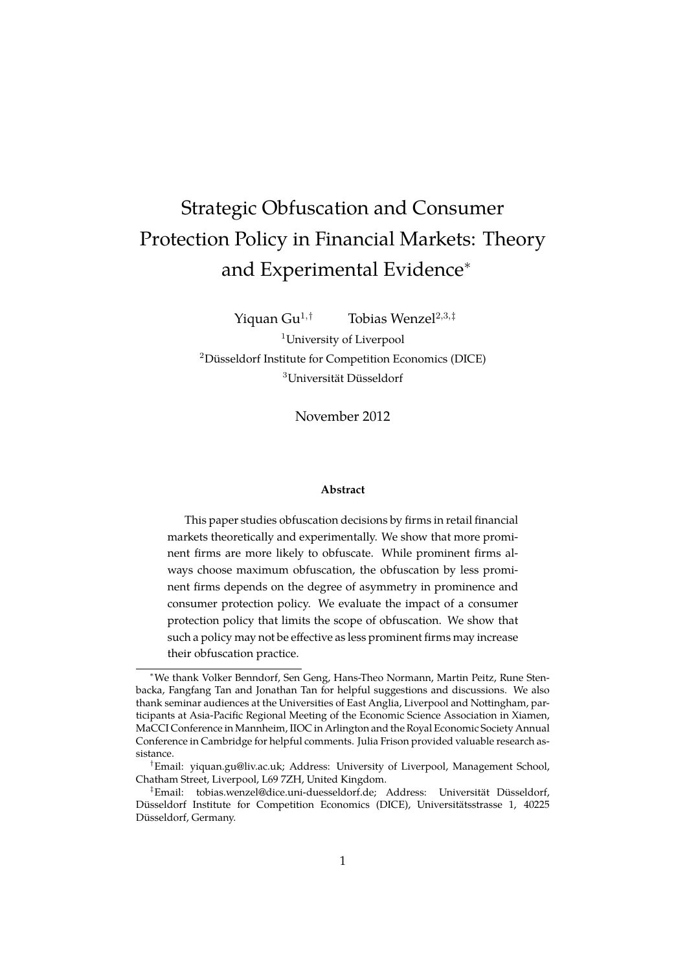# <span id="page-3-0"></span>Strategic Obfuscation and Consumer Protection Policy in Financial Markets: Theory and Experimental Evidence<sup>∗</sup>

Yiquan Gu<sup>1,†</sup> Tobias Wenzel<sup>2,3,‡</sup> <sup>1</sup>University of Liverpool <sup>2</sup>Düsseldorf Institute for Competition Economics (DICE)  $3$ Universität Düsseldorf

November 2012

#### **Abstract**

This paper studies obfuscation decisions by firms in retail financial markets theoretically and experimentally. We show that more prominent firms are more likely to obfuscate. While prominent firms always choose maximum obfuscation, the obfuscation by less prominent firms depends on the degree of asymmetry in prominence and consumer protection policy. We evaluate the impact of a consumer protection policy that limits the scope of obfuscation. We show that such a policy may not be effective as less prominent firms may increase their obfuscation practice.

<sup>∗</sup>We thank Volker Benndorf, Sen Geng, Hans-Theo Normann, Martin Peitz, Rune Stenbacka, Fangfang Tan and Jonathan Tan for helpful suggestions and discussions. We also thank seminar audiences at the Universities of East Anglia, Liverpool and Nottingham, participants at Asia-Pacific Regional Meeting of the Economic Science Association in Xiamen, MaCCI Conference in Mannheim, IIOC in Arlington and the Royal Economic Society Annual Conference in Cambridge for helpful comments. Julia Frison provided valuable research assistance.

<sup>†</sup>Email: yiquan.gu@liv.ac.uk; Address: University of Liverpool, Management School, Chatham Street, Liverpool, L69 7ZH, United Kingdom.

<sup>&</sup>lt;sup>‡</sup>Email: tobias.wenzel@dice.uni-duesseldorf.de; Address: Universität Düsseldorf, Düsseldorf Institute for Competition Economics (DICE), Universitätsstrasse 1, 40225 Düsseldorf, Germany.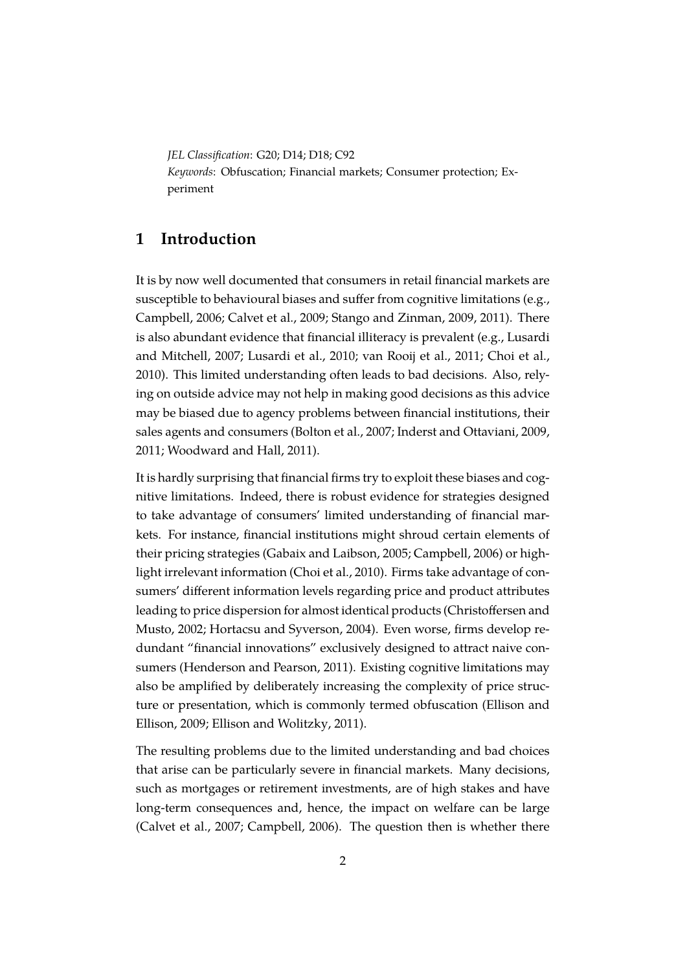*JEL Classification*: G20; D14; D18; C92 *Keywords*: Obfuscation; Financial markets; Consumer protection; Experiment

#### **1 Introduction**

It is by now well documented that consumers in retail financial markets are susceptible to behavioural biases and suffer from cognitive limitations (e.g., [Campbell, 2006;](#page-42-0) [Calvet et al., 2009;](#page-42-1) [Stango and Zinman, 2009,](#page-44-0) [2011\)](#page-44-1). There is also abundant evidence that financial illiteracy is prevalent (e.g., [Lusardi](#page-44-2) [and Mitchell, 2007;](#page-44-2) [Lusardi et al., 2010;](#page-44-3) [van Rooij et al., 2011;](#page-44-4) [Choi et al.,](#page-43-0) [2010\)](#page-43-0). This limited understanding often leads to bad decisions. Also, relying on outside advice may not help in making good decisions as this advice may be biased due to agency problems between financial institutions, their sales agents and consumers [\(Bolton et al., 2007;](#page-42-2) [Inderst and Ottaviani, 2009,](#page-44-5) [2011;](#page-44-6) [Woodward and Hall, 2011\)](#page-45-0).

It is hardly surprising that financial firms try to exploit these biases and cognitive limitations. Indeed, there is robust evidence for strategies designed to take advantage of consumers' limited understanding of financial markets. For instance, financial institutions might shroud certain elements of their pricing strategies [\(Gabaix and Laibson, 2005;](#page-43-1) [Campbell, 2006\)](#page-42-0) or highlight irrelevant information [\(Choi et al., 2010\)](#page-43-0). Firms take advantage of consumers' different information levels regarding price and product attributes leading to price dispersion for almost identical products [\(Christoffersen and](#page-43-2) [Musto, 2002;](#page-43-2) [Hortacsu and Syverson, 2004\)](#page-44-7). Even worse, firms develop redundant "financial innovations" exclusively designed to attract naive consumers [\(Henderson and Pearson, 2011\)](#page-43-3). Existing cognitive limitations may also be amplified by deliberately increasing the complexity of price structure or presentation, which is commonly termed obfuscation [\(Ellison and](#page-43-4) [Ellison, 2009;](#page-43-4) [Ellison and Wolitzky, 2011\)](#page-43-5).

The resulting problems due to the limited understanding and bad choices that arise can be particularly severe in financial markets. Many decisions, such as mortgages or retirement investments, are of high stakes and have long-term consequences and, hence, the impact on welfare can be large [\(Calvet et al., 2007;](#page-42-3) [Campbell, 2006\)](#page-42-0). The question then is whether there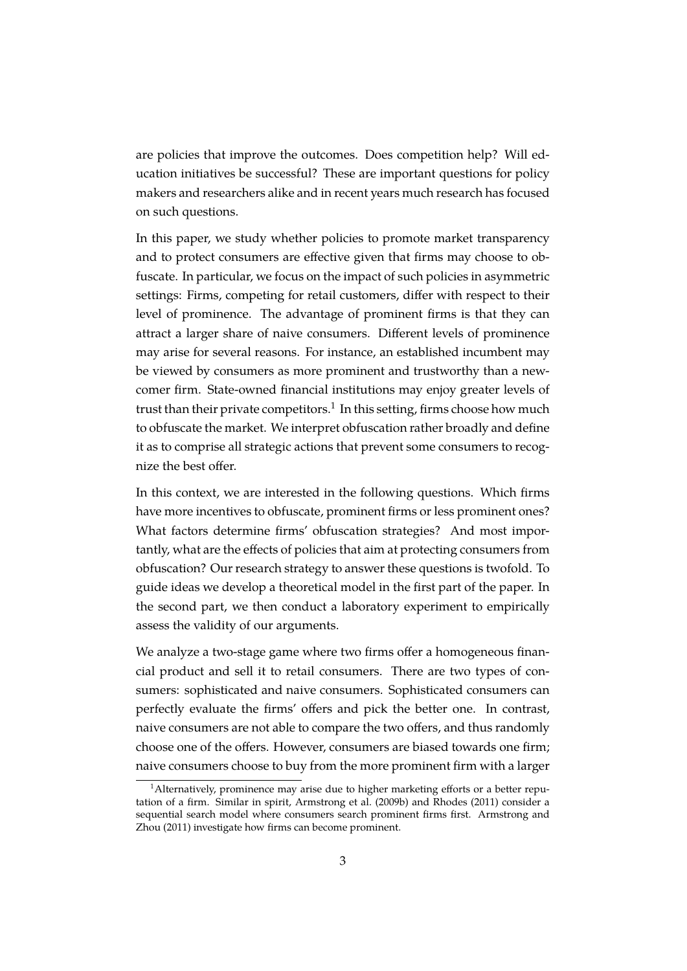are policies that improve the outcomes. Does competition help? Will education initiatives be successful? These are important questions for policy makers and researchers alike and in recent years much research has focused on such questions.

In this paper, we study whether policies to promote market transparency and to protect consumers are effective given that firms may choose to obfuscate. In particular, we focus on the impact of such policies in asymmetric settings: Firms, competing for retail customers, differ with respect to their level of prominence. The advantage of prominent firms is that they can attract a larger share of naive consumers. Different levels of prominence may arise for several reasons. For instance, an established incumbent may be viewed by consumers as more prominent and trustworthy than a newcomer firm. State-owned financial institutions may enjoy greater levels of trust than their private competitors.<sup>[1](#page-5-0)</sup> In this setting, firms choose how much to obfuscate the market. We interpret obfuscation rather broadly and define it as to comprise all strategic actions that prevent some consumers to recognize the best offer.

In this context, we are interested in the following questions. Which firms have more incentives to obfuscate, prominent firms or less prominent ones? What factors determine firms' obfuscation strategies? And most importantly, what are the effects of policies that aim at protecting consumers from obfuscation? Our research strategy to answer these questions is twofold. To guide ideas we develop a theoretical model in the first part of the paper. In the second part, we then conduct a laboratory experiment to empirically assess the validity of our arguments.

We analyze a two-stage game where two firms offer a homogeneous financial product and sell it to retail consumers. There are two types of consumers: sophisticated and naive consumers. Sophisticated consumers can perfectly evaluate the firms' offers and pick the better one. In contrast, naive consumers are not able to compare the two offers, and thus randomly choose one of the offers. However, consumers are biased towards one firm; naive consumers choose to buy from the more prominent firm with a larger

<span id="page-5-0"></span> $1$ Alternatively, prominence may arise due to higher marketing efforts or a better reputation of a firm. Similar in spirit, [Armstrong et al.](#page-42-4) [\(2009b\)](#page-42-4) and [Rhodes](#page-44-8) [\(2011\)](#page-44-8) consider a sequential search model where consumers search prominent firms first. [Armstrong and](#page-42-5) [Zhou](#page-42-5) [\(2011\)](#page-42-5) investigate how firms can become prominent.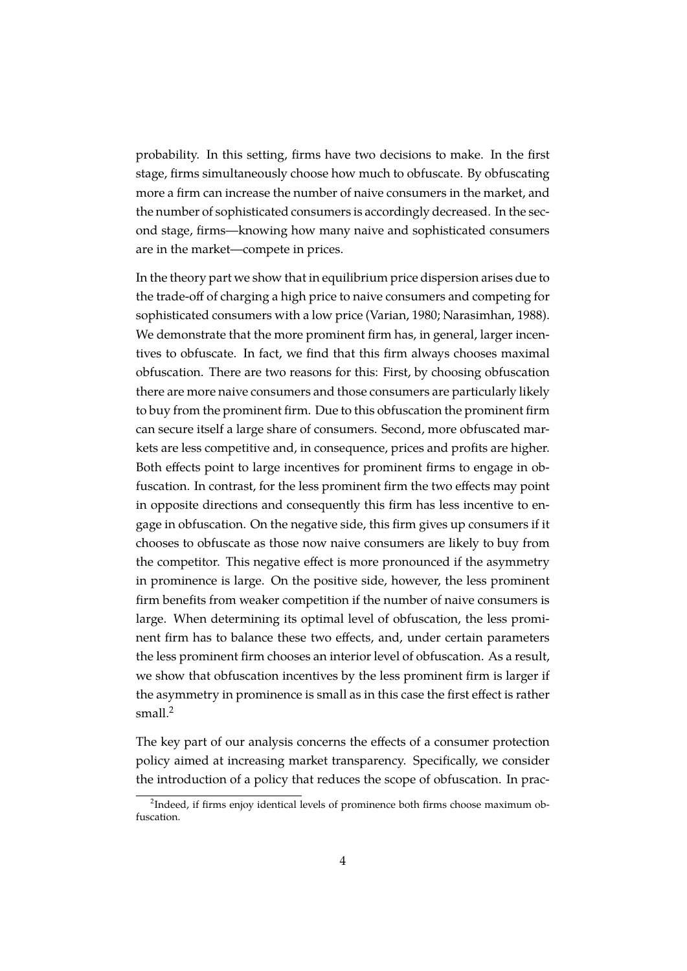probability. In this setting, firms have two decisions to make. In the first stage, firms simultaneously choose how much to obfuscate. By obfuscating more a firm can increase the number of naive consumers in the market, and the number of sophisticated consumers is accordingly decreased. In the second stage, firms—knowing how many naive and sophisticated consumers are in the market—compete in prices.

In the theory part we show that in equilibrium price dispersion arises due to the trade-off of charging a high price to naive consumers and competing for sophisticated consumers with a low price [\(Varian, 1980;](#page-45-1) [Narasimhan, 1988\)](#page-44-9). We demonstrate that the more prominent firm has, in general, larger incentives to obfuscate. In fact, we find that this firm always chooses maximal obfuscation. There are two reasons for this: First, by choosing obfuscation there are more naive consumers and those consumers are particularly likely to buy from the prominent firm. Due to this obfuscation the prominent firm can secure itself a large share of consumers. Second, more obfuscated markets are less competitive and, in consequence, prices and profits are higher. Both effects point to large incentives for prominent firms to engage in obfuscation. In contrast, for the less prominent firm the two effects may point in opposite directions and consequently this firm has less incentive to engage in obfuscation. On the negative side, this firm gives up consumers if it chooses to obfuscate as those now naive consumers are likely to buy from the competitor. This negative effect is more pronounced if the asymmetry in prominence is large. On the positive side, however, the less prominent firm benefits from weaker competition if the number of naive consumers is large. When determining its optimal level of obfuscation, the less prominent firm has to balance these two effects, and, under certain parameters the less prominent firm chooses an interior level of obfuscation. As a result, we show that obfuscation incentives by the less prominent firm is larger if the asymmetry in prominence is small as in this case the first effect is rather small.<sup>[2](#page-6-0)</sup>

The key part of our analysis concerns the effects of a consumer protection policy aimed at increasing market transparency. Specifically, we consider the introduction of a policy that reduces the scope of obfuscation. In prac-

<span id="page-6-0"></span> $2$ Indeed, if firms enjoy identical levels of prominence both firms choose maximum obfuscation.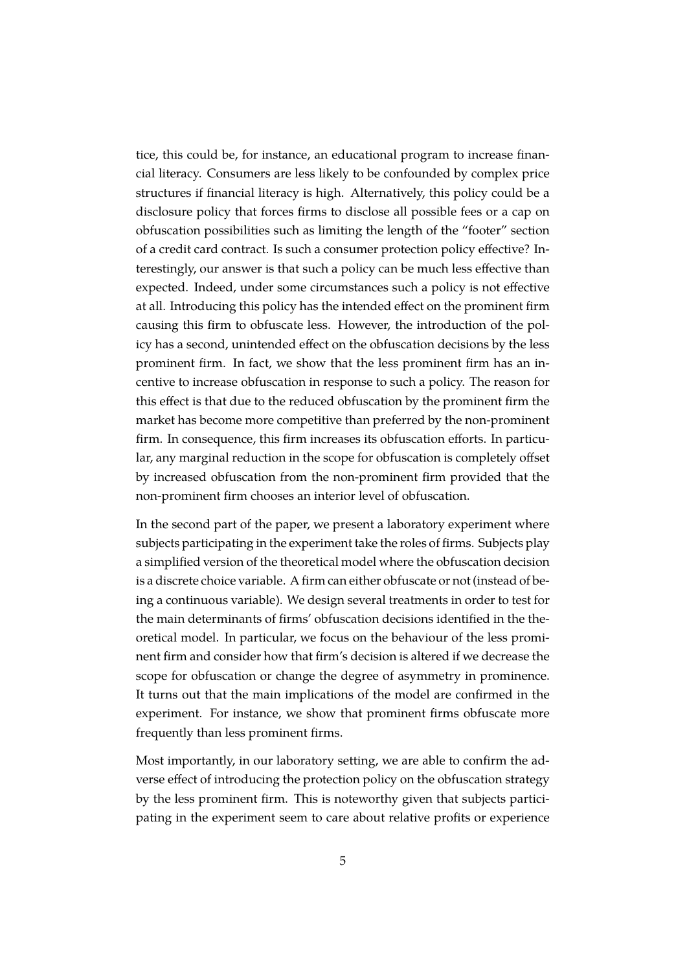tice, this could be, for instance, an educational program to increase financial literacy. Consumers are less likely to be confounded by complex price structures if financial literacy is high. Alternatively, this policy could be a disclosure policy that forces firms to disclose all possible fees or a cap on obfuscation possibilities such as limiting the length of the "footer" section of a credit card contract. Is such a consumer protection policy effective? Interestingly, our answer is that such a policy can be much less effective than expected. Indeed, under some circumstances such a policy is not effective at all. Introducing this policy has the intended effect on the prominent firm causing this firm to obfuscate less. However, the introduction of the policy has a second, unintended effect on the obfuscation decisions by the less prominent firm. In fact, we show that the less prominent firm has an incentive to increase obfuscation in response to such a policy. The reason for this effect is that due to the reduced obfuscation by the prominent firm the market has become more competitive than preferred by the non-prominent firm. In consequence, this firm increases its obfuscation efforts. In particular, any marginal reduction in the scope for obfuscation is completely offset by increased obfuscation from the non-prominent firm provided that the non-prominent firm chooses an interior level of obfuscation.

In the second part of the paper, we present a laboratory experiment where subjects participating in the experiment take the roles of firms. Subjects play a simplified version of the theoretical model where the obfuscation decision is a discrete choice variable. A firm can either obfuscate or not (instead of being a continuous variable). We design several treatments in order to test for the main determinants of firms' obfuscation decisions identified in the theoretical model. In particular, we focus on the behaviour of the less prominent firm and consider how that firm's decision is altered if we decrease the scope for obfuscation or change the degree of asymmetry in prominence. It turns out that the main implications of the model are confirmed in the experiment. For instance, we show that prominent firms obfuscate more frequently than less prominent firms.

Most importantly, in our laboratory setting, we are able to confirm the adverse effect of introducing the protection policy on the obfuscation strategy by the less prominent firm. This is noteworthy given that subjects participating in the experiment seem to care about relative profits or experience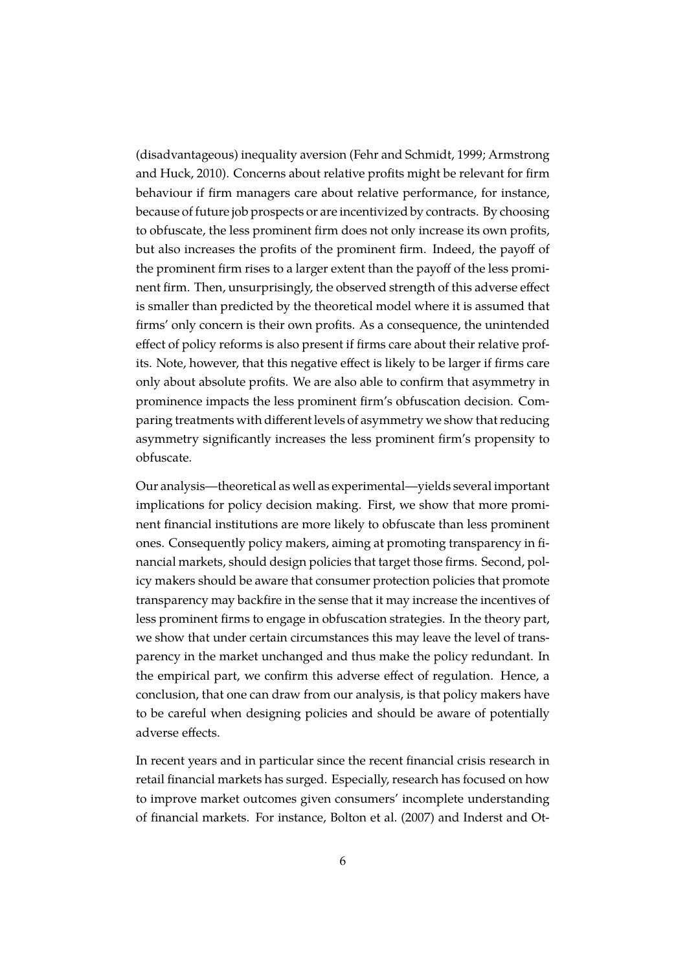(disadvantageous) inequality aversion [\(Fehr and Schmidt, 1999;](#page-43-6) [Armstrong](#page-42-6) [and Huck, 2010\)](#page-42-6). Concerns about relative profits might be relevant for firm behaviour if firm managers care about relative performance, for instance, because of future job prospects or are incentivized by contracts. By choosing to obfuscate, the less prominent firm does not only increase its own profits, but also increases the profits of the prominent firm. Indeed, the payoff of the prominent firm rises to a larger extent than the payoff of the less prominent firm. Then, unsurprisingly, the observed strength of this adverse effect is smaller than predicted by the theoretical model where it is assumed that firms' only concern is their own profits. As a consequence, the unintended effect of policy reforms is also present if firms care about their relative profits. Note, however, that this negative effect is likely to be larger if firms care only about absolute profits. We are also able to confirm that asymmetry in prominence impacts the less prominent firm's obfuscation decision. Comparing treatments with different levels of asymmetry we show that reducing asymmetry significantly increases the less prominent firm's propensity to obfuscate.

Our analysis—theoretical as well as experimental—yields several important implications for policy decision making. First, we show that more prominent financial institutions are more likely to obfuscate than less prominent ones. Consequently policy makers, aiming at promoting transparency in financial markets, should design policies that target those firms. Second, policy makers should be aware that consumer protection policies that promote transparency may backfire in the sense that it may increase the incentives of less prominent firms to engage in obfuscation strategies. In the theory part, we show that under certain circumstances this may leave the level of transparency in the market unchanged and thus make the policy redundant. In the empirical part, we confirm this adverse effect of regulation. Hence, a conclusion, that one can draw from our analysis, is that policy makers have to be careful when designing policies and should be aware of potentially adverse effects.

In recent years and in particular since the recent financial crisis research in retail financial markets has surged. Especially, research has focused on how to improve market outcomes given consumers' incomplete understanding of financial markets. For instance, [Bolton et al.](#page-42-2) [\(2007\)](#page-42-2) and [Inderst and Ot-](#page-44-5)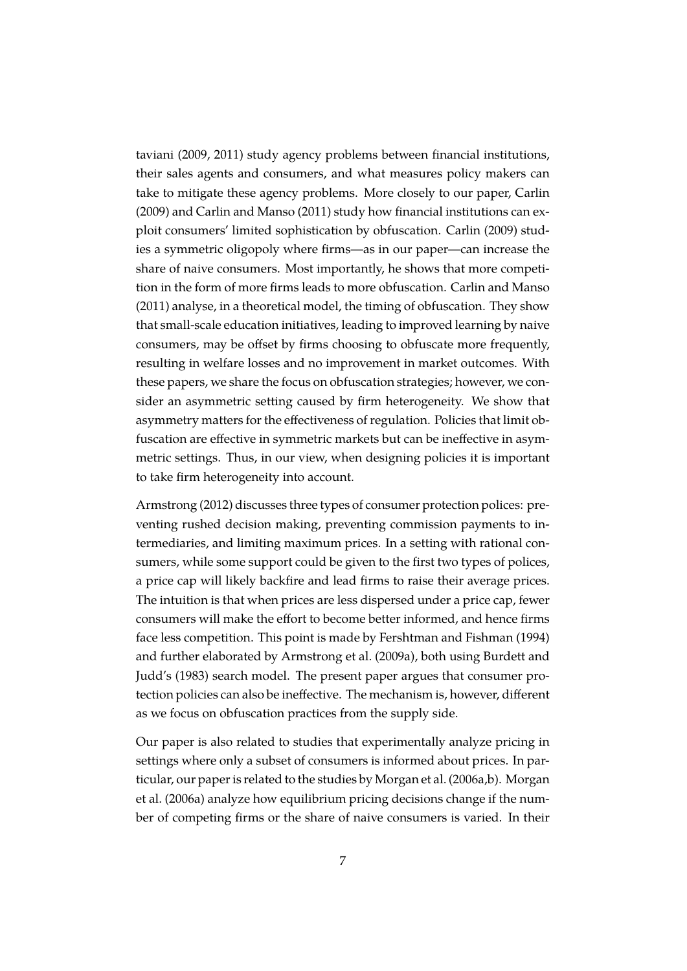[taviani](#page-44-5) [\(2009,](#page-44-5) [2011\)](#page-44-6) study agency problems between financial institutions, their sales agents and consumers, and what measures policy makers can take to mitigate these agency problems. More closely to our paper, [Carlin](#page-43-7) [\(2009\)](#page-43-7) and [Carlin and Manso](#page-43-8) [\(2011\)](#page-43-8) study how financial institutions can exploit consumers' limited sophistication by obfuscation. [Carlin](#page-43-7) [\(2009\)](#page-43-7) studies a symmetric oligopoly where firms—as in our paper—can increase the share of naive consumers. Most importantly, he shows that more competition in the form of more firms leads to more obfuscation. [Carlin and Manso](#page-43-8) [\(2011\)](#page-43-8) analyse, in a theoretical model, the timing of obfuscation. They show that small-scale education initiatives, leading to improved learning by naive consumers, may be offset by firms choosing to obfuscate more frequently, resulting in welfare losses and no improvement in market outcomes. With these papers, we share the focus on obfuscation strategies; however, we consider an asymmetric setting caused by firm heterogeneity. We show that asymmetry matters for the effectiveness of regulation. Policies that limit obfuscation are effective in symmetric markets but can be ineffective in asymmetric settings. Thus, in our view, when designing policies it is important to take firm heterogeneity into account.

[Armstrong](#page-42-7) [\(2012\)](#page-42-7) discusses three types of consumer protection polices: preventing rushed decision making, preventing commission payments to intermediaries, and limiting maximum prices. In a setting with rational consumers, while some support could be given to the first two types of polices, a price cap will likely backfire and lead firms to raise their average prices. The intuition is that when prices are less dispersed under a price cap, fewer consumers will make the effort to become better informed, and hence firms face less competition. This point is made by [Fershtman and Fishman](#page-43-9) [\(1994\)](#page-43-9) and further elaborated by [Armstrong et al.](#page-42-8) [\(2009a\)](#page-42-8), both using Burdett and Judd's [\(1983\)](#page-42-9) search model. The present paper argues that consumer protection policies can also be ineffective. The mechanism is, however, different as we focus on obfuscation practices from the supply side.

Our paper is also related to studies that experimentally analyze pricing in settings where only a subset of consumers is informed about prices. In particular, our paper is related to the studies by [Morgan et al.](#page-44-10) [\(2006a,](#page-44-10)[b\)](#page-44-11). [Morgan](#page-44-10) [et al.](#page-44-10) [\(2006a\)](#page-44-10) analyze how equilibrium pricing decisions change if the number of competing firms or the share of naive consumers is varied. In their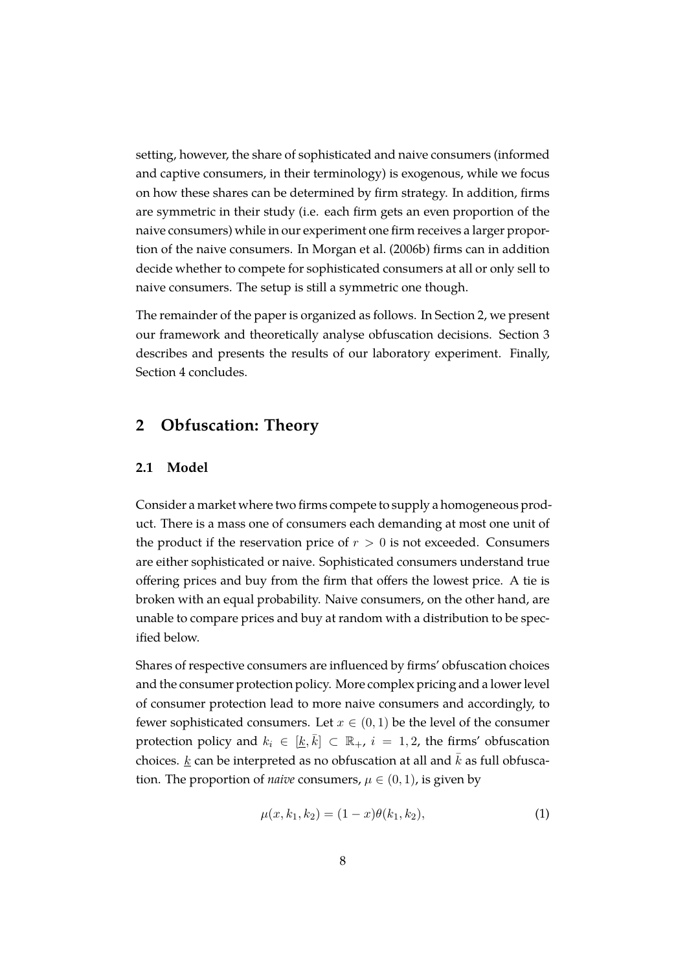setting, however, the share of sophisticated and naive consumers (informed and captive consumers, in their terminology) is exogenous, while we focus on how these shares can be determined by firm strategy. In addition, firms are symmetric in their study (i.e. each firm gets an even proportion of the naive consumers) while in our experiment one firm receives a larger proportion of the naive consumers. In [Morgan et al.](#page-44-11) [\(2006b\)](#page-44-11) firms can in addition decide whether to compete for sophisticated consumers at all or only sell to naive consumers. The setup is still a symmetric one though.

The remainder of the paper is organized as follows. In Section [2,](#page-10-0) we present our framework and theoretically analyse obfuscation decisions. Section [3](#page-23-0) describes and presents the results of our laboratory experiment. Finally, Section [4](#page-35-0) concludes.

#### <span id="page-10-0"></span>**2 Obfuscation: Theory**

#### **2.1 Model**

Consider a market where two firms compete to supply a homogeneous product. There is a mass one of consumers each demanding at most one unit of the product if the reservation price of  $r > 0$  is not exceeded. Consumers are either sophisticated or naive. Sophisticated consumers understand true offering prices and buy from the firm that offers the lowest price. A tie is broken with an equal probability. Naive consumers, on the other hand, are unable to compare prices and buy at random with a distribution to be specified below.

Shares of respective consumers are influenced by firms' obfuscation choices and the consumer protection policy. More complex pricing and a lower level of consumer protection lead to more naive consumers and accordingly, to fewer sophisticated consumers. Let  $x \in (0,1)$  be the level of the consumer protection policy and  $k_i \in [k, \overline{k}] \subset \mathbb{R}_+$ ,  $i = 1, 2$ , the firms' obfuscation choices.  $\underline{k}$  can be interpreted as no obfuscation at all and  $\overline{k}$  as full obfuscation. The proportion of *naive* consumers,  $\mu \in (0,1)$ , is given by

<span id="page-10-1"></span>
$$
\mu(x, k_1, k_2) = (1 - x)\theta(k_1, k_2),\tag{1}
$$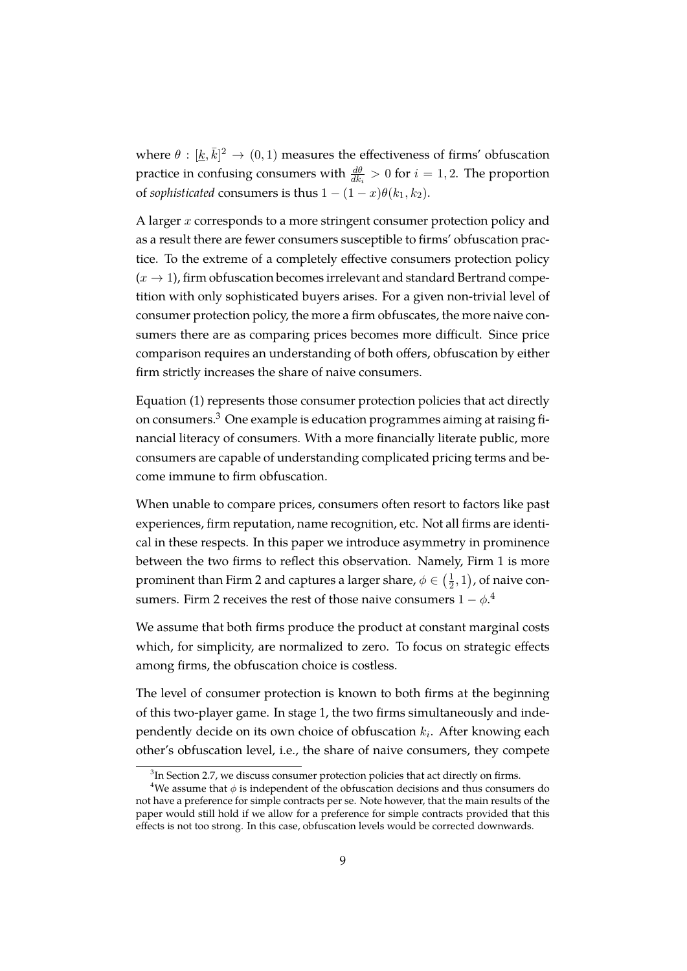where  $\theta : [\underline{k}, \overline{k}]^2 \to (0, 1)$  measures the effectiveness of firms' obfuscation practice in confusing consumers with  $\frac{d\theta}{dk_i} > 0$  for  $i = 1, 2$ . The proportion of *sophisticated* consumers is thus  $1 - (1 - x)\theta(k_1, k_2)$ .

A larger  $x$  corresponds to a more stringent consumer protection policy and as a result there are fewer consumers susceptible to firms' obfuscation practice. To the extreme of a completely effective consumers protection policy  $(x \rightarrow 1)$ , firm obfuscation becomes irrelevant and standard Bertrand competition with only sophisticated buyers arises. For a given non-trivial level of consumer protection policy, the more a firm obfuscates, the more naive consumers there are as comparing prices becomes more difficult. Since price comparison requires an understanding of both offers, obfuscation by either firm strictly increases the share of naive consumers.

Equation [\(1\)](#page-10-1) represents those consumer protection policies that act directly on consumers.[3](#page-11-0) One example is education programmes aiming at raising financial literacy of consumers. With a more financially literate public, more consumers are capable of understanding complicated pricing terms and become immune to firm obfuscation.

When unable to compare prices, consumers often resort to factors like past experiences, firm reputation, name recognition, etc. Not all firms are identical in these respects. In this paper we introduce asymmetry in prominence between the two firms to reflect this observation. Namely, Firm 1 is more prominent than Firm 2 and captures a larger share,  $\phi \in (\frac{1}{2})$  $(\frac{1}{2},1)$ , of naive consumers. Firm 2 receives the rest of those naive consumers  $1-\phi$ .<sup>[4](#page-11-1)</sup>

We assume that both firms produce the product at constant marginal costs which, for simplicity, are normalized to zero. To focus on strategic effects among firms, the obfuscation choice is costless.

The level of consumer protection is known to both firms at the beginning of this two-player game. In stage 1, the two firms simultaneously and independently decide on its own choice of obfuscation  $k_i$ . After knowing each other's obfuscation level, i.e., the share of naive consumers, they compete

<span id="page-11-1"></span><span id="page-11-0"></span> ${}^{3}$ In Section [2.7,](#page-22-0) we discuss consumer protection policies that act directly on firms.

<sup>&</sup>lt;sup>4</sup>We assume that  $\phi$  is independent of the obfuscation decisions and thus consumers do not have a preference for simple contracts per se. Note however, that the main results of the paper would still hold if we allow for a preference for simple contracts provided that this effects is not too strong. In this case, obfuscation levels would be corrected downwards.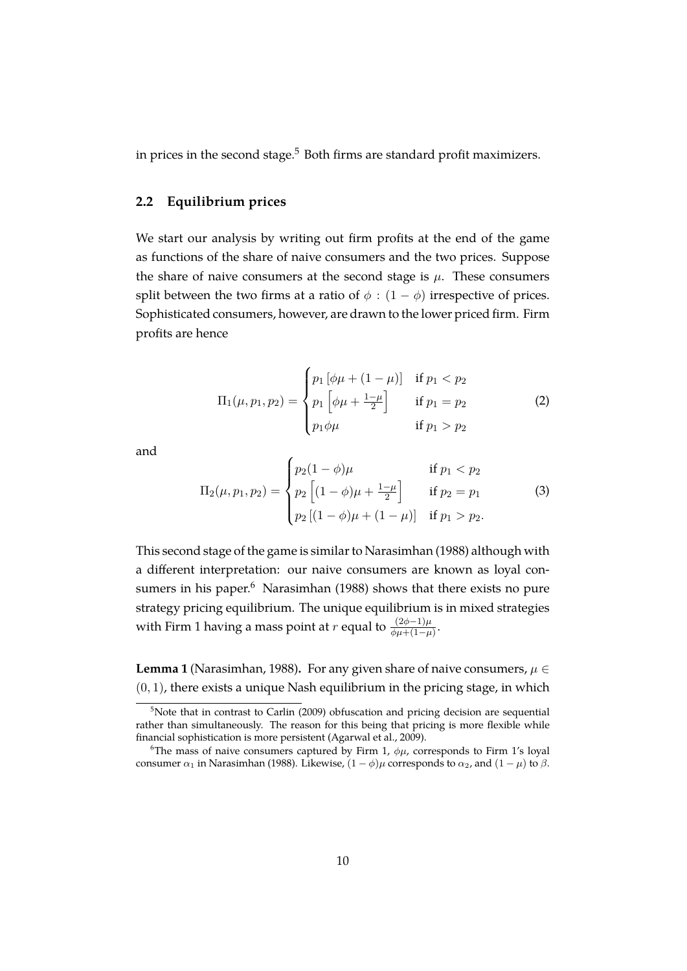in prices in the second stage. $5$  Both firms are standard profit maximizers.

#### **2.2 Equilibrium prices**

We start our analysis by writing out firm profits at the end of the game as functions of the share of naive consumers and the two prices. Suppose the share of naive consumers at the second stage is  $\mu$ . These consumers split between the two firms at a ratio of  $\phi$  :  $(1 - \phi)$  irrespective of prices. Sophisticated consumers, however, are drawn to the lower priced firm. Firm profits are hence

$$
\Pi_1(\mu, p_1, p_2) = \begin{cases} p_1 \left[ \phi \mu + (1 - \mu) \right] & \text{if } p_1 < p_2 \\ p_1 \left[ \phi \mu + \frac{1 - \mu}{2} \right] & \text{if } p_1 = p_2 \\ p_1 \phi \mu & \text{if } p_1 > p_2 \end{cases} \tag{2}
$$

and

$$
\Pi_2(\mu, p_1, p_2) = \begin{cases} p_2(1 - \phi)\mu & \text{if } p_1 < p_2 \\ p_2 \left[ (1 - \phi)\mu + \frac{1 - \mu}{2} \right] & \text{if } p_2 = p_1 \\ p_2 \left[ (1 - \phi)\mu + (1 - \mu) \right] & \text{if } p_1 > p_2. \end{cases}
$$
(3)

This second stage of the game is similar to [Narasimhan](#page-44-9) [\(1988\)](#page-44-9) although with a different interpretation: our naive consumers are known as loyal consumers in his paper. $6$  [Narasimhan](#page-44-9) [\(1988\)](#page-44-9) shows that there exists no pure strategy pricing equilibrium. The unique equilibrium is in mixed strategies with Firm 1 having a mass point at  $r$  equal to  $\frac{(2\phi-1)\mu}{\phi\mu+(1-\mu)}$ .

**Lemma 1** [\(Narasimhan, 1988\)](#page-44-9). For any given share of naive consumers,  $\mu \in$  $(0, 1)$ , there exists a unique Nash equilibrium in the pricing stage, in which

<span id="page-12-0"></span><sup>&</sup>lt;sup>5</sup>Note that in contrast to [Carlin](#page-43-7) [\(2009\)](#page-43-7) obfuscation and pricing decision are sequential rather than simultaneously. The reason for this being that pricing is more flexible while financial sophistication is more persistent [\(Agarwal et al., 2009\)](#page-41-0).

<span id="page-12-1"></span><sup>&</sup>lt;sup>6</sup>The mass of naive consumers captured by Firm 1,  $\phi\mu$ , corresponds to Firm 1's loyal consumer  $\alpha_1$  in [Narasimhan](#page-44-9) [\(1988\)](#page-44-9). Likewise,  $(1 - \phi)\mu$  corresponds to  $\alpha_2$ , and  $(1 - \mu)$  to  $\beta$ .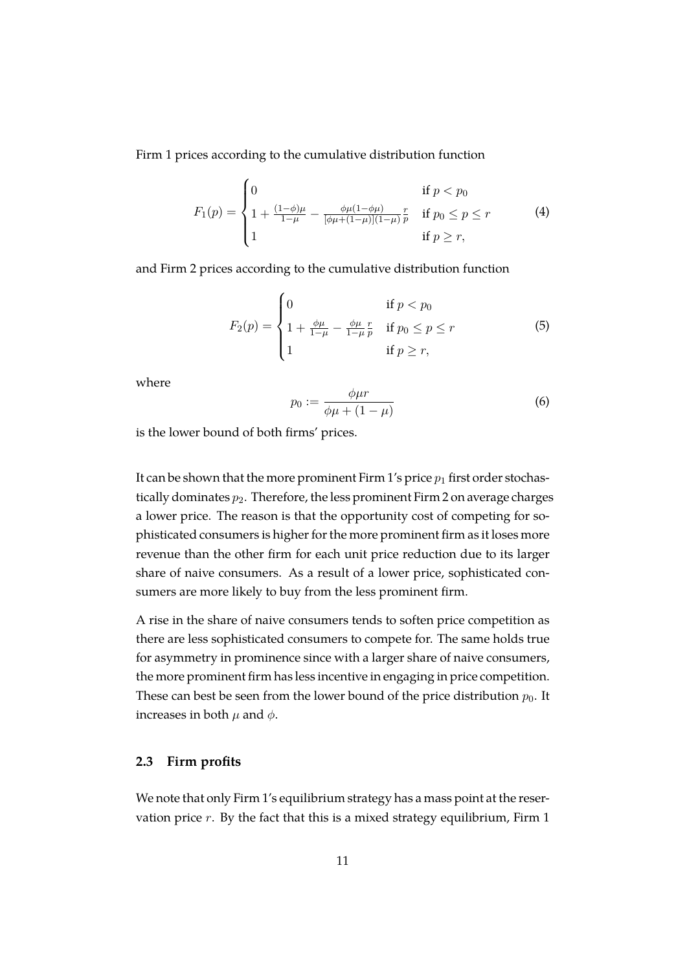Firm 1 prices according to the cumulative distribution function

$$
F_1(p) = \begin{cases} 0 & \text{if } p < p_0 \\ 1 + \frac{(1-\phi)\mu}{1-\mu} - \frac{\phi\mu(1-\phi\mu)}{[\phi\mu + (1-\mu)](1-\mu)} \frac{r}{p} & \text{if } p_0 \le p \le r \\ 1 & \text{if } p \ge r, \end{cases}
$$
(4)

and Firm 2 prices according to the cumulative distribution function

$$
F_2(p) = \begin{cases} 0 & \text{if } p < p_0 \\ 1 + \frac{\phi \mu}{1 - \mu} - \frac{\phi \mu}{1 - \mu} \frac{r}{p} & \text{if } p_0 \le p \le r \\ 1 & \text{if } p \ge r, \end{cases}
$$
(5)

where

$$
p_0 := \frac{\phi \mu r}{\phi \mu + (1 - \mu)}\tag{6}
$$

is the lower bound of both firms' prices.

It can be shown that the more prominent Firm 1's price  $p_1$  first order stochastically dominates  $p_2$ . Therefore, the less prominent Firm 2 on average charges a lower price. The reason is that the opportunity cost of competing for sophisticated consumers is higher for the more prominent firm as it loses more revenue than the other firm for each unit price reduction due to its larger share of naive consumers. As a result of a lower price, sophisticated consumers are more likely to buy from the less prominent firm.

A rise in the share of naive consumers tends to soften price competition as there are less sophisticated consumers to compete for. The same holds true for asymmetry in prominence since with a larger share of naive consumers, the more prominent firm has less incentive in engaging in price competition. These can best be seen from the lower bound of the price distribution  $p_0$ . It increases in both  $\mu$  and  $\phi$ .

#### **2.3 Firm profits**

We note that only Firm 1's equilibrium strategy has a mass point at the reservation price  $r$ . By the fact that this is a mixed strategy equilibrium, Firm 1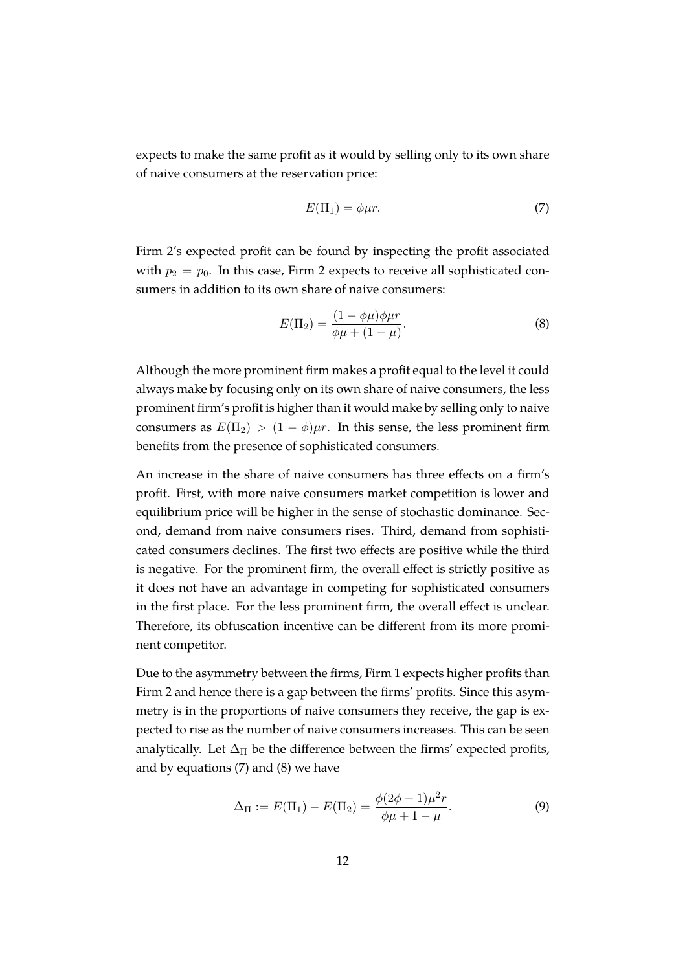expects to make the same profit as it would by selling only to its own share of naive consumers at the reservation price:

<span id="page-14-0"></span>
$$
E(\Pi_1) = \phi \mu r. \tag{7}
$$

Firm 2's expected profit can be found by inspecting the profit associated with  $p_2 = p_0$ . In this case, Firm 2 expects to receive all sophisticated consumers in addition to its own share of naive consumers:

<span id="page-14-1"></span>
$$
E(\Pi_2) = \frac{(1 - \phi \mu)\phi \mu r}{\phi \mu + (1 - \mu)}.
$$
 (8)

Although the more prominent firm makes a profit equal to the level it could always make by focusing only on its own share of naive consumers, the less prominent firm's profit is higher than it would make by selling only to naive consumers as  $E(\Pi_2) > (1 - \phi)\mu r$ . In this sense, the less prominent firm benefits from the presence of sophisticated consumers.

An increase in the share of naive consumers has three effects on a firm's profit. First, with more naive consumers market competition is lower and equilibrium price will be higher in the sense of stochastic dominance. Second, demand from naive consumers rises. Third, demand from sophisticated consumers declines. The first two effects are positive while the third is negative. For the prominent firm, the overall effect is strictly positive as it does not have an advantage in competing for sophisticated consumers in the first place. For the less prominent firm, the overall effect is unclear. Therefore, its obfuscation incentive can be different from its more prominent competitor.

Due to the asymmetry between the firms, Firm 1 expects higher profits than Firm 2 and hence there is a gap between the firms' profits. Since this asymmetry is in the proportions of naive consumers they receive, the gap is expected to rise as the number of naive consumers increases. This can be seen analytically. Let  $\Delta_{\Pi}$  be the difference between the firms' expected profits, and by equations [\(7\)](#page-14-0) and [\(8\)](#page-14-1) we have

$$
\Delta_{\Pi} := E(\Pi_1) - E(\Pi_2) = \frac{\phi(2\phi - 1)\mu^2 r}{\phi \mu + 1 - \mu}.
$$
\n(9)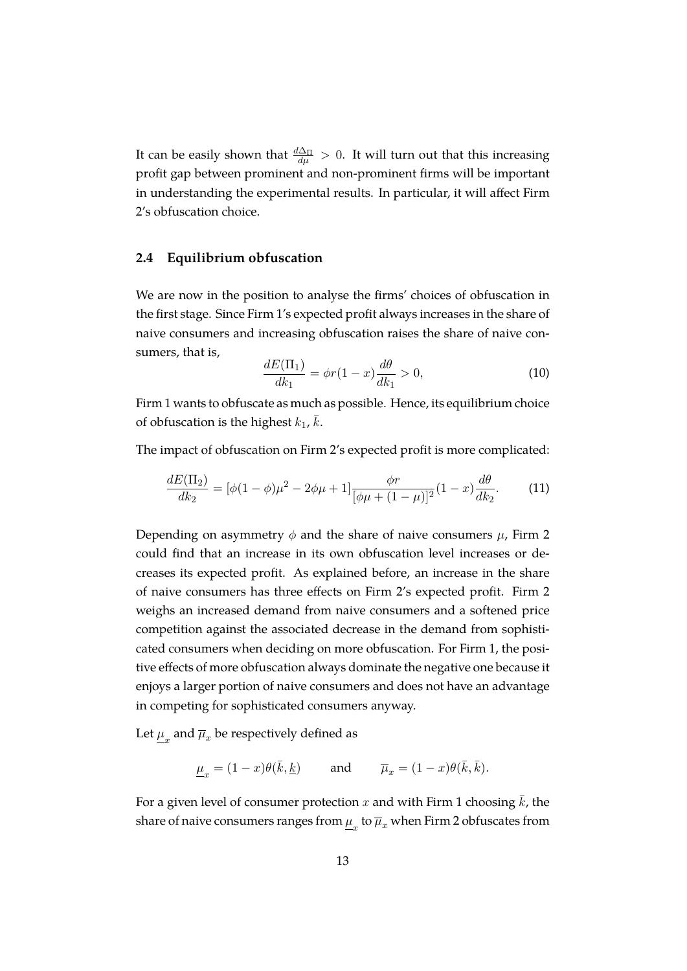It can be easily shown that  $\frac{d\Delta_{\Pi}}{d\mu} > 0$ . It will turn out that this increasing profit gap between prominent and non-prominent firms will be important in understanding the experimental results. In particular, it will affect Firm 2's obfuscation choice.

#### **2.4 Equilibrium obfuscation**

We are now in the position to analyse the firms' choices of obfuscation in the first stage. Since Firm 1's expected profit always increases in the share of naive consumers and increasing obfuscation raises the share of naive consumers, that is,

$$
\frac{dE(\Pi_1)}{dk_1} = \phi r(1-x) \frac{d\theta}{dk_1} > 0,\tag{10}
$$

Firm 1 wants to obfuscate as much as possible. Hence, its equilibrium choice of obfuscation is the highest  $k_1$ ,  $\overline{k}$ .

The impact of obfuscation on Firm 2's expected profit is more complicated:

$$
\frac{dE(\Pi_2)}{dk_2} = [\phi(1-\phi)\mu^2 - 2\phi\mu + 1] \frac{\phi r}{[\phi\mu + (1-\mu)]^2} (1-x) \frac{d\theta}{dk_2}.
$$
 (11)

Depending on asymmetry  $\phi$  and the share of naive consumers  $\mu$ , Firm 2 could find that an increase in its own obfuscation level increases or decreases its expected profit. As explained before, an increase in the share of naive consumers has three effects on Firm 2's expected profit. Firm 2 weighs an increased demand from naive consumers and a softened price competition against the associated decrease in the demand from sophisticated consumers when deciding on more obfuscation. For Firm 1, the positive effects of more obfuscation always dominate the negative one because it enjoys a larger portion of naive consumers and does not have an advantage in competing for sophisticated consumers anyway.

Let  $\underline{\mu}_x$  and  $\overline{\mu}_x$  be respectively defined as

$$
\underline{\mu}_x = (1-x) \theta(\bar{k}, \underline{k}) \qquad \text{ and } \qquad \overline{\mu}_x = (1-x) \theta(\bar{k}, \bar{k}).
$$

For a given level of consumer protection x and with Firm 1 choosing  $\bar{k}$ , the share of naive consumers ranges from  $\underline{\mu}_x$  to  $\overline{\mu}_x$  when Firm 2 obfuscates from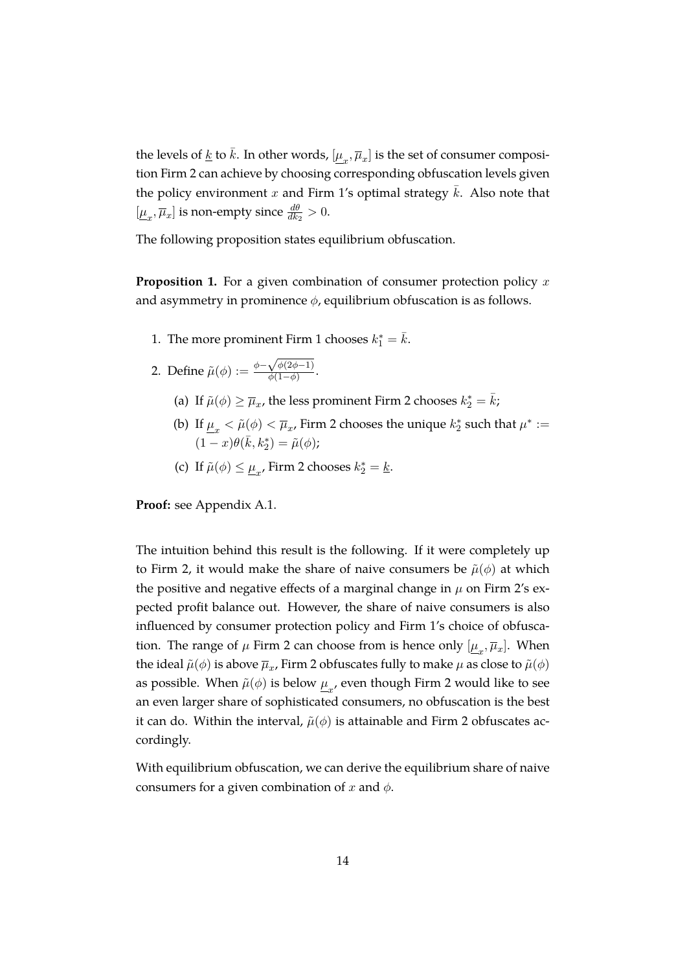the levels of <u>k</u> to  $\bar{k}$ . In other words,  $[\underline{\mu}_x, \overline{\mu}_x]$  is the set of consumer composition Firm 2 can achieve by choosing corresponding obfuscation levels given the policy environment x and Firm 1's optimal strategy  $\bar{k}$ . Also note that  $[\underline{\mu}_x, \overline{\mu}_x]$  is non-empty since  $\frac{d\theta}{dk_2} > 0$ .

The following proposition states equilibrium obfuscation.

<span id="page-16-0"></span>**Proposition 1.** For a given combination of consumer protection policy x and asymmetry in prominence  $\phi$ , equilibrium obfuscation is as follows.

1. The more prominent Firm 1 chooses  $k_1^* = \bar{k}$ .

2. Define 
$$
\tilde{\mu}(\phi) := \frac{\phi - \sqrt{\phi(2\phi - 1)}}{\phi(1 - \phi)}
$$
.

- (a) If  $\tilde{\mu}(\phi) \ge \overline{\mu}_x$ , the less prominent Firm 2 chooses  $k_2^* = \overline{k}$ ;
- <span id="page-16-1"></span>(b) If  $\underline{\mu}_x < \tilde{\mu}(\phi) < \overline{\mu}_x$ , Firm 2 chooses the unique  $k_2^*$  such that  $\mu^* :=$  $(1-x)\theta(\bar{k},k_2^*) = \tilde{\mu}(\phi);$
- <span id="page-16-2"></span>(c) If  $\tilde{\mu}(\phi) \leq \underline{\mu}_x$ , Firm 2 chooses  $k_2^* = \underline{k}$ .

**Proof:** see Appendix [A.1.](#page-36-0)

The intuition behind this result is the following. If it were completely up to Firm 2, it would make the share of naive consumers be  $\tilde{\mu}(\phi)$  at which the positive and negative effects of a marginal change in  $\mu$  on Firm 2's expected profit balance out. However, the share of naive consumers is also influenced by consumer protection policy and Firm 1's choice of obfuscation. The range of  $\mu$  Firm 2 can choose from is hence only  $[\underline{\mu}_x, \overline{\mu}_x]$ . When the ideal  $\tilde{\mu}(\phi)$  is above  $\overline{\mu}_x$ , Firm 2 obfuscates fully to make  $\mu$  as close to  $\tilde{\mu}(\phi)$ as possible. When  $\tilde{\mu}(\phi)$  is below  $\underline{\mu}_{x'}$  even though Firm 2 would like to see an even larger share of sophisticated consumers, no obfuscation is the best it can do. Within the interval,  $\tilde{\mu}(\phi)$  is attainable and Firm 2 obfuscates accordingly.

With equilibrium obfuscation, we can derive the equilibrium share of naive consumers for a given combination of x and  $\phi$ .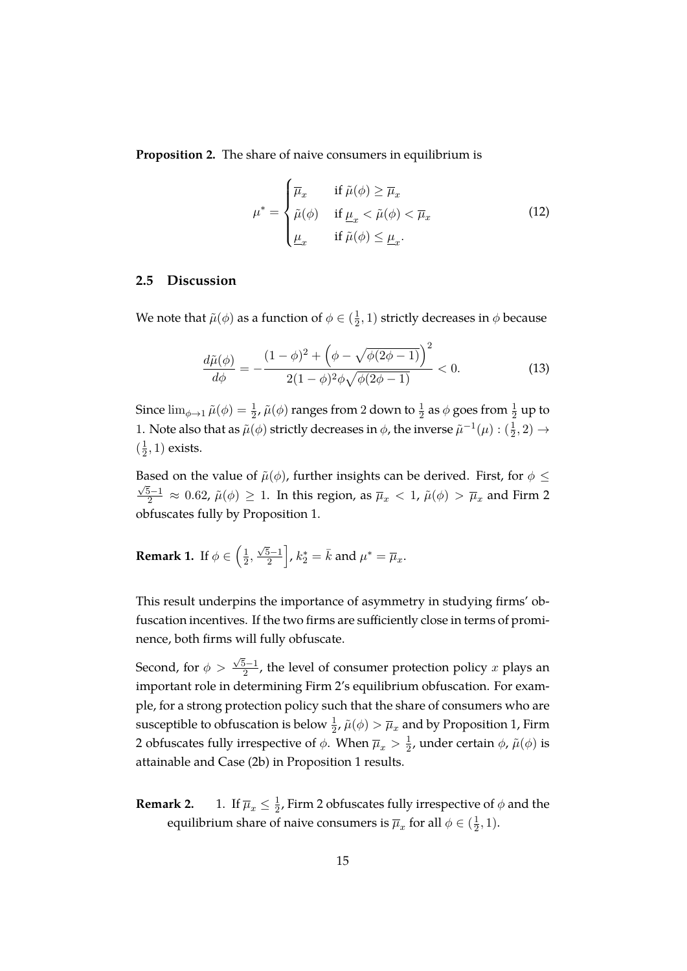<span id="page-17-0"></span>**Proposition 2.** The share of naive consumers in equilibrium is

$$
\mu^* = \begin{cases} \overline{\mu}_x & \text{if } \tilde{\mu}(\phi) \ge \overline{\mu}_x \\ \tilde{\mu}(\phi) & \text{if } \underline{\mu}_x < \tilde{\mu}(\phi) < \overline{\mu}_x \\ \underline{\mu}_x & \text{if } \tilde{\mu}(\phi) \le \underline{\mu}_x. \end{cases}
$$
(12)

#### **2.5 Discussion**

We note that  $\tilde{\mu}(\phi)$  as a function of  $\phi \in (\frac{1}{2})$  $(\frac{1}{2}, 1)$  strictly decreases in  $\phi$  because

<span id="page-17-1"></span>
$$
\frac{d\tilde{\mu}(\phi)}{d\phi} = -\frac{(1-\phi)^2 + \left(\phi - \sqrt{\phi(2\phi - 1)}\right)^2}{2(1-\phi)^2 \phi \sqrt{\phi(2\phi - 1)}} < 0. \tag{13}
$$

Since  $\lim_{\phi\to 1} \tilde{\mu}(\phi) = \frac{1}{2}$ ,  $\tilde{\mu}(\phi)$  ranges from 2 down to  $\frac{1}{2}$  as  $\phi$  goes from  $\frac{1}{2}$  up to 1. Note also that as  $\tilde{\mu}(\phi)$  strictly decreases in  $\phi$ , the inverse  $\tilde{\mu}^{-1}(\mu) : (\frac{1}{2}, 2) \to$  $\left(\frac{1}{2}\right)$  $(\frac{1}{2}, 1)$  exists.

Based on the value of  $\tilde{\mu}(\phi)$ , further insights can be derived. First, for  $\phi \leq \tilde{\phi}$  $\frac{5-1}{2}$  ≈ 0.62,  $\tilde{\mu}(\phi) \geq 1$ . In this region, as  $\overline{\mu}_{x} < 1$ ,  $\tilde{\mu}(\phi) > \overline{\mu}_{x}$  and Firm 2 obfuscates fully by Proposition [1.](#page-16-0)

**Remark 1.** If  $\phi \in \left(\frac{1}{2}\right)$  $\frac{1}{2}$ ,  $\sqrt{5}-1$  $\left[\bar{\bar{b-1}}\right]$  ,  $k_2^*=\bar{k}$  and  $\mu^*=\overline{\mu}_x.$ 

This result underpins the importance of asymmetry in studying firms' obfuscation incentives. If the two firms are sufficiently close in terms of prominence, both firms will fully obfuscate.

Second, for  $\phi >$  $\sqrt{5}-1$  $\frac{2^{D-1}}{2}$ , the level of consumer protection policy x plays an important role in determining Firm 2's equilibrium obfuscation. For example, for a strong protection policy such that the share of consumers who are susceptible to obfuscation is below  $\frac{1}{2}$ ,  $\tilde{\mu}(\phi) > \overline{\mu}_x$  and by Proposition [1,](#page-16-0) Firm 2 obfuscates fully irrespective of  $\phi$ . When  $\overline{\mu}_x > \frac{1}{2}$  $\frac{1}{2}$ , under certain  $\phi$ ,  $\tilde{\mu}(\phi)$  is attainable and Case [\(2b\)](#page-16-1) in Proposition [1](#page-16-0) results.

**Remark 2.** 1. If  $\overline{\mu}_x \leq \frac{1}{2}$  $\frac{1}{2}$ , Firm 2 obfuscates fully irrespective of  $\phi$  and the equilibrium share of naive consumers is  $\overline{\mu}_x$  for all  $\phi \in (\frac{1}{2})$  $\frac{1}{2}, 1$ ).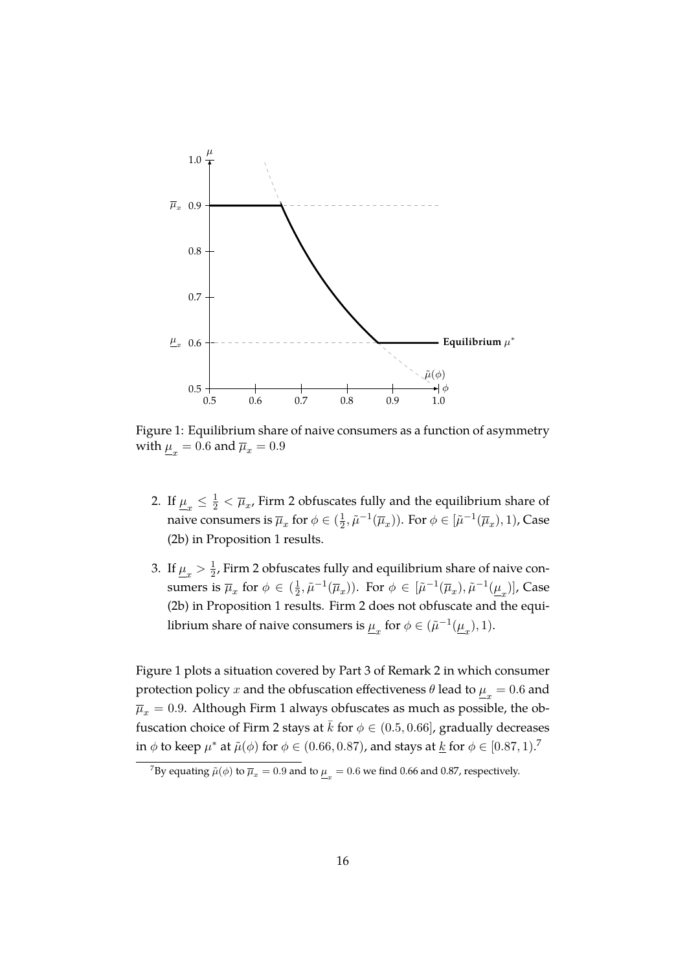

<span id="page-18-0"></span>Figure 1: Equilibrium share of naive consumers as a function of asymmetry with  $\underline{\mu}_x = 0.6$  and  $\overline{\mu}_x = 0.9$ 

- 2. If  $\underline{\mu}_x \leq \frac{1}{2} < \overline{\mu}_x$ , Firm 2 obfuscates fully and the equilibrium share of naive consumers is  $\overline{\mu}_x$  for  $\phi \in (\frac{1}{2})$  $\frac{1}{2}, \tilde{\mu}^{-1}(\overline{\mu}_x)$ ). For  $\phi \in [\tilde{\mu}^{-1}(\overline{\mu}_x), 1)$ , Case [\(2b\)](#page-16-1) in Proposition [1](#page-16-0) results.
- <span id="page-18-1"></span>3. If  $\underline{\mu}_x > \frac{1}{2}$  $\frac{1}{2}$ , Firm 2 obfuscates fully and equilibrium share of naive consumers is  $\overline{\mu}_x$  for  $\phi \in (\frac{1}{2})$  $(\frac{1}{2}, \tilde{\mu}^{-1}(\overline{\mu}_x)).$  For  $\phi \in [\tilde{\mu}^{-1}(\overline{\mu}_x), \tilde{\mu}^{-1}(\underline{\mu}_x)].$  Case [\(2b\)](#page-16-1) in Proposition [1](#page-16-0) results. Firm 2 does not obfuscate and the equilibrium share of naive consumers is  $\underline{\mu}_x$  for  $\phi \in (\tilde{\mu}^{-1}(\underline{\mu}_x), 1)$ .

Figure [1](#page-18-0) plots a situation covered by Part [3](#page-18-1) of Remark [2](#page-3-0) in which consumer protection policy  $x$  and the obfuscation effectiveness  $\theta$  lead to  $\underline{\mu}_x = 0.6$  and  $\overline{\mu}_x$  = 0.9. Although Firm 1 always obfuscates as much as possible, the obfuscation choice of Firm 2 stays at  $\bar{k}$  for  $\phi \in (0.5, 0.66]$ , gradually decreases in  $\phi$  to keep  $\mu^*$  at  $\tilde{\mu}(\phi)$  for  $\phi \in (0.66, 0.87)$  $\phi \in (0.66, 0.87)$  $\phi \in (0.66, 0.87)$ , and stays at  $\underline{k}$  for  $\phi \in [0.87, 1).$ <sup>7</sup>

<span id="page-18-2"></span> $^7$ By equating  $\tilde{\mu}(\phi)$  to  $\overline{\mu}_x=0.9$  and to  $\underline{\mu}_x=0.6$  we find 0.66 and 0.87, respectively.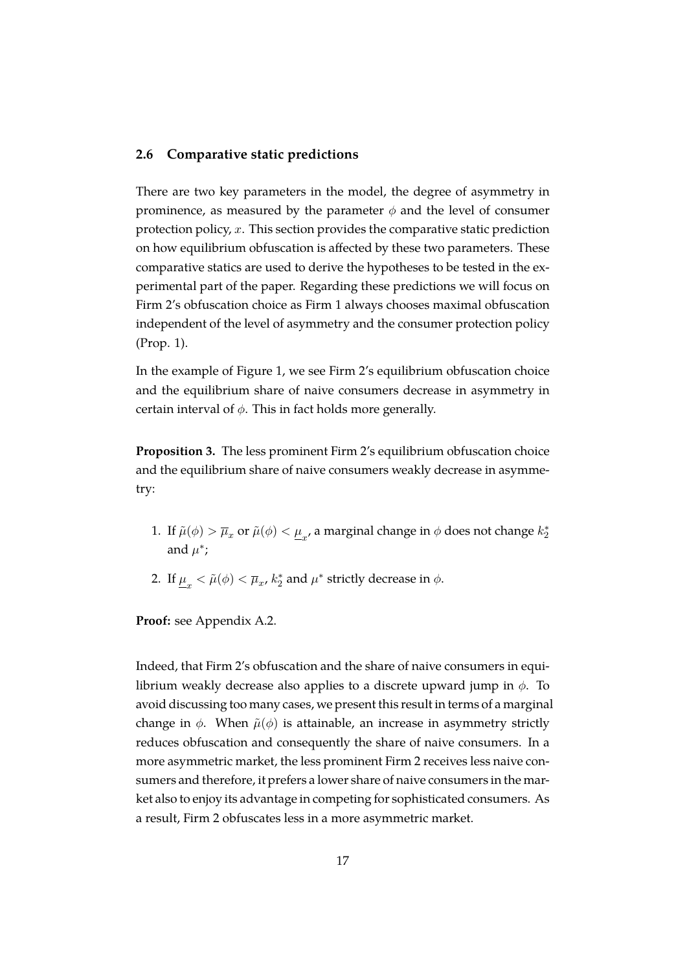#### **2.6 Comparative static predictions**

There are two key parameters in the model, the degree of asymmetry in prominence, as measured by the parameter  $\phi$  and the level of consumer protection policy,  $x$ . This section provides the comparative static prediction on how equilibrium obfuscation is affected by these two parameters. These comparative statics are used to derive the hypotheses to be tested in the experimental part of the paper. Regarding these predictions we will focus on Firm 2's obfuscation choice as Firm 1 always chooses maximal obfuscation independent of the level of asymmetry and the consumer protection policy (Prop. 1).

In the example of Figure [1,](#page-18-0) we see Firm 2's equilibrium obfuscation choice and the equilibrium share of naive consumers decrease in asymmetry in certain interval of  $\phi$ . This in fact holds more generally.

<span id="page-19-0"></span>**Proposition 3.** The less prominent Firm 2's equilibrium obfuscation choice and the equilibrium share of naive consumers weakly decrease in asymmetry:

- 1. If  $\tilde{\mu}(\phi) > \overline{\mu}_x$  or  $\tilde{\mu}(\phi) < \underline{\mu}_x$ , a marginal change in  $\phi$  does not change  $k_2^*$ and  $\mu^*$ ;
- <span id="page-19-1"></span>2. If  $\underline{\mu}_x < \tilde{\mu}(\phi) < \overline{\mu}_x$ ,  $k_2^*$  and  $\mu^*$  strictly decrease in  $\phi$ .

**Proof:** see Appendix [A.2.](#page-36-1)

Indeed, that Firm 2's obfuscation and the share of naive consumers in equilibrium weakly decrease also applies to a discrete upward jump in  $\phi$ . To avoid discussing too many cases, we present this result in terms of a marginal change in  $\phi$ . When  $\tilde{\mu}(\phi)$  is attainable, an increase in asymmetry strictly reduces obfuscation and consequently the share of naive consumers. In a more asymmetric market, the less prominent Firm 2 receives less naive consumers and therefore, it prefers a lower share of naive consumers in the market also to enjoy its advantage in competing for sophisticated consumers. As a result, Firm 2 obfuscates less in a more asymmetric market.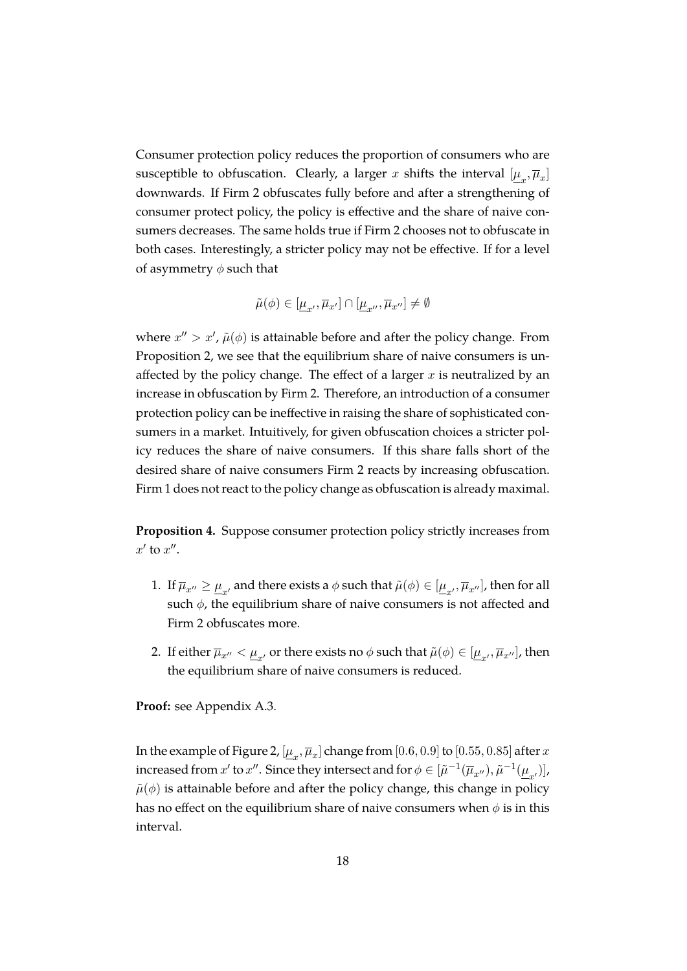Consumer protection policy reduces the proportion of consumers who are susceptible to obfuscation. Clearly, a larger  $x$  shifts the interval  $[\underline{\mu}_x,\overline{\mu}_x]$ downwards. If Firm 2 obfuscates fully before and after a strengthening of consumer protect policy, the policy is effective and the share of naive consumers decreases. The same holds true if Firm 2 chooses not to obfuscate in both cases. Interestingly, a stricter policy may not be effective. If for a level of asymmetry  $\phi$  such that

$$
\tilde{\mu}(\phi) \in [\underline{\mu}_{x'}, \overline{\mu}_{x'}] \cap [\underline{\mu}_{x''}, \overline{\mu}_{x''}] \neq \emptyset
$$

where  $x'' > x'$ ,  $\tilde{\mu}(\phi)$  is attainable before and after the policy change. From Proposition [2,](#page-17-0) we see that the equilibrium share of naive consumers is unaffected by the policy change. The effect of a larger  $x$  is neutralized by an increase in obfuscation by Firm 2. Therefore, an introduction of a consumer protection policy can be ineffective in raising the share of sophisticated consumers in a market. Intuitively, for given obfuscation choices a stricter policy reduces the share of naive consumers. If this share falls short of the desired share of naive consumers Firm 2 reacts by increasing obfuscation. Firm 1 does not react to the policy change as obfuscation is already maximal.

<span id="page-20-0"></span>**Proposition 4.** Suppose consumer protection policy strictly increases from  $x'$  to  $x''$ .

- 1. If  $\overline{\mu}_{x''}\geq\underline{\mu}_{x'}$  and there exists a  $\phi$  such that  $\tilde{\mu}(\phi)\in[\underline{\mu}_{x'},\overline{\mu}_{x''}],$  then for all such  $\phi$ , the equilibrium share of naive consumers is not affected and Firm 2 obfuscates more.
- 2. If either  $\overline{\mu}_{x''}<\underline{\mu}_{x'}$  or there exists no  $\phi$  such that  $\tilde{\mu}(\phi)\in[\underline{\mu}_{x'},\overline{\mu}_{x''}],$  then the equilibrium share of naive consumers is reduced.

**Proof:** see Appendix [A.3.](#page-37-0)

In the example of Figure [2,](#page-21-0)  $[\underline{\mu}_x,\overline{\mu}_x]$  change from  $[0.6,0.9]$  to  $[0.55,0.85]$  after  $x$ increased from  $x'$  to  $x''$ . Since they intersect and for  $\phi \in [\tilde{\mu}^{-1}(\overline{\mu}_{x''}), \tilde{\mu}^{-1}(\underline{\mu}_{x'})]$ ,  $\tilde{\mu}(\phi)$  is attainable before and after the policy change, this change in policy has no effect on the equilibrium share of naive consumers when  $\phi$  is in this interval.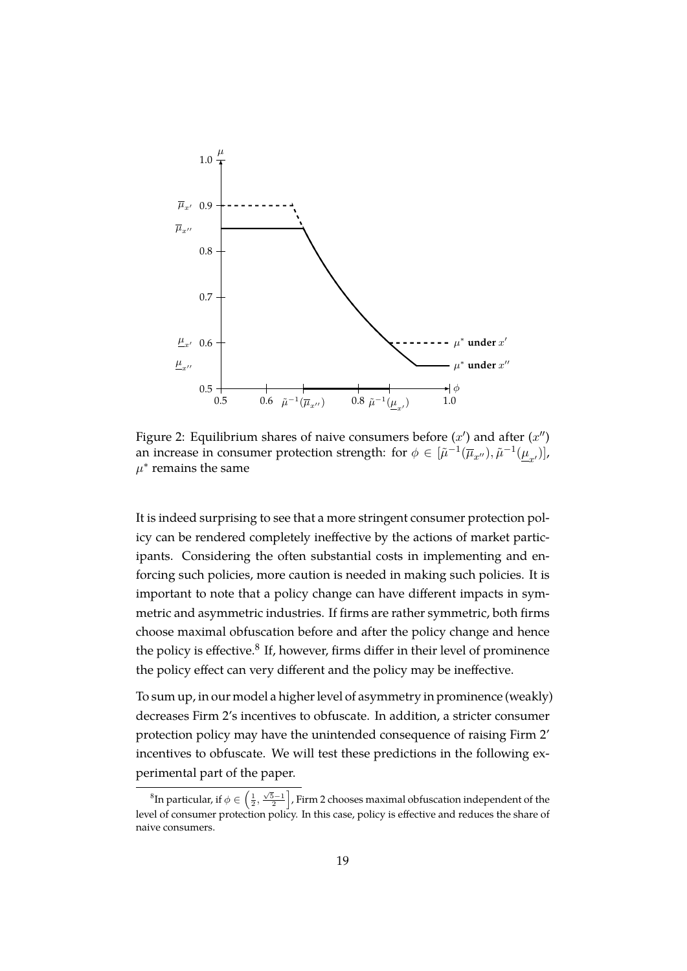

<span id="page-21-0"></span>Figure 2: Equilibrium shares of naive consumers before  $(x')$  and after  $(x'')$ an increase in consumer protection strength: for  $\phi \in [\tilde{\mu}^{-1}(\overline{\mu}_{x''}), \tilde{\mu}^{-1}(\underline{\mu}_{x'})]$ ,  $\mu^*$  remains the same

It is indeed surprising to see that a more stringent consumer protection policy can be rendered completely ineffective by the actions of market participants. Considering the often substantial costs in implementing and enforcing such policies, more caution is needed in making such policies. It is important to note that a policy change can have different impacts in symmetric and asymmetric industries. If firms are rather symmetric, both firms choose maximal obfuscation before and after the policy change and hence the policy is effective.<sup>[8](#page-21-1)</sup> If, however, firms differ in their level of prominence the policy effect can very different and the policy may be ineffective.

To sum up, in our model a higher level of asymmetry in prominence (weakly) decreases Firm 2's incentives to obfuscate. In addition, a stricter consumer protection policy may have the unintended consequence of raising Firm 2' incentives to obfuscate. We will test these predictions in the following experimental part of the paper.

<span id="page-21-1"></span> ${}^8{\rm In\, particular, if}\ \phi\in\left(\frac{1}{2},\frac{\sqrt{5}-1}{2}\right]$ , Firm 2 chooses maximal obfuscation independent of the level of consumer protection policy. In this case, policy is effective and reduces the share of naive consumers.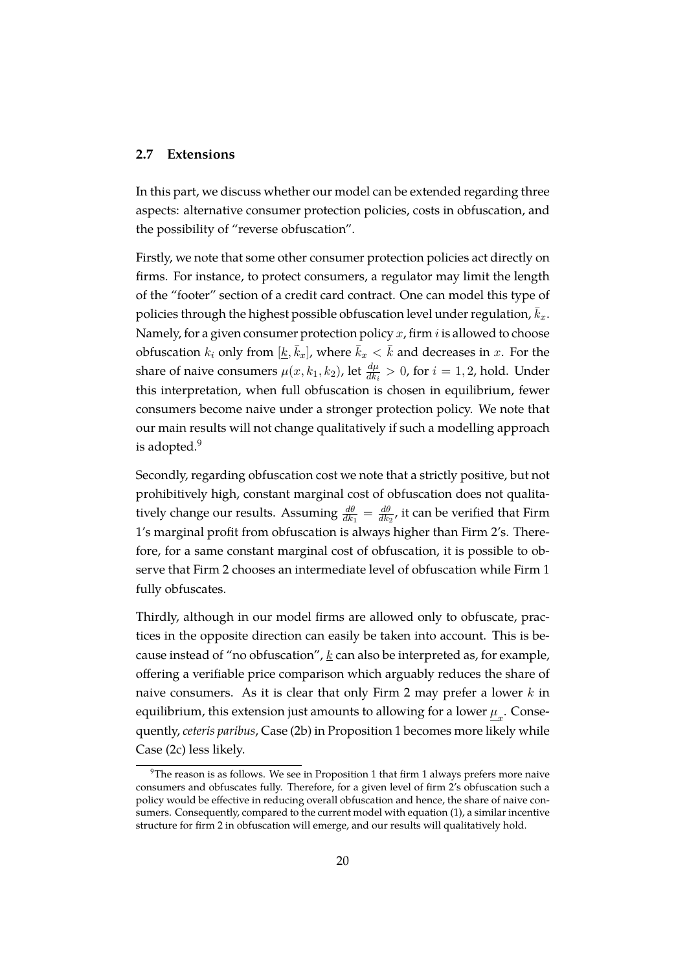#### <span id="page-22-0"></span>**2.7 Extensions**

In this part, we discuss whether our model can be extended regarding three aspects: alternative consumer protection policies, costs in obfuscation, and the possibility of "reverse obfuscation".

Firstly, we note that some other consumer protection policies act directly on firms. For instance, to protect consumers, a regulator may limit the length of the "footer" section of a credit card contract. One can model this type of policies through the highest possible obfuscation level under regulation,  $\bar{k}_x$ . Namely, for a given consumer protection policy  $x$ , firm  $i$  is allowed to choose obfuscation  $k_i$  only from  $[\underline{k}, \overline{k}_x]$ , where  $\overline{k}_x < \overline{k}$  and decreases in x. For the share of naive consumers  $\mu(x, k_1, k_2)$ , let  $\frac{d\mu}{dk_i} > 0$ , for  $i = 1, 2$ , hold. Under this interpretation, when full obfuscation is chosen in equilibrium, fewer consumers become naive under a stronger protection policy. We note that our main results will not change qualitatively if such a modelling approach is adopted.<sup>[9](#page-22-1)</sup>

Secondly, regarding obfuscation cost we note that a strictly positive, but not prohibitively high, constant marginal cost of obfuscation does not qualitatively change our results. Assuming  $\frac{d\theta}{dk_1} = \frac{d\theta}{dk_1}$  $\frac{d\theta}{dk_2}$ , it can be verified that Firm 1's marginal profit from obfuscation is always higher than Firm 2's. Therefore, for a same constant marginal cost of obfuscation, it is possible to observe that Firm 2 chooses an intermediate level of obfuscation while Firm 1 fully obfuscates.

Thirdly, although in our model firms are allowed only to obfuscate, practices in the opposite direction can easily be taken into account. This is because instead of "no obfuscation",  $k$  can also be interpreted as, for example, offering a verifiable price comparison which arguably reduces the share of naive consumers. As it is clear that only Firm 2 may prefer a lower  $k$  in equilibrium, this extension just amounts to allowing for a lower  $\underline{\mu}_x.$  Consequently, *ceteris paribus*, Case [\(2b\)](#page-16-1) in Proposition [1](#page-16-0) becomes more likely while Case [\(2c\)](#page-16-2) less likely.

<span id="page-22-1"></span> $9$ The reason is as follows. We see in Proposition [1](#page-16-0) that firm 1 always prefers more naive consumers and obfuscates fully. Therefore, for a given level of firm 2's obfuscation such a policy would be effective in reducing overall obfuscation and hence, the share of naive consumers. Consequently, compared to the current model with equation [\(1\)](#page-10-1), a similar incentive structure for firm 2 in obfuscation will emerge, and our results will qualitatively hold.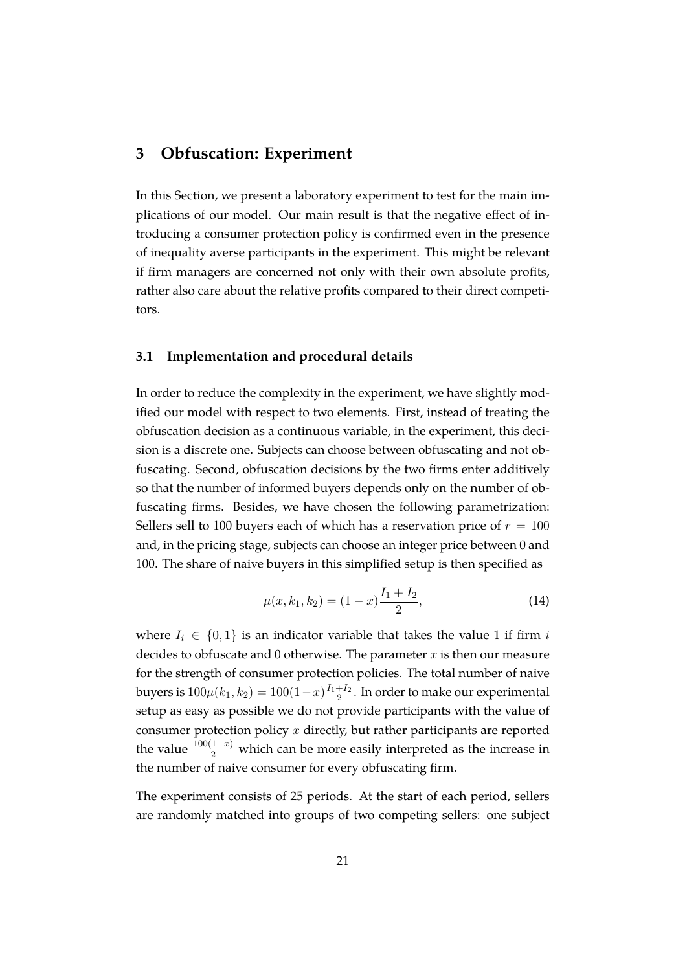#### <span id="page-23-0"></span>**3 Obfuscation: Experiment**

In this Section, we present a laboratory experiment to test for the main implications of our model. Our main result is that the negative effect of introducing a consumer protection policy is confirmed even in the presence of inequality averse participants in the experiment. This might be relevant if firm managers are concerned not only with their own absolute profits, rather also care about the relative profits compared to their direct competitors.

#### **3.1 Implementation and procedural details**

In order to reduce the complexity in the experiment, we have slightly modified our model with respect to two elements. First, instead of treating the obfuscation decision as a continuous variable, in the experiment, this decision is a discrete one. Subjects can choose between obfuscating and not obfuscating. Second, obfuscation decisions by the two firms enter additively so that the number of informed buyers depends only on the number of obfuscating firms. Besides, we have chosen the following parametrization: Sellers sell to 100 buyers each of which has a reservation price of  $r = 100$ and, in the pricing stage, subjects can choose an integer price between 0 and 100. The share of naive buyers in this simplified setup is then specified as

$$
\mu(x, k_1, k_2) = (1 - x) \frac{I_1 + I_2}{2},\tag{14}
$$

where  $I_i \in \{0,1\}$  is an indicator variable that takes the value 1 if firm i decides to obfuscate and 0 otherwise. The parameter  $x$  is then our measure for the strength of consumer protection policies. The total number of naive buyers is  $100\mu(k_1,k_2)=100(1-x)\frac{I_1+I_2}{2}.$  In order to make our experimental setup as easy as possible we do not provide participants with the value of consumer protection policy  $x$  directly, but rather participants are reported the value  $\frac{100(1-x)}{2}$  which can be more easily interpreted as the increase in the number of naive consumer for every obfuscating firm.

The experiment consists of 25 periods. At the start of each period, sellers are randomly matched into groups of two competing sellers: one subject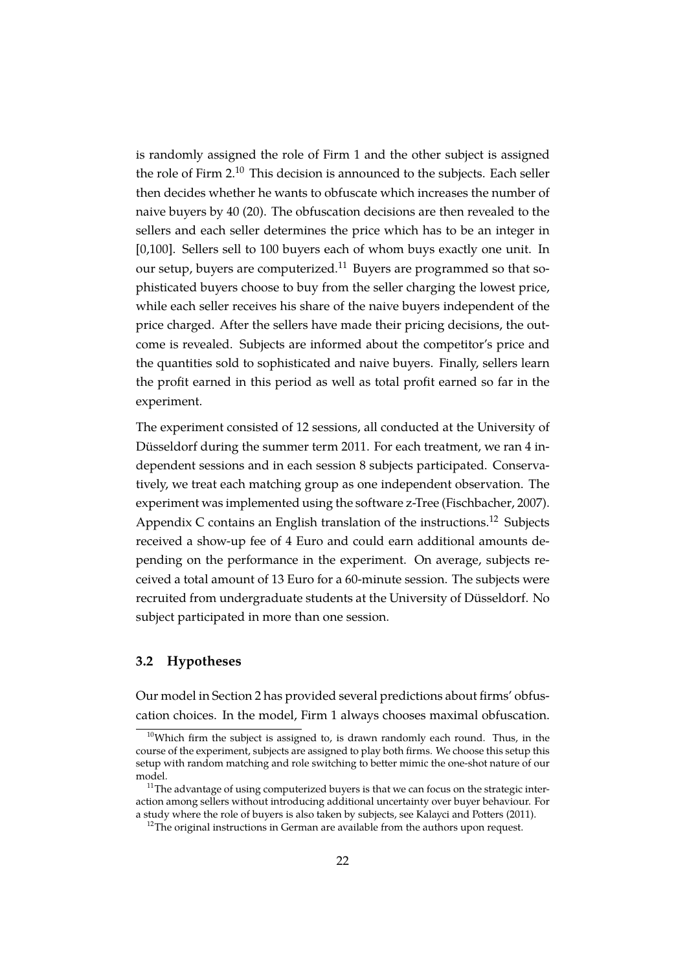is randomly assigned the role of Firm 1 and the other subject is assigned the role of Firm 2.[10](#page-24-0) This decision is announced to the subjects. Each seller then decides whether he wants to obfuscate which increases the number of naive buyers by 40 (20). The obfuscation decisions are then revealed to the sellers and each seller determines the price which has to be an integer in [0,100]. Sellers sell to 100 buyers each of whom buys exactly one unit. In our setup, buyers are computerized.<sup>[11](#page-24-1)</sup> Buyers are programmed so that sophisticated buyers choose to buy from the seller charging the lowest price, while each seller receives his share of the naive buyers independent of the price charged. After the sellers have made their pricing decisions, the outcome is revealed. Subjects are informed about the competitor's price and the quantities sold to sophisticated and naive buyers. Finally, sellers learn the profit earned in this period as well as total profit earned so far in the experiment.

The experiment consisted of 12 sessions, all conducted at the University of Düsseldorf during the summer term 2011. For each treatment, we ran 4 independent sessions and in each session 8 subjects participated. Conservatively, we treat each matching group as one independent observation. The experiment was implemented using the software z-Tree [\(Fischbacher, 2007\)](#page-43-10). Appendix [C](#page-39-0) contains an English translation of the instructions.<sup>[12](#page-24-2)</sup> Subjects received a show-up fee of 4 Euro and could earn additional amounts depending on the performance in the experiment. On average, subjects received a total amount of 13 Euro for a 60-minute session. The subjects were recruited from undergraduate students at the University of Düsseldorf. No subject participated in more than one session.

#### **3.2 Hypotheses**

Our model in Section [2](#page-10-0) has provided several predictions about firms' obfuscation choices. In the model, Firm 1 always chooses maximal obfuscation.

<span id="page-24-0"></span> $10$ Which firm the subject is assigned to, is drawn randomly each round. Thus, in the course of the experiment, subjects are assigned to play both firms. We choose this setup this setup with random matching and role switching to better mimic the one-shot nature of our model.

<span id="page-24-1"></span> $11$ The advantage of using computerized buyers is that we can focus on the strategic interaction among sellers without introducing additional uncertainty over buyer behaviour. For a study where the role of buyers is also taken by subjects, see [Kalayci and Potters](#page-44-12) [\(2011\)](#page-44-12).

<span id="page-24-2"></span> $12$ The original instructions in German are available from the authors upon request.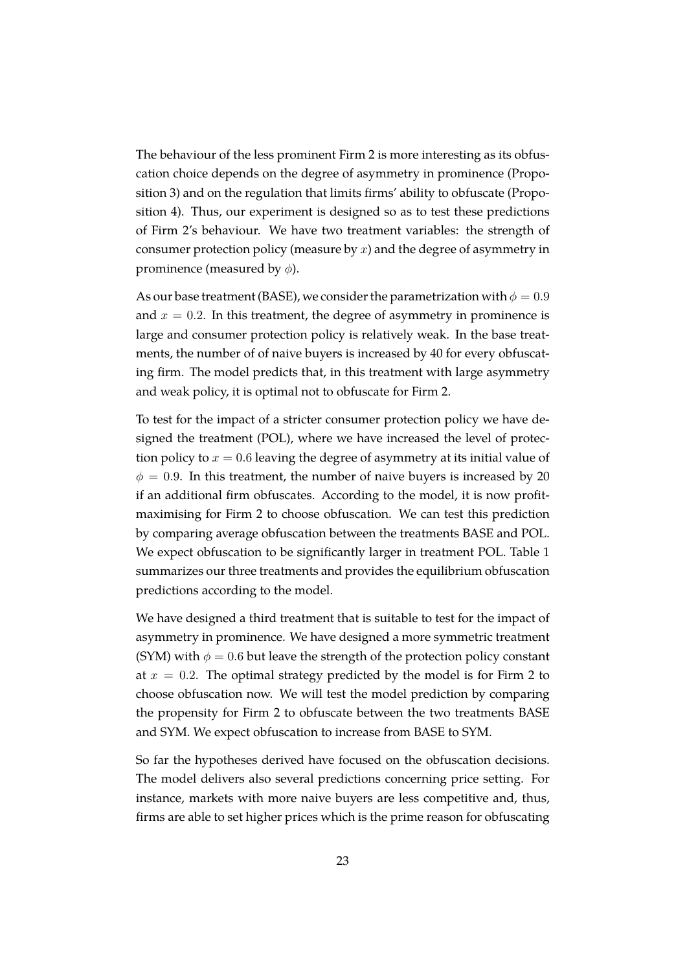The behaviour of the less prominent Firm 2 is more interesting as its obfuscation choice depends on the degree of asymmetry in prominence (Proposition [3\)](#page-19-0) and on the regulation that limits firms' ability to obfuscate (Proposition [4\)](#page-20-0). Thus, our experiment is designed so as to test these predictions of Firm 2's behaviour. We have two treatment variables: the strength of consumer protection policy (measure by  $x$ ) and the degree of asymmetry in prominence (measured by  $\phi$ ).

As our base treatment (BASE), we consider the parametrization with  $\phi = 0.9$ and  $x = 0.2$ . In this treatment, the degree of asymmetry in prominence is large and consumer protection policy is relatively weak. In the base treatments, the number of of naive buyers is increased by 40 for every obfuscating firm. The model predicts that, in this treatment with large asymmetry and weak policy, it is optimal not to obfuscate for Firm 2.

To test for the impact of a stricter consumer protection policy we have designed the treatment (POL), where we have increased the level of protection policy to  $x = 0.6$  leaving the degree of asymmetry at its initial value of  $\phi = 0.9$ . In this treatment, the number of naive buyers is increased by 20 if an additional firm obfuscates. According to the model, it is now profitmaximising for Firm 2 to choose obfuscation. We can test this prediction by comparing average obfuscation between the treatments BASE and POL. We expect obfuscation to be significantly larger in treatment POL. Table [1](#page-26-0) summarizes our three treatments and provides the equilibrium obfuscation predictions according to the model.

We have designed a third treatment that is suitable to test for the impact of asymmetry in prominence. We have designed a more symmetric treatment (SYM) with  $\phi = 0.6$  but leave the strength of the protection policy constant at  $x = 0.2$ . The optimal strategy predicted by the model is for Firm 2 to choose obfuscation now. We will test the model prediction by comparing the propensity for Firm 2 to obfuscate between the two treatments BASE and SYM. We expect obfuscation to increase from BASE to SYM.

So far the hypotheses derived have focused on the obfuscation decisions. The model delivers also several predictions concerning price setting. For instance, markets with more naive buyers are less competitive and, thus, firms are able to set higher prices which is the prime reason for obfuscating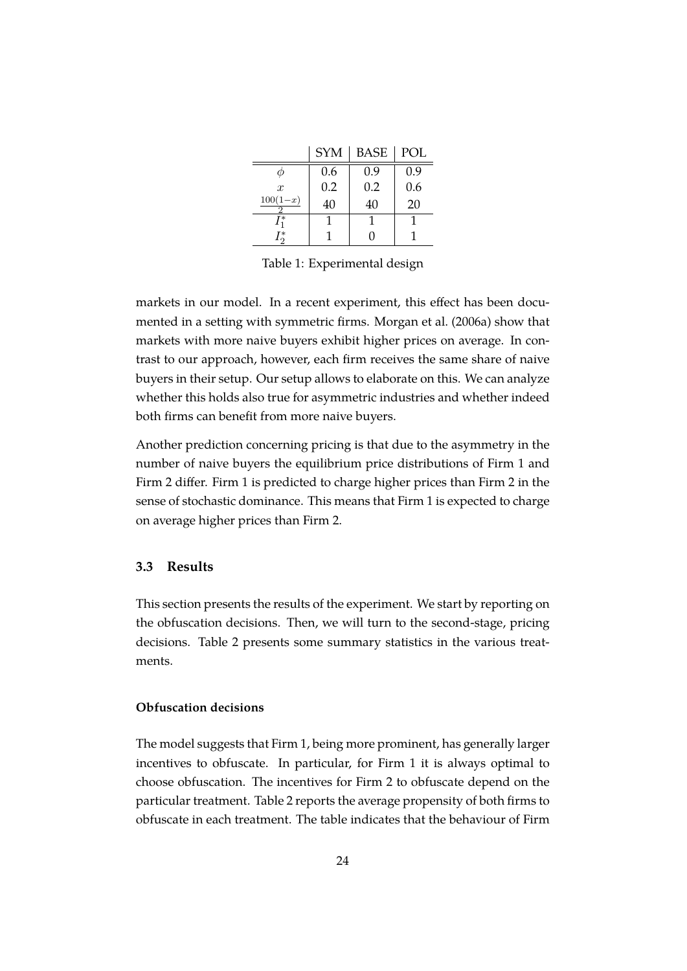|                  | <b>SYM</b> | <b>BASE</b> | POL |
|------------------|------------|-------------|-----|
|                  | 0.6        | 0.9         | 0.9 |
| $\boldsymbol{x}$ | 0.2        | 0.2         | 0.6 |
| $100(1-x)$       | 40         | 40          | 20  |
| $\int_{1}^{*}$   |            |             |     |
| $\int_{0}^{*}$   |            |             |     |

<span id="page-26-0"></span>Table 1: Experimental design

markets in our model. In a recent experiment, this effect has been documented in a setting with symmetric firms. [Morgan et al.](#page-44-10) [\(2006a\)](#page-44-10) show that markets with more naive buyers exhibit higher prices on average. In contrast to our approach, however, each firm receives the same share of naive buyers in their setup. Our setup allows to elaborate on this. We can analyze whether this holds also true for asymmetric industries and whether indeed both firms can benefit from more naive buyers.

Another prediction concerning pricing is that due to the asymmetry in the number of naive buyers the equilibrium price distributions of Firm 1 and Firm 2 differ. Firm 1 is predicted to charge higher prices than Firm 2 in the sense of stochastic dominance. This means that Firm 1 is expected to charge on average higher prices than Firm 2.

#### **3.3 Results**

This section presents the results of the experiment. We start by reporting on the obfuscation decisions. Then, we will turn to the second-stage, pricing decisions. Table [2](#page-27-0) presents some summary statistics in the various treatments.

#### **Obfuscation decisions**

The model suggests that Firm 1, being more prominent, has generally larger incentives to obfuscate. In particular, for Firm 1 it is always optimal to choose obfuscation. The incentives for Firm 2 to obfuscate depend on the particular treatment. Table [2](#page-27-0) reports the average propensity of both firms to obfuscate in each treatment. The table indicates that the behaviour of Firm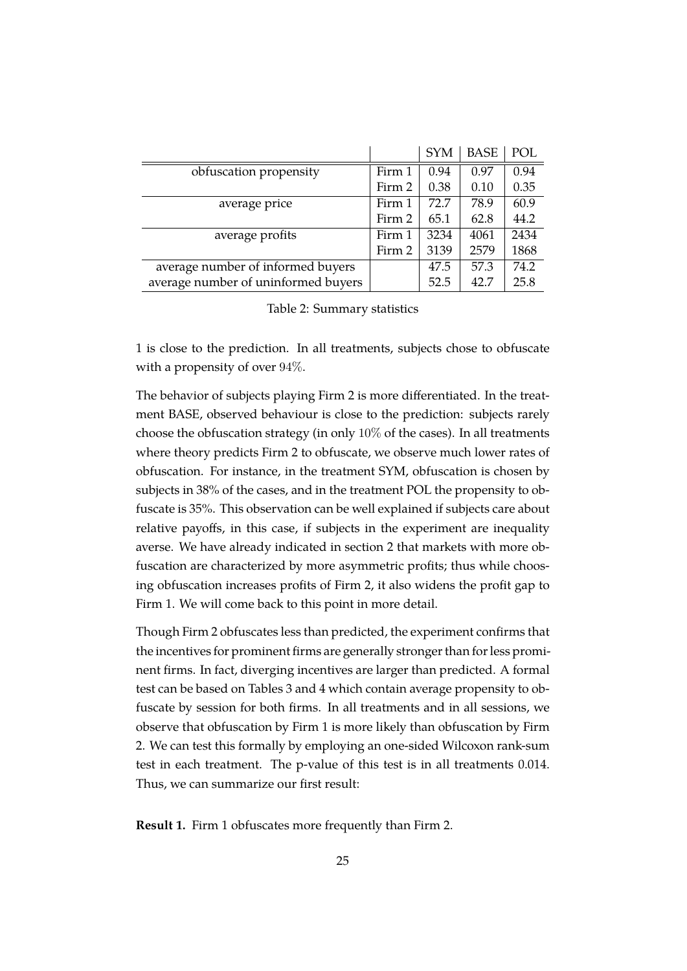|                                     |        | <b>SYM</b> | <b>BASE</b> | POL  |
|-------------------------------------|--------|------------|-------------|------|
| obfuscation propensity              | Firm 1 | 0.94       | 0.97        | 0.94 |
|                                     | Firm 2 | 0.38       | 0.10        | 0.35 |
| average price                       | Firm 1 | 72.7       | 78.9        | 60.9 |
|                                     | Firm 2 | 65.1       | 62.8        | 44.2 |
| average profits                     | Firm 1 | 3234       | 4061        | 2434 |
|                                     | Firm 2 | 3139       | 2579        | 1868 |
| average number of informed buyers   |        | 47.5       | 57.3        | 74.2 |
| average number of uninformed buyers |        | 52.5       | 42.7        | 25.8 |

<span id="page-27-0"></span>

|  | Table 2: Summary statistics |  |
|--|-----------------------------|--|
|--|-----------------------------|--|

1 is close to the prediction. In all treatments, subjects chose to obfuscate with a propensity of over 94%.

The behavior of subjects playing Firm 2 is more differentiated. In the treatment BASE, observed behaviour is close to the prediction: subjects rarely choose the obfuscation strategy (in only 10% of the cases). In all treatments where theory predicts Firm 2 to obfuscate, we observe much lower rates of obfuscation. For instance, in the treatment SYM, obfuscation is chosen by subjects in 38% of the cases, and in the treatment POL the propensity to obfuscate is 35%. This observation can be well explained if subjects care about relative payoffs, in this case, if subjects in the experiment are inequality averse. We have already indicated in section [2](#page-10-0) that markets with more obfuscation are characterized by more asymmetric profits; thus while choosing obfuscation increases profits of Firm 2, it also widens the profit gap to Firm 1. We will come back to this point in more detail.

Though Firm 2 obfuscates less than predicted, the experiment confirms that the incentives for prominent firms are generally stronger than for less prominent firms. In fact, diverging incentives are larger than predicted. A formal test can be based on Tables [3](#page-28-0) and [4](#page-28-1) which contain average propensity to obfuscate by session for both firms. In all treatments and in all sessions, we observe that obfuscation by Firm 1 is more likely than obfuscation by Firm 2. We can test this formally by employing an one-sided Wilcoxon rank-sum test in each treatment. The p-value of this test is in all treatments 0.014. Thus, we can summarize our first result:

**Result 1.** Firm 1 obfuscates more frequently than Firm 2.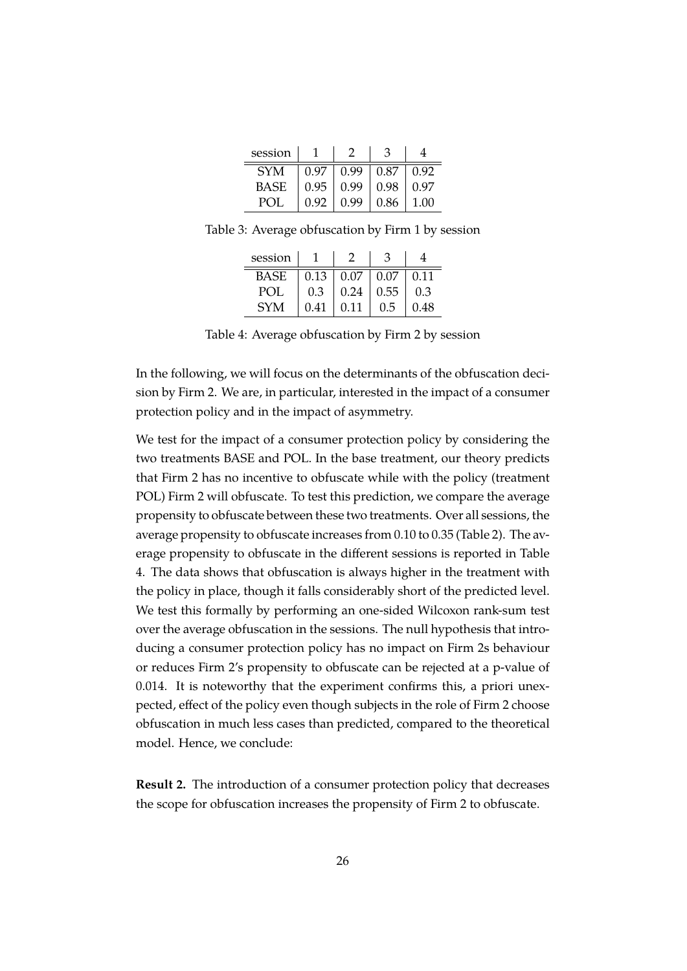| session    |      |      |      |      |
|------------|------|------|------|------|
| <b>SYM</b> | 0.97 | 0.99 | 0.87 | 0.92 |
| BASE       | 0.95 | 0.99 | 0.98 | 0.97 |
| POI        | 0.92 | N 99 | 0.86 | 1.00 |

Table 3: Average obfuscation by Firm 1 by session

<span id="page-28-0"></span>

| session     |      |      |      |      |
|-------------|------|------|------|------|
| <b>BASE</b> | 0.13 | 0.07 | 0.07 | 0.11 |
| POL         | 0.3  | 0.24 | 0.55 | 0.3  |
| <b>SYM</b>  | 0.41 | 0.11 | 0.5  |      |

<span id="page-28-1"></span>Table 4: Average obfuscation by Firm 2 by session

In the following, we will focus on the determinants of the obfuscation decision by Firm 2. We are, in particular, interested in the impact of a consumer protection policy and in the impact of asymmetry.

We test for the impact of a consumer protection policy by considering the two treatments BASE and POL. In the base treatment, our theory predicts that Firm 2 has no incentive to obfuscate while with the policy (treatment POL) Firm 2 will obfuscate. To test this prediction, we compare the average propensity to obfuscate between these two treatments. Over all sessions, the average propensity to obfuscate increases from 0.10 to 0.35 (Table [2\)](#page-27-0). The average propensity to obfuscate in the different sessions is reported in Table [4.](#page-28-1) The data shows that obfuscation is always higher in the treatment with the policy in place, though it falls considerably short of the predicted level. We test this formally by performing an one-sided Wilcoxon rank-sum test over the average obfuscation in the sessions. The null hypothesis that introducing a consumer protection policy has no impact on Firm 2s behaviour or reduces Firm 2's propensity to obfuscate can be rejected at a p-value of 0.014. It is noteworthy that the experiment confirms this, a priori unexpected, effect of the policy even though subjects in the role of Firm 2 choose obfuscation in much less cases than predicted, compared to the theoretical model. Hence, we conclude:

**Result 2.** The introduction of a consumer protection policy that decreases the scope for obfuscation increases the propensity of Firm 2 to obfuscate.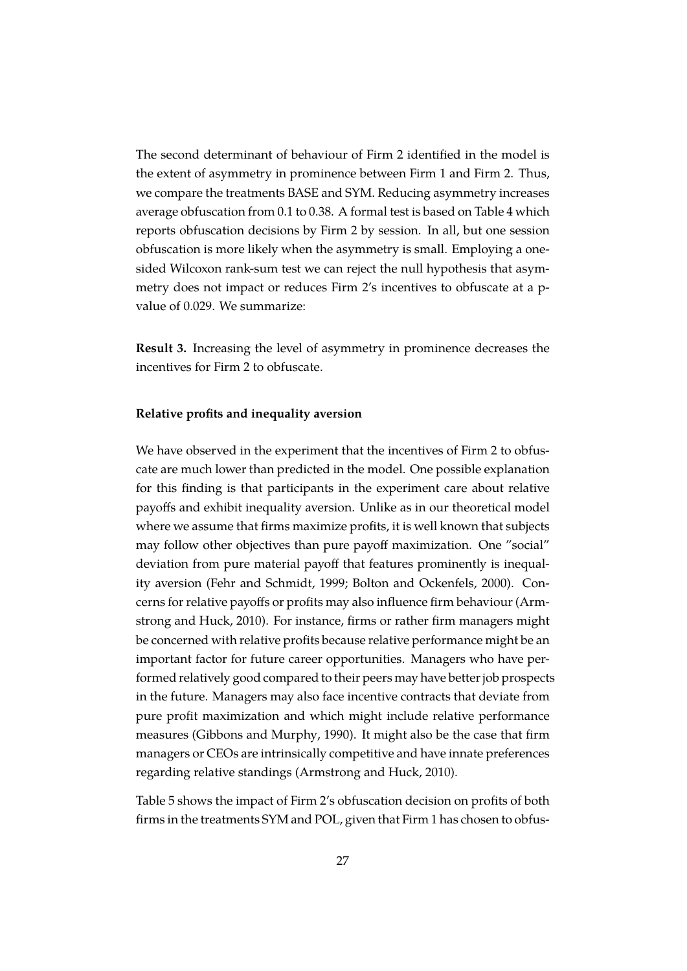The second determinant of behaviour of Firm 2 identified in the model is the extent of asymmetry in prominence between Firm 1 and Firm 2. Thus, we compare the treatments BASE and SYM. Reducing asymmetry increases average obfuscation from 0.1 to 0.38. A formal test is based on Table [4](#page-28-1) which reports obfuscation decisions by Firm 2 by session. In all, but one session obfuscation is more likely when the asymmetry is small. Employing a onesided Wilcoxon rank-sum test we can reject the null hypothesis that asymmetry does not impact or reduces Firm 2's incentives to obfuscate at a pvalue of 0.029. We summarize:

**Result 3.** Increasing the level of asymmetry in prominence decreases the incentives for Firm 2 to obfuscate.

#### **Relative profits and inequality aversion**

We have observed in the experiment that the incentives of Firm 2 to obfuscate are much lower than predicted in the model. One possible explanation for this finding is that participants in the experiment care about relative payoffs and exhibit inequality aversion. Unlike as in our theoretical model where we assume that firms maximize profits, it is well known that subjects may follow other objectives than pure payoff maximization. One "social" deviation from pure material payoff that features prominently is inequality aversion [\(Fehr and Schmidt, 1999;](#page-43-6) [Bolton and Ockenfels, 2000\)](#page-42-10). Concerns for relative payoffs or profits may also influence firm behaviour [\(Arm](#page-42-6)[strong and Huck, 2010\)](#page-42-6). For instance, firms or rather firm managers might be concerned with relative profits because relative performance might be an important factor for future career opportunities. Managers who have performed relatively good compared to their peers may have better job prospects in the future. Managers may also face incentive contracts that deviate from pure profit maximization and which might include relative performance measures [\(Gibbons and Murphy, 1990\)](#page-43-11). It might also be the case that firm managers or CEOs are intrinsically competitive and have innate preferences regarding relative standings [\(Armstrong and Huck, 2010\)](#page-42-6).

Table [5](#page-30-0) shows the impact of Firm 2's obfuscation decision on profits of both firms in the treatments SYM and POL, given that Firm 1 has chosen to obfus-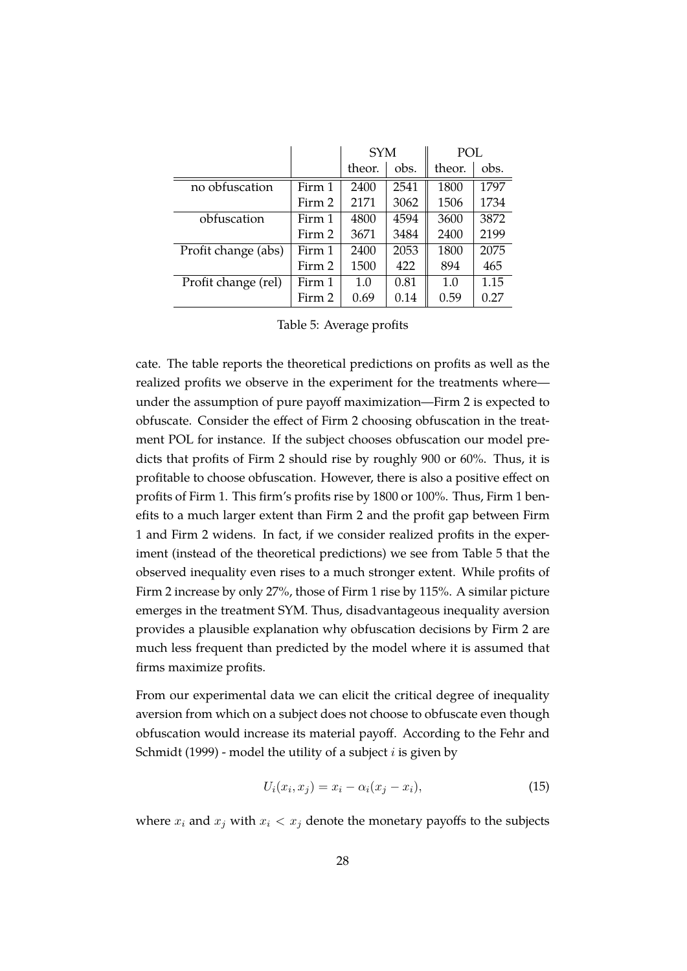|                     |        | <b>SYM</b> |      | POL    |      |
|---------------------|--------|------------|------|--------|------|
|                     |        | theor.     | obs. | theor. | obs. |
| no obfuscation      | Firm 1 | 2400       | 2541 | 1800   | 1797 |
|                     | Firm 2 | 2171       | 3062 | 1506   | 1734 |
| obfuscation         | Firm 1 | 4800       | 4594 | 3600   | 3872 |
|                     | Firm 2 | 3671       | 3484 | 2400   | 2199 |
| Profit change (abs) | Firm 1 | 2400       | 2053 | 1800   | 2075 |
|                     | Firm 2 | 1500       | 422  | 894    | 465  |
| Profit change (rel) | Firm 1 | 1.0        | 0.81 | 1.0    | 1.15 |
|                     | Firm 2 | 0.69       | 0.14 | 0.59   | 0.27 |

<span id="page-30-0"></span>Table 5: Average profits

cate. The table reports the theoretical predictions on profits as well as the realized profits we observe in the experiment for the treatments where under the assumption of pure payoff maximization—Firm 2 is expected to obfuscate. Consider the effect of Firm 2 choosing obfuscation in the treatment POL for instance. If the subject chooses obfuscation our model predicts that profits of Firm 2 should rise by roughly 900 or 60%. Thus, it is profitable to choose obfuscation. However, there is also a positive effect on profits of Firm 1. This firm's profits rise by 1800 or 100%. Thus, Firm 1 benefits to a much larger extent than Firm 2 and the profit gap between Firm 1 and Firm 2 widens. In fact, if we consider realized profits in the experiment (instead of the theoretical predictions) we see from Table [5](#page-30-0) that the observed inequality even rises to a much stronger extent. While profits of Firm 2 increase by only 27%, those of Firm 1 rise by 115%. A similar picture emerges in the treatment SYM. Thus, disadvantageous inequality aversion provides a plausible explanation why obfuscation decisions by Firm 2 are much less frequent than predicted by the model where it is assumed that firms maximize profits.

From our experimental data we can elicit the critical degree of inequality aversion from which on a subject does not choose to obfuscate even though obfuscation would increase its material payoff. According to the [Fehr and](#page-43-6) [Schmidt](#page-43-6) [\(1999\)](#page-43-6) - model the utility of a subject  $i$  is given by

$$
U_i(x_i, x_j) = x_i - \alpha_i (x_j - x_i), \tag{15}
$$

where  $x_i$  and  $x_j$  with  $x_i < x_j$  denote the monetary payoffs to the subjects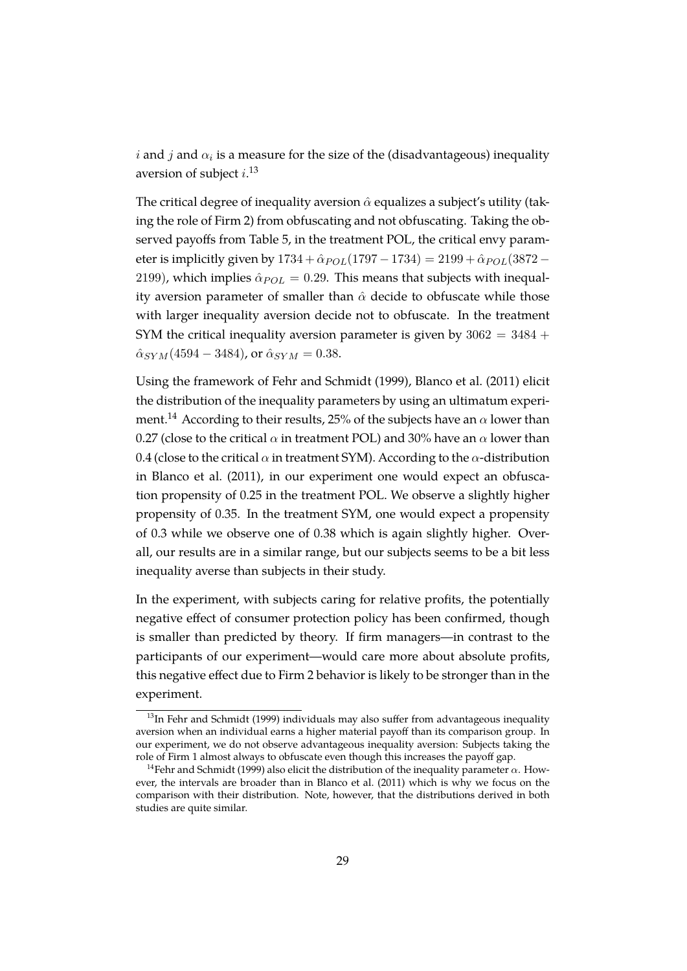$i$  and  $j$  and  $\alpha_i$  is a measure for the size of the (disadvantageous) inequality aversion of subject  $i$ .<sup>[13](#page-31-0)</sup>

The critical degree of inequality aversion  $\hat{\alpha}$  equalizes a subject's utility (taking the role of Firm 2) from obfuscating and not obfuscating. Taking the observed payoffs from Table [5,](#page-30-0) in the treatment POL, the critical envy parameter is implicitly given by  $1734 + \hat{\alpha}_{POL}(1797 - 1734) = 2199 + \hat{\alpha}_{POL}(3872 -$ 2199), which implies  $\hat{\alpha}_{POL} = 0.29$ . This means that subjects with inequality aversion parameter of smaller than  $\hat{\alpha}$  decide to obfuscate while those with larger inequality aversion decide not to obfuscate. In the treatment SYM the critical inequality aversion parameter is given by  $3062 = 3484 +$  $\hat{\alpha}_{SYM}$  (4594 – 3484), or  $\hat{\alpha}_{SYM}$  = 0.38.

Using the framework of [Fehr and Schmidt](#page-43-6) [\(1999\)](#page-43-6), [Blanco et al.](#page-42-11) [\(2011\)](#page-42-11) elicit the distribution of the inequality parameters by using an ultimatum experi-ment.<sup>[14](#page-31-1)</sup> According to their results, 25% of the subjects have an  $\alpha$  lower than 0.27 (close to the critical  $\alpha$  in treatment POL) and 30% have an  $\alpha$  lower than 0.4 (close to the critical  $\alpha$  in treatment SYM). According to the  $\alpha$ -distribution in [Blanco et al.](#page-42-11) [\(2011\)](#page-42-11), in our experiment one would expect an obfuscation propensity of 0.25 in the treatment POL. We observe a slightly higher propensity of 0.35. In the treatment SYM, one would expect a propensity of 0.3 while we observe one of 0.38 which is again slightly higher. Overall, our results are in a similar range, but our subjects seems to be a bit less inequality averse than subjects in their study.

In the experiment, with subjects caring for relative profits, the potentially negative effect of consumer protection policy has been confirmed, though is smaller than predicted by theory. If firm managers—in contrast to the participants of our experiment—would care more about absolute profits, this negative effect due to Firm 2 behavior is likely to be stronger than in the experiment.

<span id="page-31-0"></span><sup>&</sup>lt;sup>13</sup>In [Fehr and Schmidt](#page-43-6) [\(1999\)](#page-43-6) individuals may also suffer from advantageous inequality aversion when an individual earns a higher material payoff than its comparison group. In our experiment, we do not observe advantageous inequality aversion: Subjects taking the role of Firm 1 almost always to obfuscate even though this increases the payoff gap.

<span id="page-31-1"></span><sup>&</sup>lt;sup>14</sup>[Fehr and Schmidt](#page-43-6) [\(1999\)](#page-43-6) also elicit the distribution of the inequality parameter  $\alpha$ . However, the intervals are broader than in [Blanco et al.](#page-42-11) [\(2011\)](#page-42-11) which is why we focus on the comparison with their distribution. Note, however, that the distributions derived in both studies are quite similar.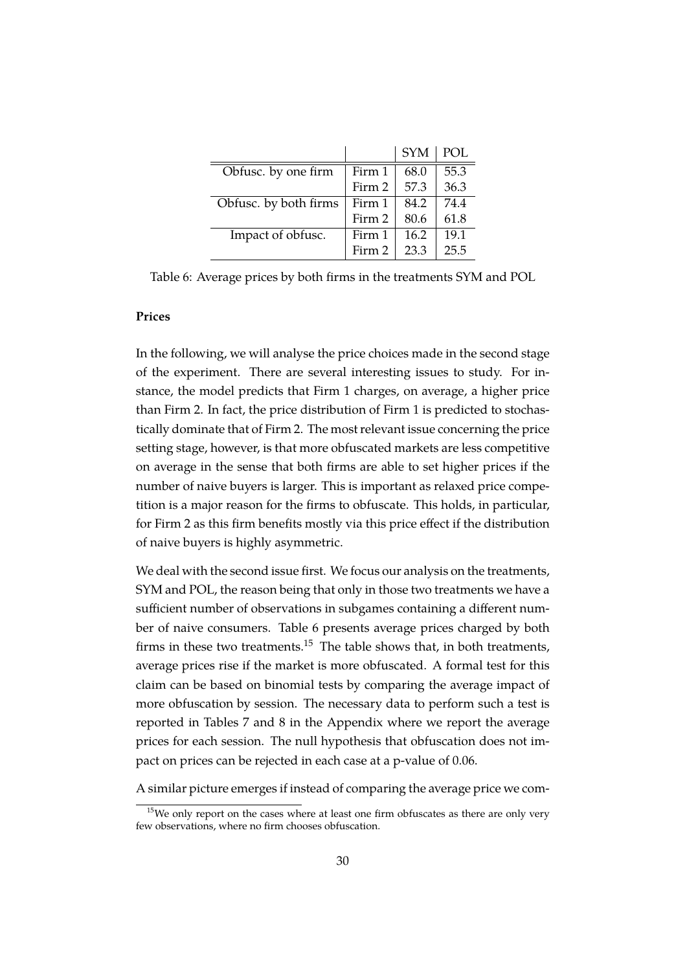|                       |        | <b>SYM</b> | POL  |
|-----------------------|--------|------------|------|
| Obfusc. by one firm   | Firm 1 | 68.0       | 55.3 |
|                       | Firm 2 | 57.3       | 36.3 |
| Obfusc. by both firms | Firm 1 | 84.2       | 74.4 |
|                       | Firm 2 | 80.6       | 61.8 |
| Impact of obfusc.     | Firm 1 | 16.2       | 19.1 |
|                       | Firm 2 | 23.3       | 25.5 |

<span id="page-32-0"></span>Table 6: Average prices by both firms in the treatments SYM and POL

#### **Prices**

In the following, we will analyse the price choices made in the second stage of the experiment. There are several interesting issues to study. For instance, the model predicts that Firm 1 charges, on average, a higher price than Firm 2. In fact, the price distribution of Firm 1 is predicted to stochastically dominate that of Firm 2. The most relevant issue concerning the price setting stage, however, is that more obfuscated markets are less competitive on average in the sense that both firms are able to set higher prices if the number of naive buyers is larger. This is important as relaxed price competition is a major reason for the firms to obfuscate. This holds, in particular, for Firm 2 as this firm benefits mostly via this price effect if the distribution of naive buyers is highly asymmetric.

We deal with the second issue first. We focus our analysis on the treatments, SYM and POL, the reason being that only in those two treatments we have a sufficient number of observations in subgames containing a different number of naive consumers. Table [6](#page-32-0) presents average prices charged by both firms in these two treatments.<sup>[15](#page-32-1)</sup> The table shows that, in both treatments, average prices rise if the market is more obfuscated. A formal test for this claim can be based on binomial tests by comparing the average impact of more obfuscation by session. The necessary data to perform such a test is reported in Tables [7](#page-38-0) and [8](#page-38-1) in the Appendix where we report the average prices for each session. The null hypothesis that obfuscation does not impact on prices can be rejected in each case at a p-value of 0.06.

A similar picture emerges if instead of comparing the average price we com-

<span id="page-32-1"></span> $15$ We only report on the cases where at least one firm obfuscates as there are only very few observations, where no firm chooses obfuscation.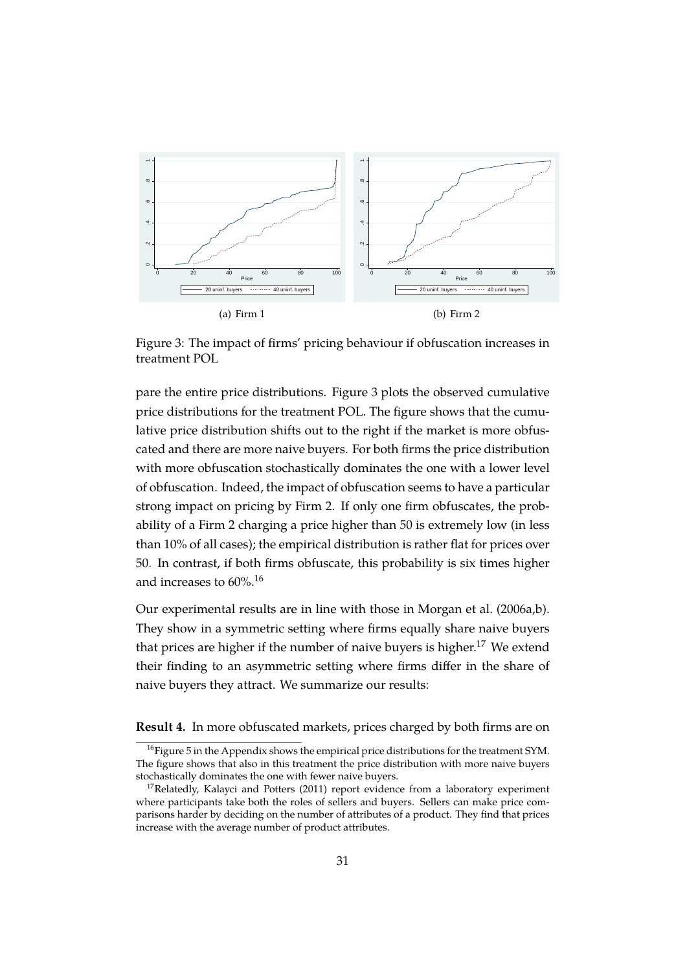

<span id="page-33-0"></span>Figure 3: The impact of firms' pricing behaviour if obfuscation increases in treatment POL

pare the entire price distributions. Figure [3](#page-33-0) plots the observed cumulative price distributions for the treatment POL. The figure shows that the cumulative price distribution shifts out to the right if the market is more obfuscated and there are more naive buyers. For both firms the price distribution with more obfuscation stochastically dominates the one with a lower level of obfuscation. Indeed, the impact of obfuscation seems to have a particular strong impact on pricing by Firm 2. If only one firm obfuscates, the probability of a Firm 2 charging a price higher than 50 is extremely low (in less than 10% of all cases); the empirical distribution is rather flat for prices over 50. In contrast, if both firms obfuscate, this probability is six times higher and increases to 60%.[16](#page-33-1)

Our experimental results are in line with those in [Morgan et al.](#page-44-10) [\(2006a](#page-44-10)[,b\)](#page-44-11). They show in a symmetric setting where firms equally share naive buyers that prices are higher if the number of naive buyers is higher.<sup>[17](#page-33-2)</sup> We extend their finding to an asymmetric setting where firms differ in the share of naive buyers they attract. We summarize our results:

**Result 4.** In more obfuscated markets, prices charged by both firms are on

<span id="page-33-1"></span> $^{16}$ Figure [5](#page-39-1) in the Appendix shows the empirical price distributions for the treatment SYM. The figure shows that also in this treatment the price distribution with more naive buyers stochastically dominates the one with fewer naive buyers.

<span id="page-33-2"></span><sup>&</sup>lt;sup>17</sup>Relatedly, [Kalayci and Potters](#page-44-12) [\(2011\)](#page-44-12) report evidence from a laboratory experiment where participants take both the roles of sellers and buyers. Sellers can make price comparisons harder by deciding on the number of attributes of a product. They find that prices increase with the average number of product attributes.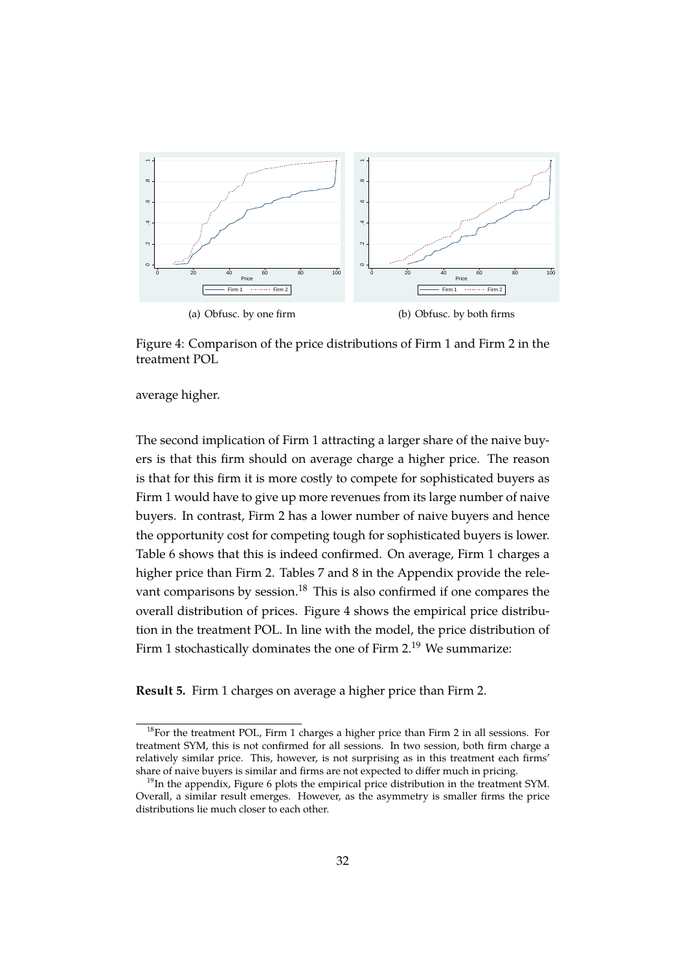

<span id="page-34-1"></span>Figure 4: Comparison of the price distributions of Firm 1 and Firm 2 in the treatment POL

average higher.

The second implication of Firm 1 attracting a larger share of the naive buyers is that this firm should on average charge a higher price. The reason is that for this firm it is more costly to compete for sophisticated buyers as Firm 1 would have to give up more revenues from its large number of naive buyers. In contrast, Firm 2 has a lower number of naive buyers and hence the opportunity cost for competing tough for sophisticated buyers is lower. Table [6](#page-32-0) shows that this is indeed confirmed. On average, Firm 1 charges a higher price than Firm 2. Tables [7](#page-38-0) and [8](#page-38-1) in the Appendix provide the rele-vant comparisons by session.<sup>[18](#page-34-0)</sup> This is also confirmed if one compares the overall distribution of prices. Figure [4](#page-34-1) shows the empirical price distribution in the treatment POL. In line with the model, the price distribution of Firm 1 stochastically dominates the one of Firm 2.<sup>[19](#page-34-2)</sup> We summarize:

**Result 5.** Firm 1 charges on average a higher price than Firm 2.

<span id="page-34-0"></span> $^{18}$ For the treatment POL, Firm 1 charges a higher price than Firm 2 in all sessions. For treatment SYM, this is not confirmed for all sessions. In two session, both firm charge a relatively similar price. This, however, is not surprising as in this treatment each firms' share of naive buyers is similar and firms are not expected to differ much in pricing.

<span id="page-34-2"></span><sup>&</sup>lt;sup>19</sup>In the appendix, Figure [6](#page-39-2) plots the empirical price distribution in the treatment SYM. Overall, a similar result emerges. However, as the asymmetry is smaller firms the price distributions lie much closer to each other.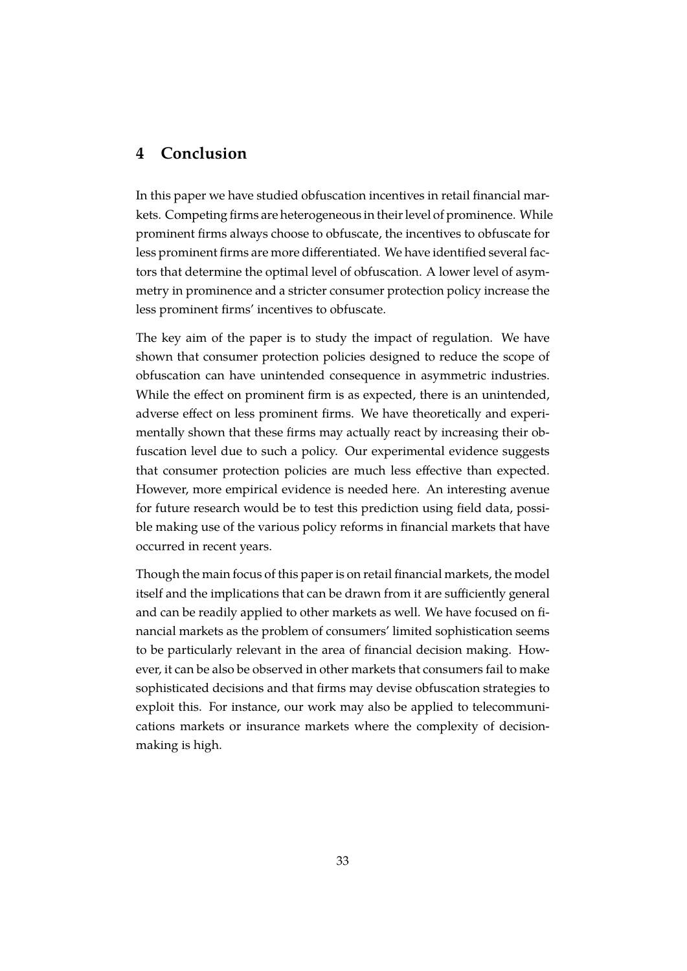#### <span id="page-35-0"></span>**4 Conclusion**

In this paper we have studied obfuscation incentives in retail financial markets. Competing firms are heterogeneous in their level of prominence. While prominent firms always choose to obfuscate, the incentives to obfuscate for less prominent firms are more differentiated. We have identified several factors that determine the optimal level of obfuscation. A lower level of asymmetry in prominence and a stricter consumer protection policy increase the less prominent firms' incentives to obfuscate.

The key aim of the paper is to study the impact of regulation. We have shown that consumer protection policies designed to reduce the scope of obfuscation can have unintended consequence in asymmetric industries. While the effect on prominent firm is as expected, there is an unintended, adverse effect on less prominent firms. We have theoretically and experimentally shown that these firms may actually react by increasing their obfuscation level due to such a policy. Our experimental evidence suggests that consumer protection policies are much less effective than expected. However, more empirical evidence is needed here. An interesting avenue for future research would be to test this prediction using field data, possible making use of the various policy reforms in financial markets that have occurred in recent years.

Though the main focus of this paper is on retail financial markets, the model itself and the implications that can be drawn from it are sufficiently general and can be readily applied to other markets as well. We have focused on financial markets as the problem of consumers' limited sophistication seems to be particularly relevant in the area of financial decision making. However, it can be also be observed in other markets that consumers fail to make sophisticated decisions and that firms may devise obfuscation strategies to exploit this. For instance, our work may also be applied to telecommunications markets or insurance markets where the complexity of decisionmaking is high.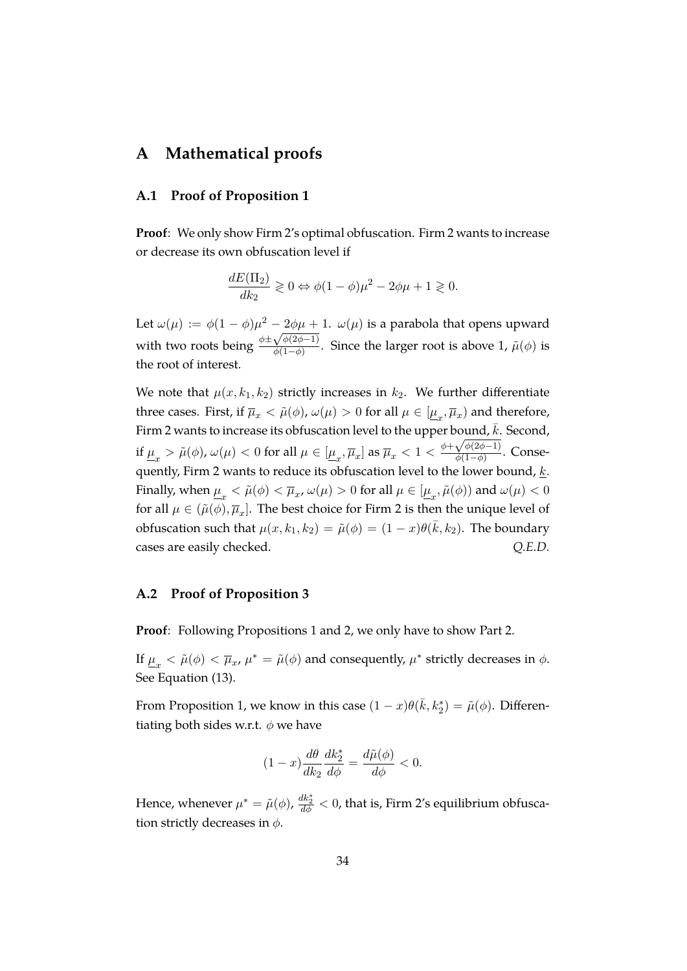#### **A Mathematical proofs**

#### <span id="page-36-0"></span>**A.1 Proof of Proposition [1](#page-16-0)**

**Proof**: We only show Firm 2's optimal obfuscation. Firm 2 wants to increase or decrease its own obfuscation level if

$$
\frac{dE(\Pi_2)}{dk_2} \ge 0 \Leftrightarrow \phi(1-\phi)\mu^2 - 2\phi\mu + 1 \ge 0.
$$

Let  $\omega(\mu) := \phi(1-\phi)\mu^2 - 2\phi\mu + 1$ .  $\omega(\mu)$  is a parabola that opens upward with two roots being  $\frac{\phi \pm}{}$  $-\frac{2\varphi\mu+\sqrt{2\varphi(2\varphi-1)}}$  $\frac{\sqrt{\psi(2\varphi-1)}}{\phi(1-\phi)}$ . Since the larger root is above 1,  $\tilde{\mu}(\phi)$  is the root of interest.

We note that  $\mu(x, k_1, k_2)$  strictly increases in  $k_2$ . We further differentiate three cases. First, if  $\overline{\mu}_x < \tilde{\mu}(\phi)$ ,  $\omega(\mu) > 0$  for all  $\mu \in [\underline{\mu}_x, \overline{\mu}_x)$  and therefore, Firm 2 wants to increase its obfuscation level to the upper bound,  $\bar{k}$ . Second, if  $\underline{\mu}_x > \tilde{\mu}(\phi)$ ,  $\omega(\mu) < 0$  for all  $\mu \in [\underline{\mu}_x,\overline{\mu}_x]$  as  $\overline{\mu}_x < 1 < \frac{\phi + \sqrt{\phi(2\phi-1)}}{\phi(1-\phi)}$  $\frac{\sqrt{\phi(2\phi-1)}}{\phi(1-\phi)}$ . Consequently, Firm 2 wants to reduce its obfuscation level to the lower bound,  $\underline{k}$ . Finally, when  $\underline{\mu}_x < \tilde{\mu}(\phi) < \overline{\mu}_x$ ,  $\omega(\mu) > 0$  for all  $\mu \in [\underline{\mu}_x, \tilde{\mu}(\phi))$  and  $\omega(\mu) < 0$ for all  $\mu \in (\tilde{\mu}(\phi), \overline{\mu}_x]$ . The best choice for Firm 2 is then the unique level of obfuscation such that  $\mu(x, k_1, k_2) = \tilde{\mu}(\phi) = (1 - x)\theta(\bar{k}, k_2)$ . The boundary cases are easily checked. *Q.E.D.*

#### <span id="page-36-1"></span>**A.2 Proof of Proposition [3](#page-19-0)**

**Proof**: Following Propositions [1](#page-16-0) and [2,](#page-17-0) we only have to show Part [2.](#page-19-1)

If  $\underline{\mu}_x < \tilde{\mu}(\phi) < \overline{\mu}_x$ ,  $\mu^* = \tilde{\mu}(\phi)$  and consequently,  $\mu^*$  strictly decreases in  $\phi$ . See Equation [\(13\)](#page-17-1).

From Proposition [1,](#page-16-0) we know in this case  $(1-x)\theta(\bar{k}, k_2^*) = \tilde{\mu}(\phi)$ . Differentiating both sides w.r.t.  $\phi$  we have

$$
(1-x)\frac{d\theta}{dk_2}\frac{dk_2^*}{d\phi} = \frac{d\tilde{\mu}(\phi)}{d\phi} < 0.
$$

Hence, whenever  $\mu^* = \tilde{\mu}(\phi)$ ,  $\frac{dk_2^*}{d\phi} < 0$ , that is, Firm 2's equilibrium obfuscation strictly decreases in  $\phi$ .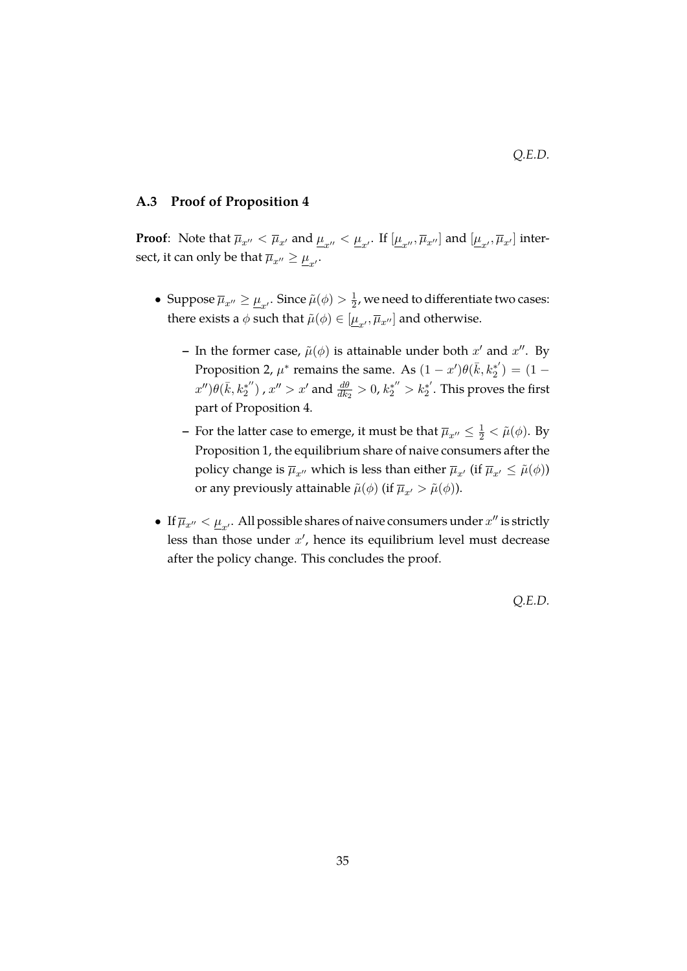#### *Q.E.D.*

#### <span id="page-37-0"></span>**A.3 Proof of Proposition [4](#page-20-0)**

**Proof**: Note that  $\overline{\mu}_{x''} < \overline{\mu}_{x'}$  and  $\underline{\mu}_{x''} < \underline{\mu}_{x'}$ . If  $[\underline{\mu}_{x''}, \overline{\mu}_{x''}]$  and  $[\underline{\mu}_{x'}, \overline{\mu}_{x'}]$  intersect, it can only be that  $\overline{\mu}_{x^{\prime\prime}}\geq\underline{\mu}_{x^{\prime}}.$ 

- Suppose  $\overline{\mu}_{x^{\prime\prime}}\geq\underline{\mu}_{x^\prime}.$  Since  $\tilde{\mu}(\phi)>\frac{1}{2}$  $\frac{1}{2}$ , we need to differentiate two cases: there exists a  $\phi$  such that  $\tilde{\mu}(\phi) \in [\underline{\mu}_{x'}, \overline{\mu}_{x''}]$  and otherwise.
	- **–** In the former case,  $\tilde{\mu}(\phi)$  is attainable under both  $x'$  and  $x''$ . By Proposition [2,](#page-17-0)  $\mu^*$  remains the same. As  $(1-x')\theta(\bar{k}, k_2^*)$  $\binom{x^*}{2} = (1$  $x^{\prime\prime}$ ) $\theta(\bar{k}, k_2^{*^{\prime\prime}})$  $x''_2$ ),  $x'' > x'$  and  $\frac{d\theta}{dk_2} > 0$ ,  $k_2^{*''} > k_2^{*'}$  $\chi_2^*$  . This proves the first part of Proposition [4.](#page-20-0)
	- **–** For the latter case to emerge, it must be that  $\overline{\mu}_{x''} \leq \frac{1}{2} < \tilde{\mu}(\phi)$ . By Proposition [1,](#page-16-0) the equilibrium share of naive consumers after the policy change is  $\overline{\mu}_{x^{\prime\prime}}$  which is less than either  $\overline{\mu}_{x^{\prime}}$  (if  $\overline{\mu}_{x^{\prime}} \leq \tilde{\mu}(\phi)$ ) or any previously attainable  $\tilde{\mu}(\phi)$  (if  $\overline{\mu}_{x'} > \tilde{\mu}(\phi)$ ).
- If  $\overline{\mu}_{x''} < \underline{\mu}_{x'}$ . All possible shares of naive consumers under  $x''$  is strictly less than those under  $x'$ , hence its equilibrium level must decrease after the policy change. This concludes the proof.

*Q.E.D.*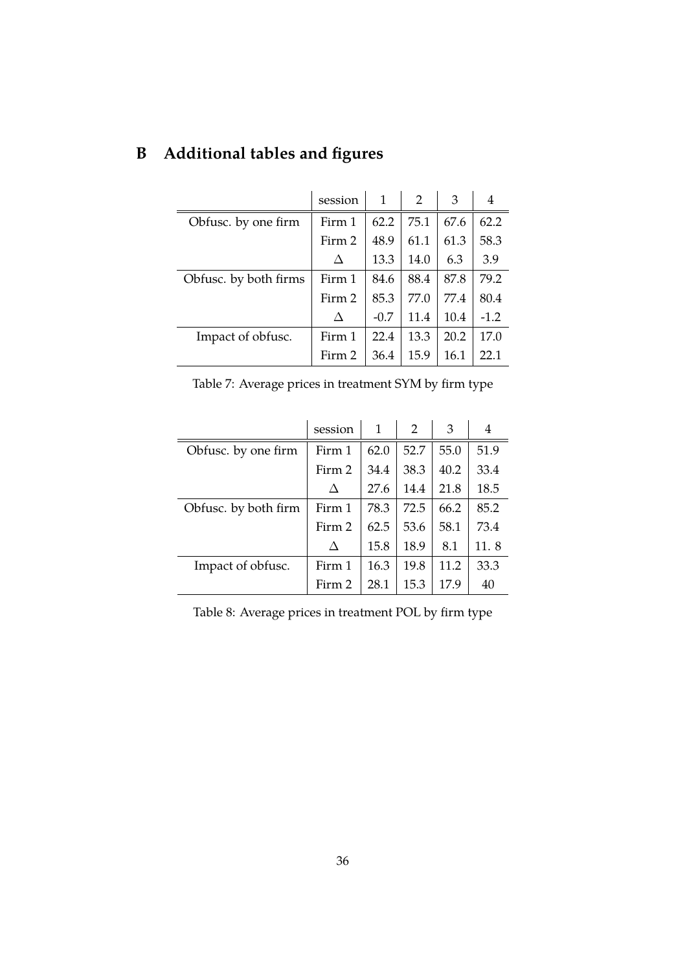|                       | session | 1      | $\mathcal{P}$ | 3    | 4      |
|-----------------------|---------|--------|---------------|------|--------|
| Obfusc. by one firm   | Firm 1  | 62.2   | 75.1          | 67.6 | 62.2   |
|                       | Firm 2  | 48.9   | 61.1          | 61.3 | 58.3   |
|                       | Δ       | 13.3   | 14.0          | 6.3  | 3.9    |
| Obfusc. by both firms | Firm 1  | 84.6   | 88.4          | 87.8 | 79.2   |
|                       | Firm 2  | 85.3   | 77.0          | 77.4 | 80.4   |
|                       |         | $-0.7$ | 11.4          | 10.4 | $-1.2$ |
| Impact of obfusc.     | Firm 1  | 22.4   | 13.3          | 20.2 | 17.0   |
|                       | Firm 2  | 36.4   | 15.9          | 16.1 | 22.1   |

## **B Additional tables and figures**

<span id="page-38-0"></span>

| Table 7: Average prices in treatment SYM by firm type |  |
|-------------------------------------------------------|--|
|-------------------------------------------------------|--|

|                      | session | 1    | $\mathcal{P}$ | 3    | 4    |
|----------------------|---------|------|---------------|------|------|
| Obfusc. by one firm  | Firm 1  | 62.0 | 52.7          | 55.0 | 51.9 |
|                      | Firm 2  | 34.4 | 38.3          | 40.2 | 33.4 |
|                      | Л       | 27.6 | 14.4          | 21.8 | 18.5 |
| Obfusc. by both firm | Firm 1  | 78.3 | 72.5          | 66.2 | 85.2 |
|                      | Firm 2  | 62.5 | 53.6          | 58.1 | 73.4 |
|                      | Л       | 15.8 | 18.9          | 8.1  | 11.8 |
| Impact of obfusc.    | Firm 1  | 16.3 | 19.8          | 11.2 | 33.3 |
|                      | Firm 2  | 28.1 | 15.3          | 17.9 | 40   |

<span id="page-38-1"></span>Table 8: Average prices in treatment POL by firm type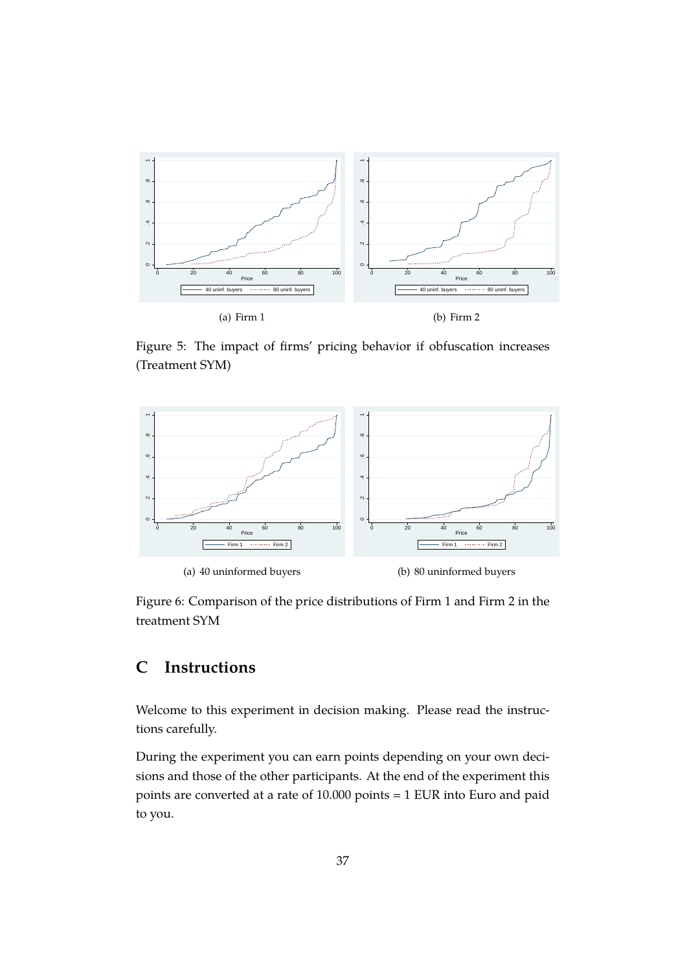

<span id="page-39-1"></span>Figure 5: The impact of firms' pricing behavior if obfuscation increases (Treatment SYM)



<span id="page-39-2"></span>Figure 6: Comparison of the price distributions of Firm 1 and Firm 2 in the treatment SYM

#### <span id="page-39-0"></span>**C Instructions**

Welcome to this experiment in decision making. Please read the instructions carefully.

During the experiment you can earn points depending on your own decisions and those of the other participants. At the end of the experiment this points are converted at a rate of 10.000 points = 1 EUR into Euro and paid to you.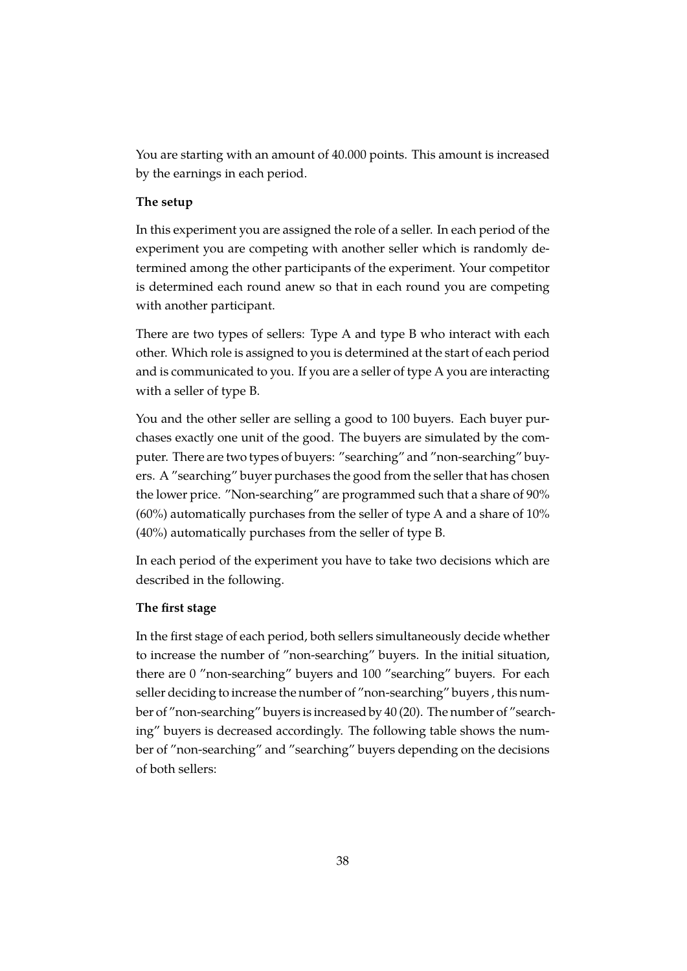You are starting with an amount of 40.000 points. This amount is increased by the earnings in each period.

#### **The setup**

In this experiment you are assigned the role of a seller. In each period of the experiment you are competing with another seller which is randomly determined among the other participants of the experiment. Your competitor is determined each round anew so that in each round you are competing with another participant.

There are two types of sellers: Type A and type B who interact with each other. Which role is assigned to you is determined at the start of each period and is communicated to you. If you are a seller of type A you are interacting with a seller of type B.

You and the other seller are selling a good to 100 buyers. Each buyer purchases exactly one unit of the good. The buyers are simulated by the computer. There are two types of buyers: "searching" and "non-searching" buyers. A "searching" buyer purchases the good from the seller that has chosen the lower price. "Non-searching" are programmed such that a share of 90% (60%) automatically purchases from the seller of type A and a share of 10% (40%) automatically purchases from the seller of type B.

In each period of the experiment you have to take two decisions which are described in the following.

#### **The first stage**

In the first stage of each period, both sellers simultaneously decide whether to increase the number of "non-searching" buyers. In the initial situation, there are 0 "non-searching" buyers and 100 "searching" buyers. For each seller deciding to increase the number of "non-searching" buyers , this number of "non-searching" buyers is increased by 40 (20). The number of "searching" buyers is decreased accordingly. The following table shows the number of "non-searching" and "searching" buyers depending on the decisions of both sellers: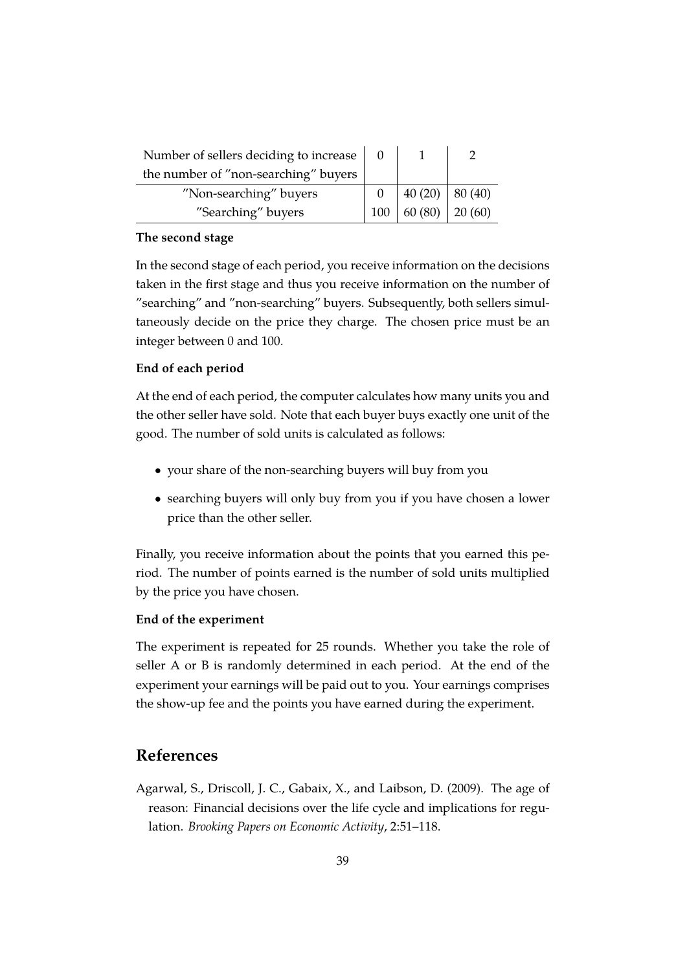| Number of sellers deciding to increase |     |                  |        |
|----------------------------------------|-----|------------------|--------|
| the number of "non-searching" buyers   |     |                  |        |
| "Non-searching" buyers                 |     | $40(20)$ 80 (40) |        |
| "Searching" buyers                     | 100 | 60(80)           | 20(60) |

#### **The second stage**

In the second stage of each period, you receive information on the decisions taken in the first stage and thus you receive information on the number of "searching" and "non-searching" buyers. Subsequently, both sellers simultaneously decide on the price they charge. The chosen price must be an integer between 0 and 100.

#### **End of each period**

At the end of each period, the computer calculates how many units you and the other seller have sold. Note that each buyer buys exactly one unit of the good. The number of sold units is calculated as follows:

- your share of the non-searching buyers will buy from you
- searching buyers will only buy from you if you have chosen a lower price than the other seller.

Finally, you receive information about the points that you earned this period. The number of points earned is the number of sold units multiplied by the price you have chosen.

#### **End of the experiment**

The experiment is repeated for 25 rounds. Whether you take the role of seller A or B is randomly determined in each period. At the end of the experiment your earnings will be paid out to you. Your earnings comprises the show-up fee and the points you have earned during the experiment.

#### **References**

<span id="page-41-0"></span>Agarwal, S., Driscoll, J. C., Gabaix, X., and Laibson, D. (2009). The age of reason: Financial decisions over the life cycle and implications for regulation. *Brooking Papers on Economic Activity*, 2:51–118.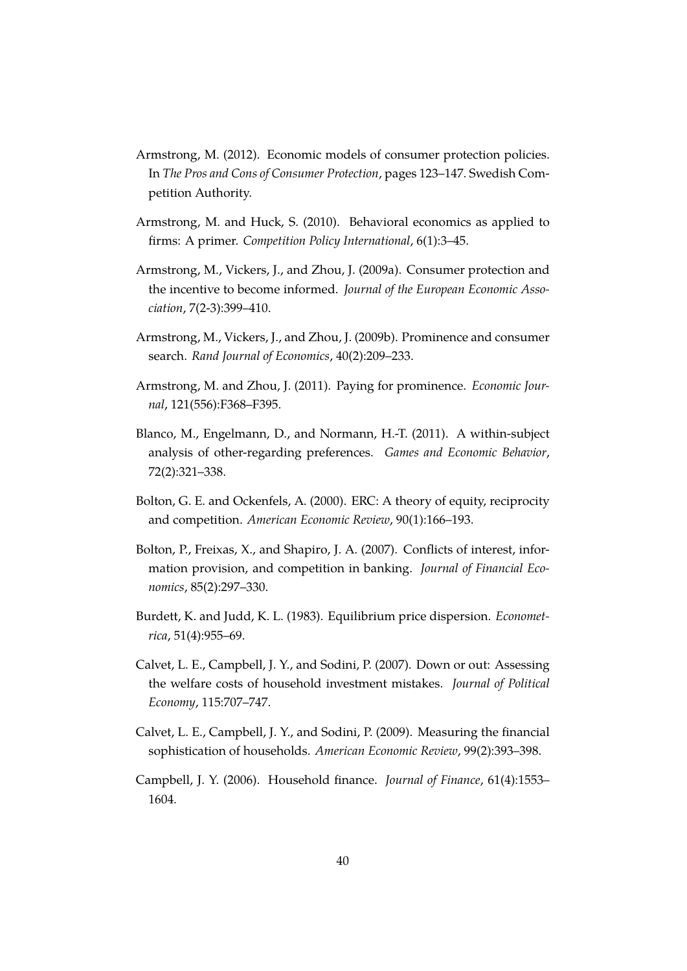- <span id="page-42-7"></span>Armstrong, M. (2012). Economic models of consumer protection policies. In *The Pros and Cons of Consumer Protection*, pages 123–147. Swedish Competition Authority.
- <span id="page-42-6"></span>Armstrong, M. and Huck, S. (2010). Behavioral economics as applied to firms: A primer. *Competition Policy International*, 6(1):3–45.
- <span id="page-42-8"></span>Armstrong, M., Vickers, J., and Zhou, J. (2009a). Consumer protection and the incentive to become informed. *Journal of the European Economic Association*, 7(2-3):399–410.
- <span id="page-42-4"></span>Armstrong, M., Vickers, J., and Zhou, J. (2009b). Prominence and consumer search. *Rand Journal of Economics*, 40(2):209–233.
- <span id="page-42-5"></span>Armstrong, M. and Zhou, J. (2011). Paying for prominence. *Economic Journal*, 121(556):F368–F395.
- <span id="page-42-11"></span>Blanco, M., Engelmann, D., and Normann, H.-T. (2011). A within-subject analysis of other-regarding preferences. *Games and Economic Behavior*, 72(2):321–338.
- <span id="page-42-10"></span>Bolton, G. E. and Ockenfels, A. (2000). ERC: A theory of equity, reciprocity and competition. *American Economic Review*, 90(1):166–193.
- <span id="page-42-2"></span>Bolton, P., Freixas, X., and Shapiro, J. A. (2007). Conflicts of interest, information provision, and competition in banking. *Journal of Financial Economics*, 85(2):297–330.
- <span id="page-42-9"></span>Burdett, K. and Judd, K. L. (1983). Equilibrium price dispersion. *Econometrica*, 51(4):955–69.
- <span id="page-42-3"></span>Calvet, L. E., Campbell, J. Y., and Sodini, P. (2007). Down or out: Assessing the welfare costs of household investment mistakes. *Journal of Political Economy*, 115:707–747.
- <span id="page-42-1"></span>Calvet, L. E., Campbell, J. Y., and Sodini, P. (2009). Measuring the financial sophistication of households. *American Economic Review*, 99(2):393–398.
- <span id="page-42-0"></span>Campbell, J. Y. (2006). Household finance. *Journal of Finance*, 61(4):1553– 1604.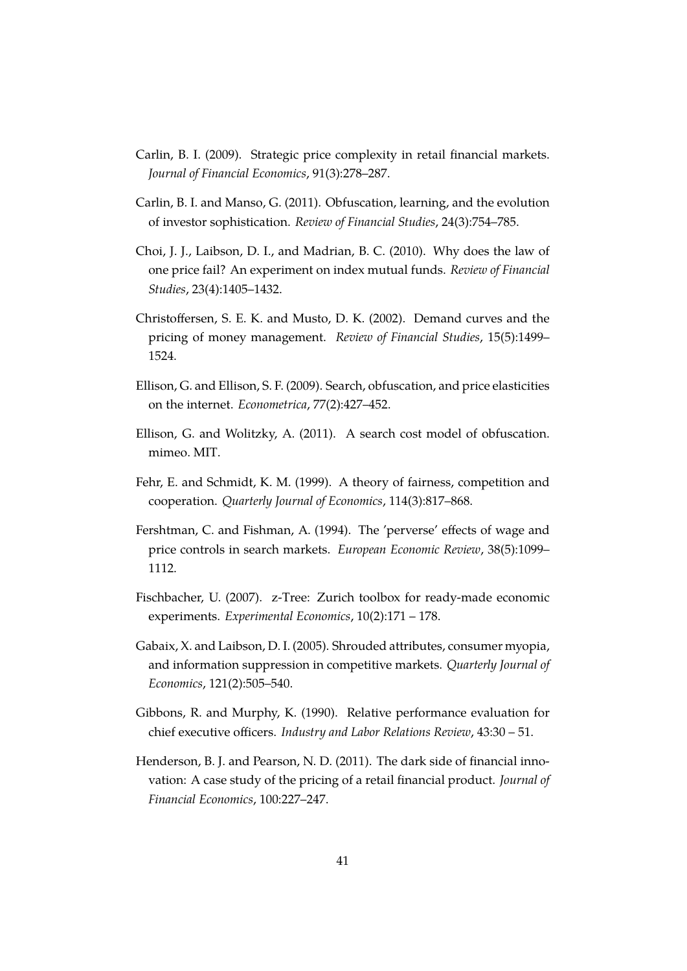- <span id="page-43-7"></span>Carlin, B. I. (2009). Strategic price complexity in retail financial markets. *Journal of Financial Economics*, 91(3):278–287.
- <span id="page-43-8"></span>Carlin, B. I. and Manso, G. (2011). Obfuscation, learning, and the evolution of investor sophistication. *Review of Financial Studies*, 24(3):754–785.
- <span id="page-43-0"></span>Choi, J. J., Laibson, D. I., and Madrian, B. C. (2010). Why does the law of one price fail? An experiment on index mutual funds. *Review of Financial Studies*, 23(4):1405–1432.
- <span id="page-43-2"></span>Christoffersen, S. E. K. and Musto, D. K. (2002). Demand curves and the pricing of money management. *Review of Financial Studies*, 15(5):1499– 1524.
- <span id="page-43-4"></span>Ellison, G. and Ellison, S. F. (2009). Search, obfuscation, and price elasticities on the internet. *Econometrica*, 77(2):427–452.
- <span id="page-43-5"></span>Ellison, G. and Wolitzky, A. (2011). A search cost model of obfuscation. mimeo. MIT.
- <span id="page-43-6"></span>Fehr, E. and Schmidt, K. M. (1999). A theory of fairness, competition and cooperation. *Quarterly Journal of Economics*, 114(3):817–868.
- <span id="page-43-9"></span>Fershtman, C. and Fishman, A. (1994). The 'perverse' effects of wage and price controls in search markets. *European Economic Review*, 38(5):1099– 1112.
- <span id="page-43-10"></span>Fischbacher, U. (2007). z-Tree: Zurich toolbox for ready-made economic experiments. *Experimental Economics*, 10(2):171 – 178.
- <span id="page-43-1"></span>Gabaix, X. and Laibson, D. I. (2005). Shrouded attributes, consumer myopia, and information suppression in competitive markets. *Quarterly Journal of Economics*, 121(2):505–540.
- <span id="page-43-11"></span>Gibbons, R. and Murphy, K. (1990). Relative performance evaluation for chief executive officers. *Industry and Labor Relations Review*, 43:30 – 51.
- <span id="page-43-3"></span>Henderson, B. J. and Pearson, N. D. (2011). The dark side of financial innovation: A case study of the pricing of a retail financial product. *Journal of Financial Economics*, 100:227–247.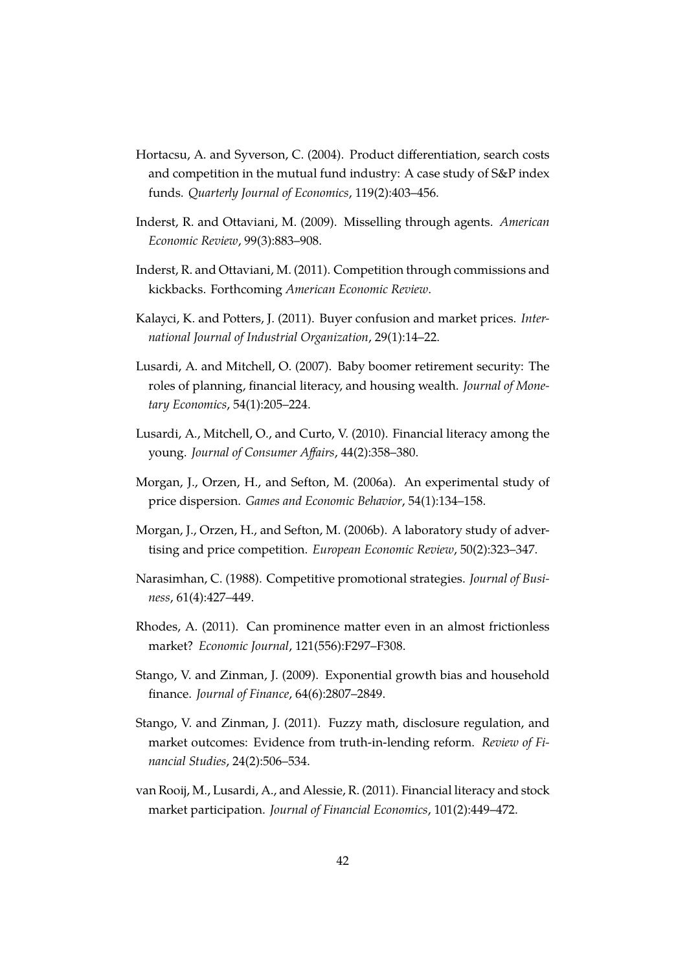- <span id="page-44-7"></span>Hortacsu, A. and Syverson, C. (2004). Product differentiation, search costs and competition in the mutual fund industry: A case study of S&P index funds. *Quarterly Journal of Economics*, 119(2):403–456.
- <span id="page-44-5"></span>Inderst, R. and Ottaviani, M. (2009). Misselling through agents. *American Economic Review*, 99(3):883–908.
- <span id="page-44-6"></span>Inderst, R. and Ottaviani, M. (2011). Competition through commissions and kickbacks. Forthcoming *American Economic Review*.
- <span id="page-44-12"></span>Kalayci, K. and Potters, J. (2011). Buyer confusion and market prices. *International Journal of Industrial Organization*, 29(1):14–22.
- <span id="page-44-2"></span>Lusardi, A. and Mitchell, O. (2007). Baby boomer retirement security: The roles of planning, financial literacy, and housing wealth. *Journal of Monetary Economics*, 54(1):205–224.
- <span id="page-44-3"></span>Lusardi, A., Mitchell, O., and Curto, V. (2010). Financial literacy among the young. *Journal of Consumer Affairs*, 44(2):358–380.
- <span id="page-44-10"></span>Morgan, J., Orzen, H., and Sefton, M. (2006a). An experimental study of price dispersion. *Games and Economic Behavior*, 54(1):134–158.
- <span id="page-44-11"></span>Morgan, J., Orzen, H., and Sefton, M. (2006b). A laboratory study of advertising and price competition. *European Economic Review*, 50(2):323–347.
- <span id="page-44-9"></span>Narasimhan, C. (1988). Competitive promotional strategies. *Journal of Business*, 61(4):427–449.
- <span id="page-44-8"></span>Rhodes, A. (2011). Can prominence matter even in an almost frictionless market? *Economic Journal*, 121(556):F297–F308.
- <span id="page-44-0"></span>Stango, V. and Zinman, J. (2009). Exponential growth bias and household finance. *Journal of Finance*, 64(6):2807–2849.
- <span id="page-44-1"></span>Stango, V. and Zinman, J. (2011). Fuzzy math, disclosure regulation, and market outcomes: Evidence from truth-in-lending reform. *Review of Financial Studies*, 24(2):506–534.
- <span id="page-44-4"></span>van Rooij, M., Lusardi, A., and Alessie, R. (2011). Financial literacy and stock market participation. *Journal of Financial Economics*, 101(2):449–472.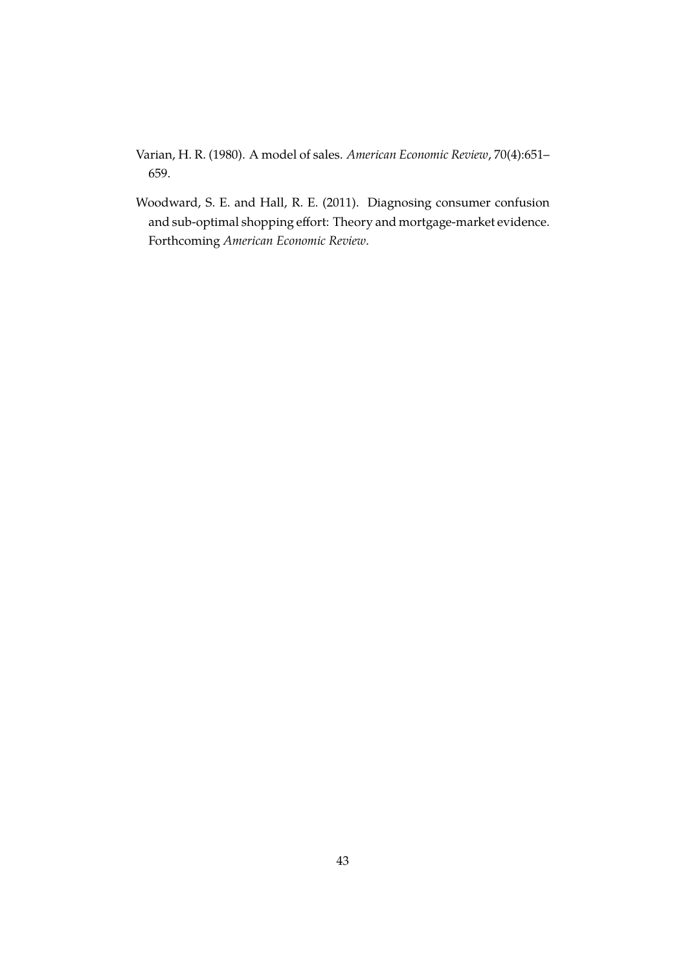<span id="page-45-1"></span>Varian, H. R. (1980). A model of sales. *American Economic Review*, 70(4):651– 659.

<span id="page-45-0"></span>Woodward, S. E. and Hall, R. E. (2011). Diagnosing consumer confusion and sub-optimal shopping effort: Theory and mortgage-market evidence. Forthcoming *American Economic Review*.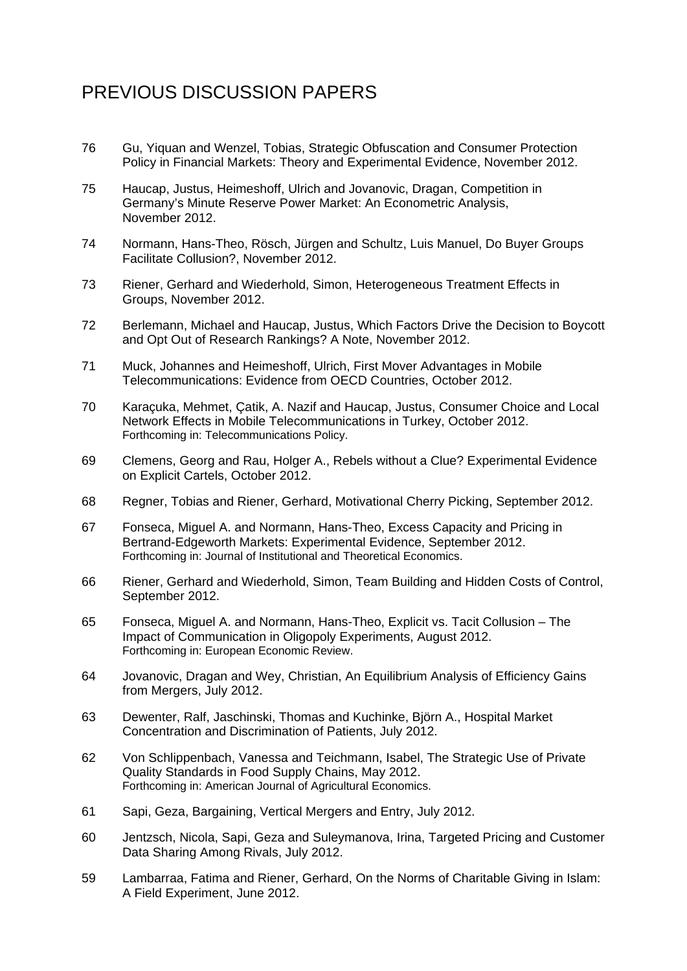## PREVIOUS DISCUSSION PAPERS

- 76 Gu, Yiquan and Wenzel, Tobias, Strategic Obfuscation and Consumer Protection Policy in Financial Markets: Theory and Experimental Evidence, November 2012.
- 75 Haucap, Justus, Heimeshoff, Ulrich and Jovanovic, Dragan, Competition in Germany's Minute Reserve Power Market: An Econometric Analysis, November 2012.
- 74 Normann, Hans-Theo, Rösch, Jürgen and Schultz, Luis Manuel, Do Buyer Groups Facilitate Collusion?, November 2012.
- 73 Riener, Gerhard and Wiederhold, Simon, Heterogeneous Treatment Effects in Groups, November 2012.
- 72 Berlemann, Michael and Haucap, Justus, Which Factors Drive the Decision to Boycott and Opt Out of Research Rankings? A Note, November 2012.
- 71 Muck, Johannes and Heimeshoff, Ulrich, First Mover Advantages in Mobile Telecommunications: Evidence from OECD Countries, October 2012.
- 70 Karaçuka, Mehmet, Çatik, A. Nazif and Haucap, Justus, Consumer Choice and Local Network Effects in Mobile Telecommunications in Turkey, October 2012. Forthcoming in: Telecommunications Policy.
- 69 Clemens, Georg and Rau, Holger A., Rebels without a Clue? Experimental Evidence on Explicit Cartels, October 2012.
- 68 Regner, Tobias and Riener, Gerhard, Motivational Cherry Picking, September 2012.
- 67 Fonseca, Miguel A. and Normann, Hans-Theo, Excess Capacity and Pricing in Bertrand-Edgeworth Markets: Experimental Evidence, September 2012. Forthcoming in: Journal of Institutional and Theoretical Economics.
- 66 Riener, Gerhard and Wiederhold, Simon, Team Building and Hidden Costs of Control, September 2012.
- 65 Fonseca, Miguel A. and Normann, Hans-Theo, Explicit vs. Tacit Collusion The Impact of Communication in Oligopoly Experiments, August 2012. Forthcoming in: European Economic Review.
- 64 Jovanovic, Dragan and Wey, Christian, An Equilibrium Analysis of Efficiency Gains from Mergers, July 2012.
- 63 Dewenter, Ralf, Jaschinski, Thomas and Kuchinke, Björn A., Hospital Market Concentration and Discrimination of Patients, July 2012.
- 62 Von Schlippenbach, Vanessa and Teichmann, Isabel, The Strategic Use of Private Quality Standards in Food Supply Chains, May 2012. Forthcoming in: American Journal of Agricultural Economics.
- 61 Sapi, Geza, Bargaining, Vertical Mergers and Entry, July 2012.
- 60 Jentzsch, Nicola, Sapi, Geza and Suleymanova, Irina, Targeted Pricing and Customer Data Sharing Among Rivals, July 2012.
- 59 Lambarraa, Fatima and Riener, Gerhard, On the Norms of Charitable Giving in Islam: A Field Experiment, June 2012.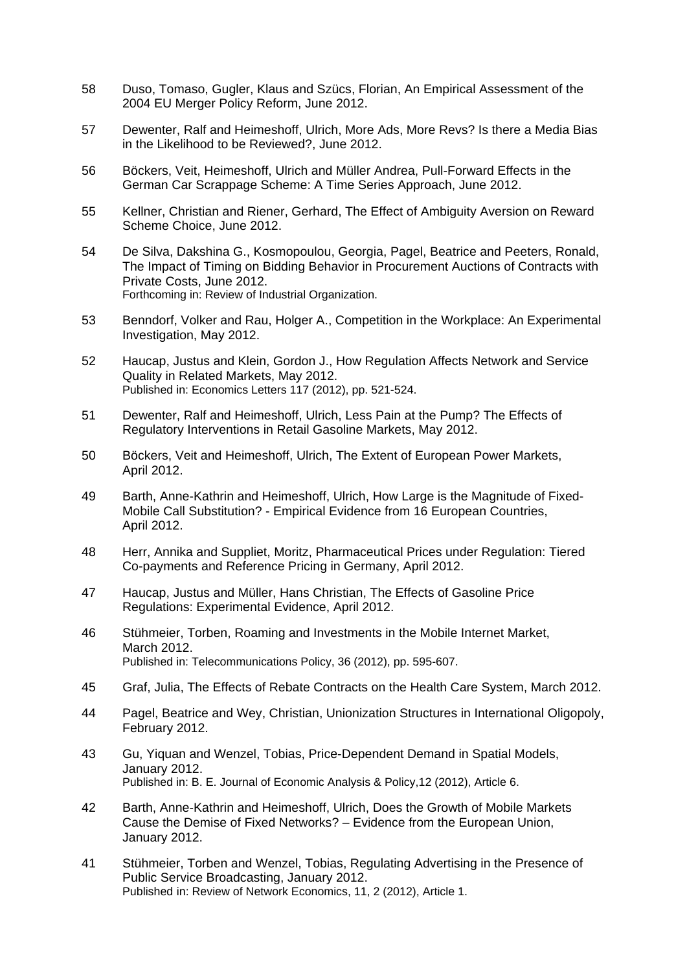- 58 Duso, Tomaso, Gugler, Klaus and Szücs, Florian, An Empirical Assessment of the 2004 EU Merger Policy Reform, June 2012.
- 57 Dewenter, Ralf and Heimeshoff, Ulrich, More Ads, More Revs? Is there a Media Bias in the Likelihood to be Reviewed?, June 2012.
- 56 Böckers, Veit, Heimeshoff, Ulrich and Müller Andrea, Pull-Forward Effects in the German Car Scrappage Scheme: A Time Series Approach, June 2012.
- 55 Kellner, Christian and Riener, Gerhard, The Effect of Ambiguity Aversion on Reward Scheme Choice, June 2012.
- 54 De Silva, Dakshina G., Kosmopoulou, Georgia, Pagel, Beatrice and Peeters, Ronald, The Impact of Timing on Bidding Behavior in Procurement Auctions of Contracts with Private Costs, June 2012. Forthcoming in: Review of Industrial Organization.
- 53 Benndorf, Volker and Rau, Holger A., Competition in the Workplace: An Experimental Investigation, May 2012.
- 52 Haucap, Justus and Klein, Gordon J., How Regulation Affects Network and Service Quality in Related Markets, May 2012. Published in: Economics Letters 117 (2012), pp. 521-524.
- 51 Dewenter, Ralf and Heimeshoff, Ulrich, Less Pain at the Pump? The Effects of Regulatory Interventions in Retail Gasoline Markets, May 2012.
- 50 Böckers, Veit and Heimeshoff, Ulrich, The Extent of European Power Markets, April 2012.
- 49 Barth, Anne-Kathrin and Heimeshoff, Ulrich, How Large is the Magnitude of Fixed-Mobile Call Substitution? - Empirical Evidence from 16 European Countries, April 2012.
- 48 Herr, Annika and Suppliet, Moritz, Pharmaceutical Prices under Regulation: Tiered Co-payments and Reference Pricing in Germany, April 2012.
- 47 Haucap, Justus and Müller, Hans Christian, The Effects of Gasoline Price Regulations: Experimental Evidence, April 2012.
- 46 Stühmeier, Torben, Roaming and Investments in the Mobile Internet Market, March 2012. Published in: Telecommunications Policy, 36 (2012), pp. 595-607.
- 45 Graf, Julia, The Effects of Rebate Contracts on the Health Care System, March 2012.
- 44 Pagel, Beatrice and Wey, Christian, Unionization Structures in International Oligopoly, February 2012.
- 43 Gu, Yiquan and Wenzel, Tobias, Price-Dependent Demand in Spatial Models, January 2012. Published in: B. E. Journal of Economic Analysis & Policy,12 (2012), Article 6.
- 42 Barth, Anne-Kathrin and Heimeshoff, Ulrich, Does the Growth of Mobile Markets Cause the Demise of Fixed Networks? – Evidence from the European Union, January 2012.
- 41 Stühmeier, Torben and Wenzel, Tobias, Regulating Advertising in the Presence of Public Service Broadcasting, January 2012. Published in: Review of Network Economics, 11, 2 (2012), Article 1.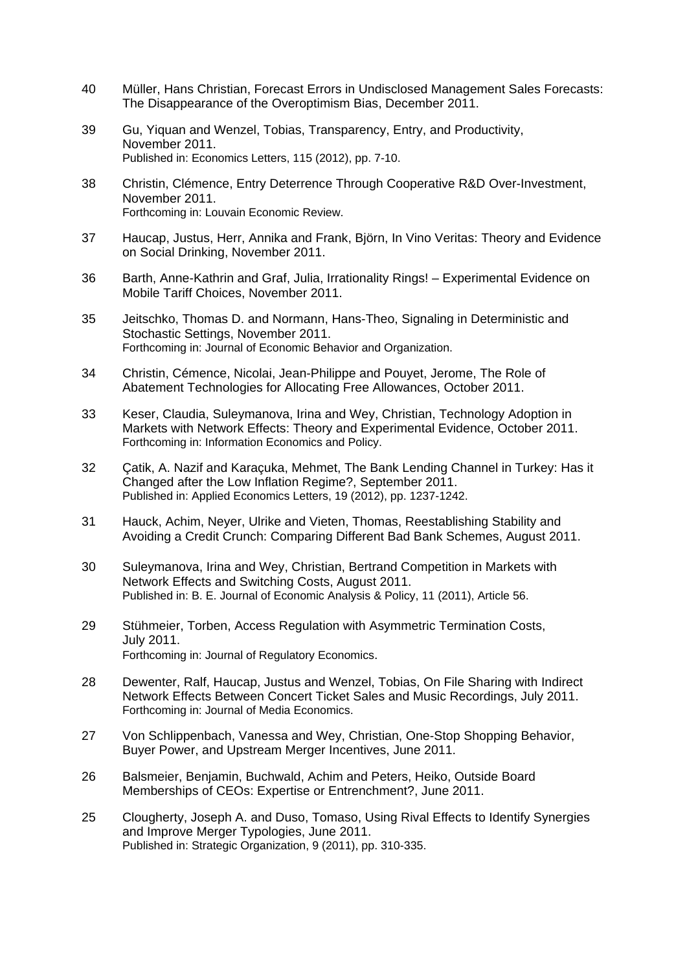- 40 Müller, Hans Christian, Forecast Errors in Undisclosed Management Sales Forecasts: The Disappearance of the Overoptimism Bias, December 2011.
- 39 Gu, Yiquan and Wenzel, Tobias, Transparency, Entry, and Productivity, November 2011. Published in: Economics Letters, 115 (2012), pp. 7-10.
- 38 Christin, Clémence, Entry Deterrence Through Cooperative R&D Over-Investment, November 2011. Forthcoming in: Louvain Economic Review.
- 37 Haucap, Justus, Herr, Annika and Frank, Björn, In Vino Veritas: Theory and Evidence on Social Drinking, November 2011.
- 36 Barth, Anne-Kathrin and Graf, Julia, Irrationality Rings! Experimental Evidence on Mobile Tariff Choices, November 2011.
- 35 Jeitschko, Thomas D. and Normann, Hans-Theo, Signaling in Deterministic and Stochastic Settings, November 2011. Forthcoming in: Journal of Economic Behavior and Organization.
- 34 Christin, Cémence, Nicolai, Jean-Philippe and Pouyet, Jerome, The Role of Abatement Technologies for Allocating Free Allowances, October 2011.
- 33 Keser, Claudia, Suleymanova, Irina and Wey, Christian, Technology Adoption in Markets with Network Effects: Theory and Experimental Evidence, October 2011. Forthcoming in: Information Economics and Policy.
- 32 Çatik, A. Nazif and Karaçuka, Mehmet, The Bank Lending Channel in Turkey: Has it Changed after the Low Inflation Regime?, September 2011. Published in: Applied Economics Letters, 19 (2012), pp. 1237-1242.
- 31 Hauck, Achim, Neyer, Ulrike and Vieten, Thomas, Reestablishing Stability and Avoiding a Credit Crunch: Comparing Different Bad Bank Schemes, August 2011.
- 30 Suleymanova, Irina and Wey, Christian, Bertrand Competition in Markets with Network Effects and Switching Costs, August 2011. Published in: B. E. Journal of Economic Analysis & Policy, 11 (2011), Article 56.
- 29 Stühmeier, Torben, Access Regulation with Asymmetric Termination Costs, July 2011. Forthcoming in: Journal of Regulatory Economics.
- 28 Dewenter, Ralf, Haucap, Justus and Wenzel, Tobias, On File Sharing with Indirect Network Effects Between Concert Ticket Sales and Music Recordings, July 2011. Forthcoming in: Journal of Media Economics.
- 27 Von Schlippenbach, Vanessa and Wey, Christian, One-Stop Shopping Behavior, Buyer Power, and Upstream Merger Incentives, June 2011.
- 26 Balsmeier, Benjamin, Buchwald, Achim and Peters, Heiko, Outside Board Memberships of CEOs: Expertise or Entrenchment?, June 2011.
- 25 Clougherty, Joseph A. and Duso, Tomaso, Using Rival Effects to Identify Synergies and Improve Merger Typologies, June 2011. Published in: Strategic Organization, 9 (2011), pp. 310-335.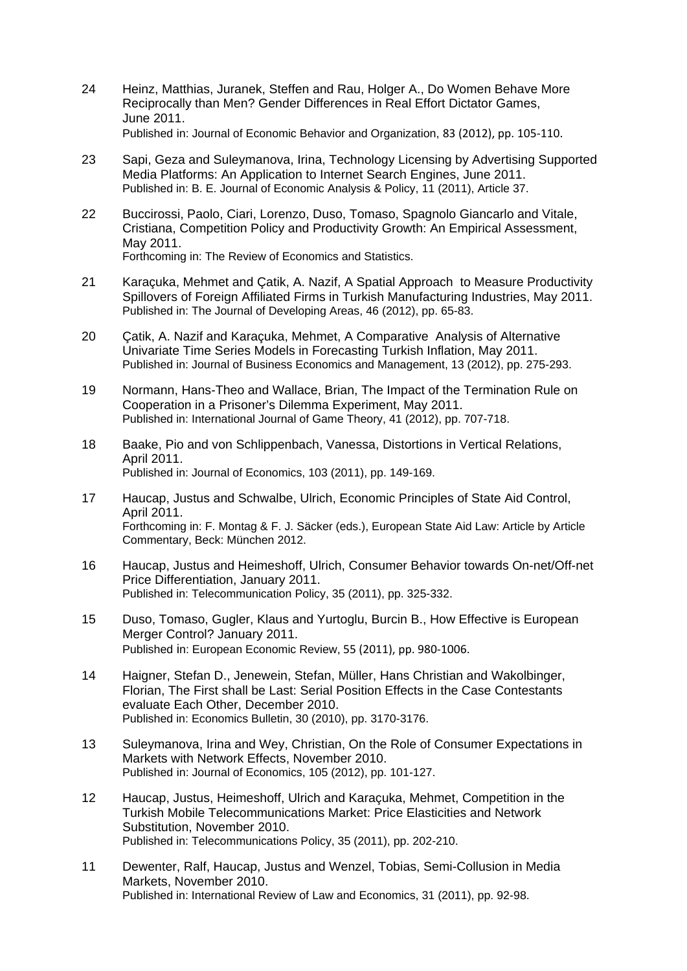- 24 Heinz, Matthias, Juranek, Steffen and Rau, Holger A., Do Women Behave More Reciprocally than Men? Gender Differences in Real Effort Dictator Games, June 2011. Published in: Journal of Economic Behavior and Organization, 83 (2012), pp. 105‐110.
- 23 Sapi, Geza and Suleymanova, Irina, Technology Licensing by Advertising Supported Media Platforms: An Application to Internet Search Engines, June 2011. Published in: B. E. Journal of Economic Analysis & Policy, 11 (2011), Article 37.
- 22 Buccirossi, Paolo, Ciari, Lorenzo, Duso, Tomaso, Spagnolo Giancarlo and Vitale, Cristiana, Competition Policy and Productivity Growth: An Empirical Assessment, May 2011. Forthcoming in: The Review of Economics and Statistics.
- 21 Karaçuka, Mehmet and Çatik, A. Nazif, A Spatial Approach to Measure Productivity Spillovers of Foreign Affiliated Firms in Turkish Manufacturing Industries, May 2011. Published in: The Journal of Developing Areas, 46 (2012), pp. 65-83.
- 20 Çatik, A. Nazif and Karaçuka, Mehmet, A Comparative Analysis of Alternative Univariate Time Series Models in Forecasting Turkish Inflation, May 2011. Published in: Journal of Business Economics and Management, 13 (2012), pp. 275-293.
- 19 Normann, Hans-Theo and Wallace, Brian, The Impact of the Termination Rule on Cooperation in a Prisoner's Dilemma Experiment, May 2011. Published in: International Journal of Game Theory, 41 (2012), pp. 707-718.
- 18 Baake, Pio and von Schlippenbach, Vanessa, Distortions in Vertical Relations, April 2011. Published in: Journal of Economics, 103 (2011), pp. 149-169.
- 17 Haucap, Justus and Schwalbe, Ulrich, Economic Principles of State Aid Control, April 2011. Forthcoming in: F. Montag & F. J. Säcker (eds.), European State Aid Law: Article by Article Commentary, Beck: München 2012.
- 16 Haucap, Justus and Heimeshoff, Ulrich, Consumer Behavior towards On-net/Off-net Price Differentiation, January 2011. Published in: Telecommunication Policy, 35 (2011), pp. 325-332.
- 15 Duso, Tomaso, Gugler, Klaus and Yurtoglu, Burcin B., How Effective is European Merger Control? January 2011. Published in: European Economic Review, 55 (2011), pp. 980‐1006.
- 14 Haigner, Stefan D., Jenewein, Stefan, Müller, Hans Christian and Wakolbinger, Florian, The First shall be Last: Serial Position Effects in the Case Contestants evaluate Each Other, December 2010. Published in: Economics Bulletin, 30 (2010), pp. 3170-3176.
- 13 Suleymanova, Irina and Wey, Christian, On the Role of Consumer Expectations in Markets with Network Effects, November 2010. Published in: Journal of Economics, 105 (2012), pp. 101-127.
- 12 Haucap, Justus, Heimeshoff, Ulrich and Karaçuka, Mehmet, Competition in the Turkish Mobile Telecommunications Market: Price Elasticities and Network Substitution, November 2010. Published in: Telecommunications Policy, 35 (2011), pp. 202-210.
- 11 Dewenter, Ralf, Haucap, Justus and Wenzel, Tobias, Semi-Collusion in Media Markets, November 2010. Published in: International Review of Law and Economics, 31 (2011), pp. 92-98.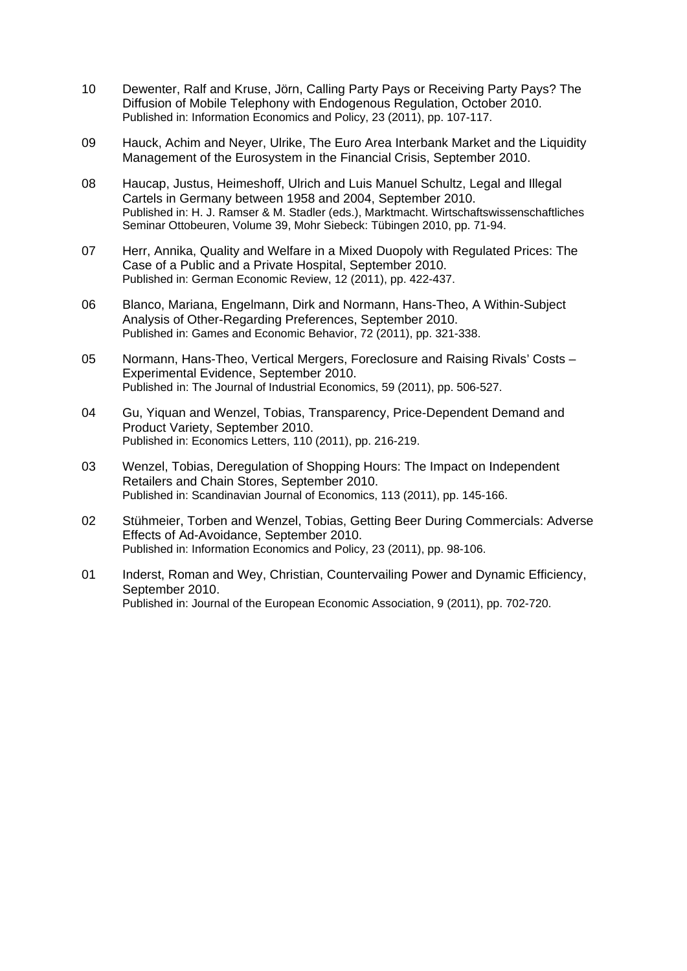- 10 Dewenter, Ralf and Kruse, Jörn, Calling Party Pays or Receiving Party Pays? The Diffusion of Mobile Telephony with Endogenous Regulation, October 2010. Published in: Information Economics and Policy, 23 (2011), pp. 107-117.
- 09 Hauck, Achim and Neyer, Ulrike, The Euro Area Interbank Market and the Liquidity Management of the Eurosystem in the Financial Crisis, September 2010.
- 08 Haucap, Justus, Heimeshoff, Ulrich and Luis Manuel Schultz, Legal and Illegal Cartels in Germany between 1958 and 2004, September 2010. Published in: H. J. Ramser & M. Stadler (eds.), Marktmacht. Wirtschaftswissenschaftliches Seminar Ottobeuren, Volume 39, Mohr Siebeck: Tübingen 2010, pp. 71-94.
- 07 Herr, Annika, Quality and Welfare in a Mixed Duopoly with Regulated Prices: The Case of a Public and a Private Hospital, September 2010. Published in: German Economic Review, 12 (2011), pp. 422-437.
- 06 Blanco, Mariana, Engelmann, Dirk and Normann, Hans-Theo, A Within-Subject Analysis of Other-Regarding Preferences, September 2010. Published in: Games and Economic Behavior, 72 (2011), pp. 321-338.
- 05 Normann, Hans-Theo, Vertical Mergers, Foreclosure and Raising Rivals' Costs Experimental Evidence, September 2010. Published in: The Journal of Industrial Economics, 59 (2011), pp. 506-527.
- 04 Gu, Yiquan and Wenzel, Tobias, Transparency, Price-Dependent Demand and Product Variety, September 2010. Published in: Economics Letters, 110 (2011), pp. 216-219.
- 03 Wenzel, Tobias, Deregulation of Shopping Hours: The Impact on Independent Retailers and Chain Stores, September 2010. Published in: Scandinavian Journal of Economics, 113 (2011), pp. 145-166.
- 02 Stühmeier, Torben and Wenzel, Tobias, Getting Beer During Commercials: Adverse Effects of Ad-Avoidance, September 2010. Published in: Information Economics and Policy, 23 (2011), pp. 98-106.
- 01 Inderst, Roman and Wey, Christian, Countervailing Power and Dynamic Efficiency, September 2010. Published in: Journal of the European Economic Association, 9 (2011), pp. 702-720.